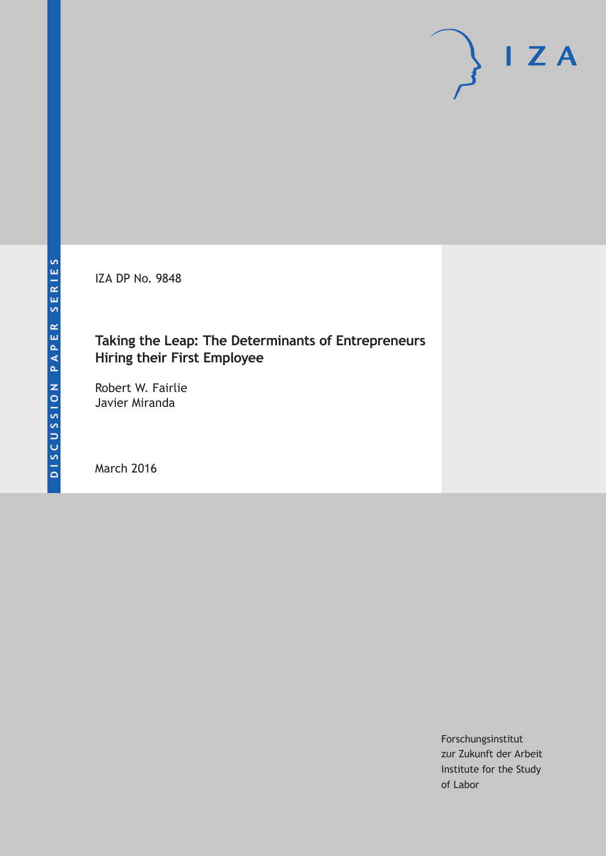IZA DP No. 9848

# **Taking the Leap: The Determinants of Entrepreneurs Hiring their First Employee**

Robert W. Fairlie Javier Miranda

March 2016

Forschungsinstitut zur Zukunft der Arbeit Institute for the Study of Labor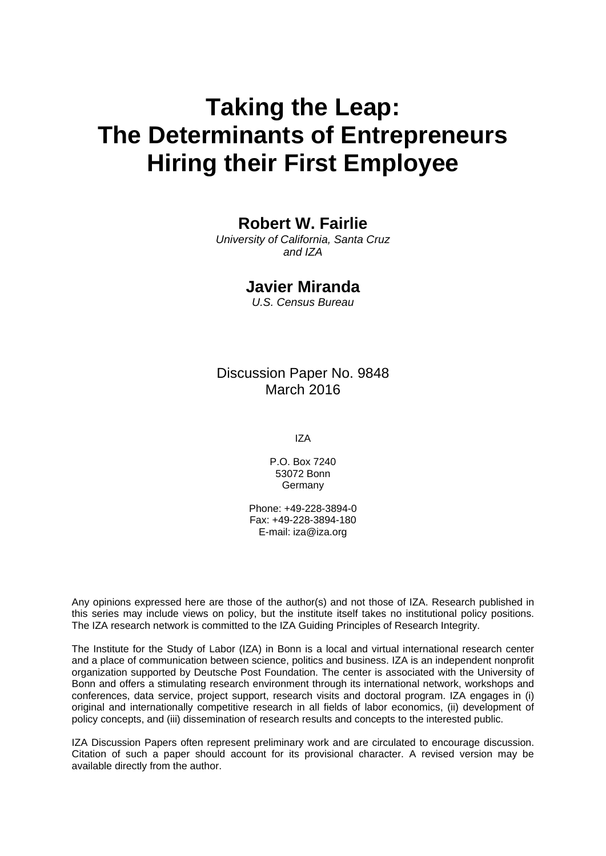# **Taking the Leap: The Determinants of Entrepreneurs Hiring their First Employee**

**Robert W. Fairlie** 

*University of California, Santa Cruz and IZA* 

# **Javier Miranda**

*U.S. Census Bureau* 

Discussion Paper No. 9848 March 2016

IZA

P.O. Box 7240 53072 Bonn **Germany** 

Phone: +49-228-3894-0 Fax: +49-228-3894-180 E-mail: iza@iza.org

Any opinions expressed here are those of the author(s) and not those of IZA. Research published in this series may include views on policy, but the institute itself takes no institutional policy positions. The IZA research network is committed to the IZA Guiding Principles of Research Integrity.

The Institute for the Study of Labor (IZA) in Bonn is a local and virtual international research center and a place of communication between science, politics and business. IZA is an independent nonprofit organization supported by Deutsche Post Foundation. The center is associated with the University of Bonn and offers a stimulating research environment through its international network, workshops and conferences, data service, project support, research visits and doctoral program. IZA engages in (i) original and internationally competitive research in all fields of labor economics, (ii) development of policy concepts, and (iii) dissemination of research results and concepts to the interested public.

IZA Discussion Papers often represent preliminary work and are circulated to encourage discussion. Citation of such a paper should account for its provisional character. A revised version may be available directly from the author.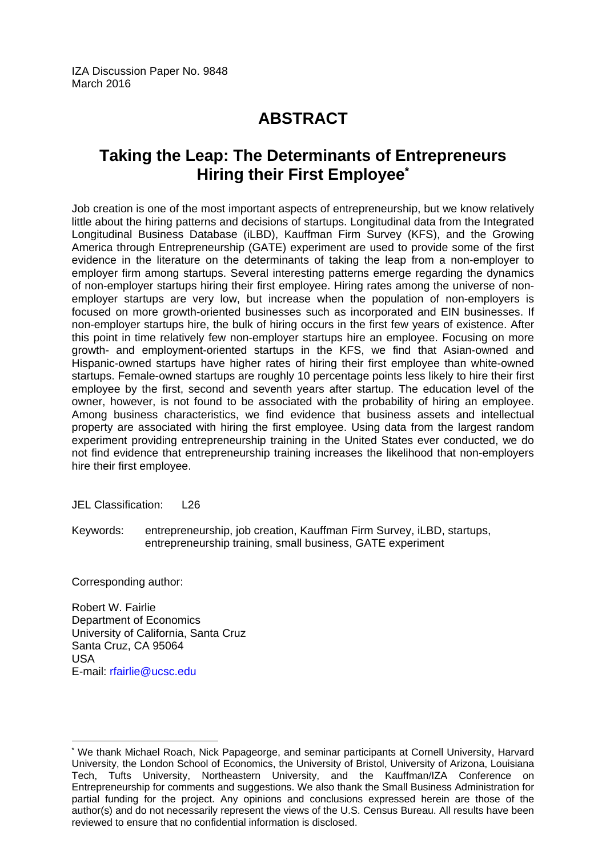# **ABSTRACT**

# **Taking the Leap: The Determinants of Entrepreneurs Hiring their First Employee\***

Job creation is one of the most important aspects of entrepreneurship, but we know relatively little about the hiring patterns and decisions of startups. Longitudinal data from the Integrated Longitudinal Business Database (iLBD), Kauffman Firm Survey (KFS), and the Growing America through Entrepreneurship (GATE) experiment are used to provide some of the first evidence in the literature on the determinants of taking the leap from a non-employer to employer firm among startups. Several interesting patterns emerge regarding the dynamics of non-employer startups hiring their first employee. Hiring rates among the universe of nonemployer startups are very low, but increase when the population of non-employers is focused on more growth-oriented businesses such as incorporated and EIN businesses. If non-employer startups hire, the bulk of hiring occurs in the first few years of existence. After this point in time relatively few non-employer startups hire an employee. Focusing on more growth- and employment-oriented startups in the KFS, we find that Asian-owned and Hispanic-owned startups have higher rates of hiring their first employee than white-owned startups. Female-owned startups are roughly 10 percentage points less likely to hire their first employee by the first, second and seventh years after startup. The education level of the owner, however, is not found to be associated with the probability of hiring an employee. Among business characteristics, we find evidence that business assets and intellectual property are associated with hiring the first employee. Using data from the largest random experiment providing entrepreneurship training in the United States ever conducted, we do not find evidence that entrepreneurship training increases the likelihood that non-employers hire their first employee.

JEL Classification: L26

Keywords: entrepreneurship, job creation, Kauffman Firm Survey, iLBD, startups, entrepreneurship training, small business, GATE experiment

Corresponding author:

 $\overline{a}$ 

Robert W. Fairlie Department of Economics University of California, Santa Cruz Santa Cruz, CA 95064 USA E-mail: rfairlie@ucsc.edu

<sup>\*</sup> We thank Michael Roach, Nick Papageorge, and seminar participants at Cornell University, Harvard University, the London School of Economics, the University of Bristol, University of Arizona, Louisiana Tech, Tufts University, Northeastern University, and the Kauffman/IZA Conference on Entrepreneurship for comments and suggestions. We also thank the Small Business Administration for partial funding for the project. Any opinions and conclusions expressed herein are those of the author(s) and do not necessarily represent the views of the U.S. Census Bureau. All results have been reviewed to ensure that no confidential information is disclosed.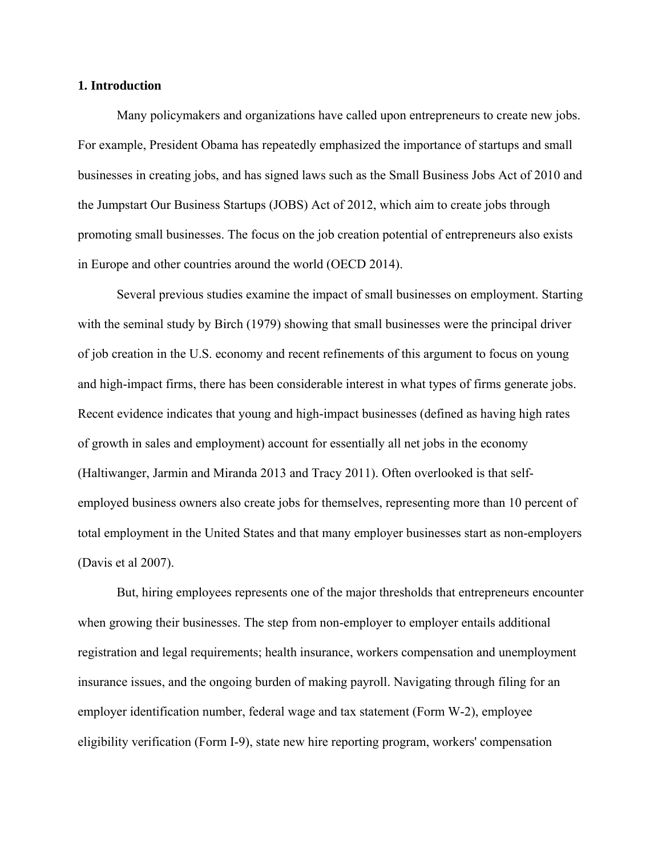### **1. Introduction**

 Many policymakers and organizations have called upon entrepreneurs to create new jobs. For example, President Obama has repeatedly emphasized the importance of startups and small businesses in creating jobs, and has signed laws such as the Small Business Jobs Act of 2010 and the Jumpstart Our Business Startups (JOBS) Act of 2012, which aim to create jobs through promoting small businesses. The focus on the job creation potential of entrepreneurs also exists in Europe and other countries around the world (OECD 2014).

Several previous studies examine the impact of small businesses on employment. Starting with the seminal study by Birch (1979) showing that small businesses were the principal driver of job creation in the U.S. economy and recent refinements of this argument to focus on young and high-impact firms, there has been considerable interest in what types of firms generate jobs. Recent evidence indicates that young and high-impact businesses (defined as having high rates of growth in sales and employment) account for essentially all net jobs in the economy (Haltiwanger, Jarmin and Miranda 2013 and Tracy 2011). Often overlooked is that selfemployed business owners also create jobs for themselves, representing more than 10 percent of total employment in the United States and that many employer businesses start as non-employers (Davis et al 2007).

 But, hiring employees represents one of the major thresholds that entrepreneurs encounter when growing their businesses. The step from non-employer to employer entails additional registration and legal requirements; health insurance, workers compensation and unemployment insurance issues, and the ongoing burden of making payroll. Navigating through filing for an employer identification number, federal wage and tax statement (Form W-2), employee eligibility verification (Form I-9), state new hire reporting program, workers' compensation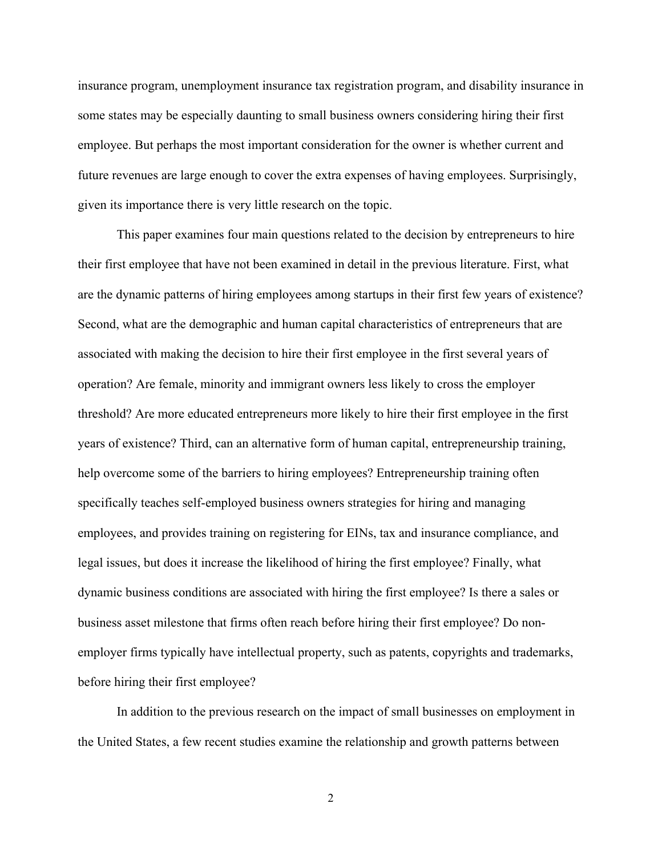insurance program, unemployment insurance tax registration program, and disability insurance in some states may be especially daunting to small business owners considering hiring their first employee. But perhaps the most important consideration for the owner is whether current and future revenues are large enough to cover the extra expenses of having employees. Surprisingly, given its importance there is very little research on the topic.

 This paper examines four main questions related to the decision by entrepreneurs to hire their first employee that have not been examined in detail in the previous literature. First, what are the dynamic patterns of hiring employees among startups in their first few years of existence? Second, what are the demographic and human capital characteristics of entrepreneurs that are associated with making the decision to hire their first employee in the first several years of operation? Are female, minority and immigrant owners less likely to cross the employer threshold? Are more educated entrepreneurs more likely to hire their first employee in the first years of existence? Third, can an alternative form of human capital, entrepreneurship training, help overcome some of the barriers to hiring employees? Entrepreneurship training often specifically teaches self-employed business owners strategies for hiring and managing employees, and provides training on registering for EINs, tax and insurance compliance, and legal issues, but does it increase the likelihood of hiring the first employee? Finally, what dynamic business conditions are associated with hiring the first employee? Is there a sales or business asset milestone that firms often reach before hiring their first employee? Do nonemployer firms typically have intellectual property, such as patents, copyrights and trademarks, before hiring their first employee?

 In addition to the previous research on the impact of small businesses on employment in the United States, a few recent studies examine the relationship and growth patterns between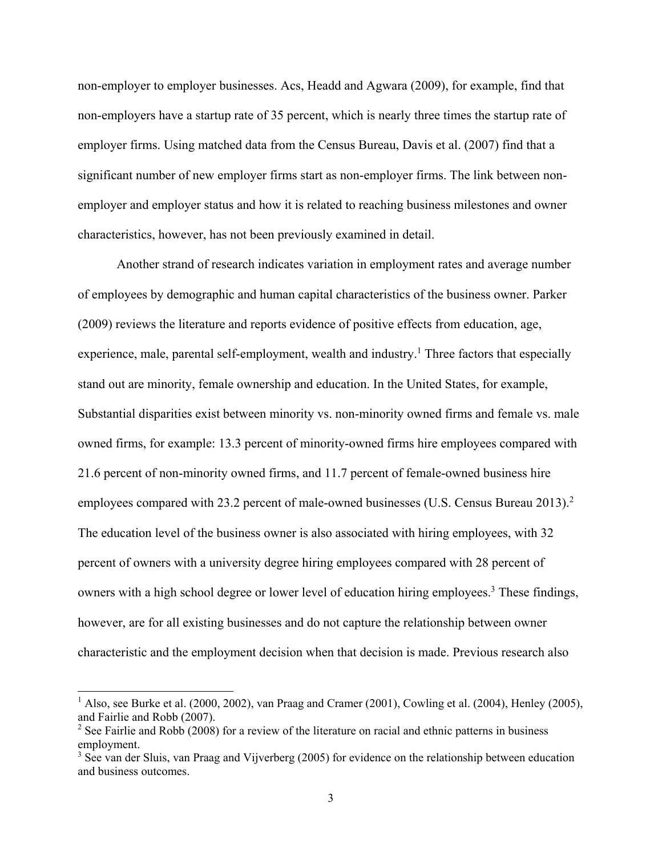non-employer to employer businesses. Acs, Headd and Agwara (2009), for example, find that non-employers have a startup rate of 35 percent, which is nearly three times the startup rate of employer firms. Using matched data from the Census Bureau, Davis et al. (2007) find that a significant number of new employer firms start as non-employer firms. The link between nonemployer and employer status and how it is related to reaching business milestones and owner characteristics, however, has not been previously examined in detail.

 Another strand of research indicates variation in employment rates and average number of employees by demographic and human capital characteristics of the business owner. Parker (2009) reviews the literature and reports evidence of positive effects from education, age, experience, male, parental self-employment, wealth and industry.<sup>1</sup> Three factors that especially stand out are minority, female ownership and education. In the United States, for example, Substantial disparities exist between minority vs. non-minority owned firms and female vs. male owned firms, for example: 13.3 percent of minority-owned firms hire employees compared with 21.6 percent of non-minority owned firms, and 11.7 percent of female-owned business hire employees compared with 23.2 percent of male-owned businesses (U.S. Census Bureau 2013).<sup>2</sup> The education level of the business owner is also associated with hiring employees, with 32 percent of owners with a university degree hiring employees compared with 28 percent of owners with a high school degree or lower level of education hiring employees.<sup>3</sup> These findings, however, are for all existing businesses and do not capture the relationship between owner characteristic and the employment decision when that decision is made. Previous research also

 $\overline{a}$ 

<sup>&</sup>lt;sup>1</sup> Also, see Burke et al. (2000, 2002), van Praag and Cramer (2001), Cowling et al. (2004), Henley (2005), and Fairlie and Robb (2007).

<sup>&</sup>lt;sup>2</sup> See Fairlie and Robb (2008) for a review of the literature on racial and ethnic patterns in business employment.

<sup>&</sup>lt;sup>3</sup> See van der Sluis, van Praag and Vijverberg (2005) for evidence on the relationship between education and business outcomes.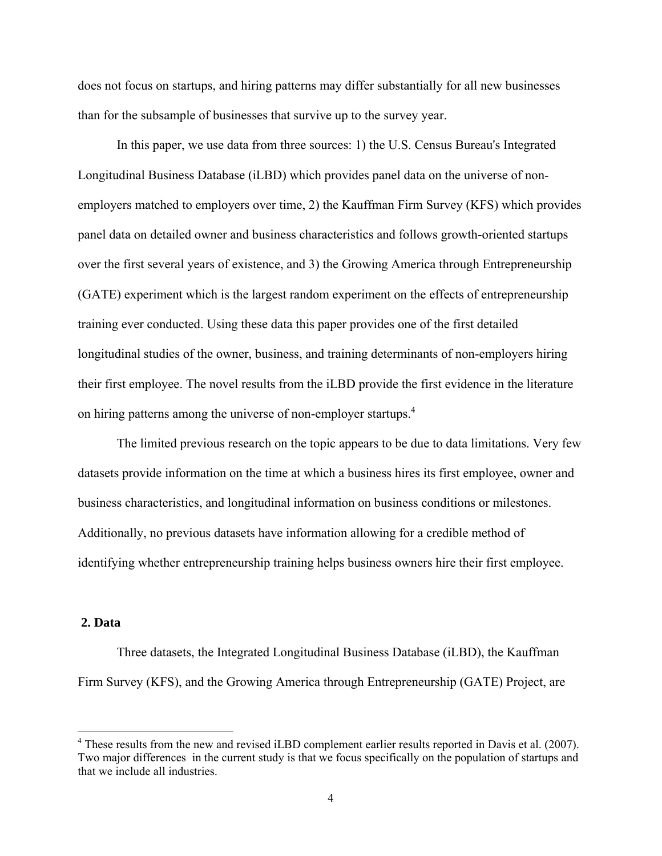does not focus on startups, and hiring patterns may differ substantially for all new businesses than for the subsample of businesses that survive up to the survey year.

In this paper, we use data from three sources: 1) the U.S. Census Bureau's Integrated Longitudinal Business Database (iLBD) which provides panel data on the universe of nonemployers matched to employers over time, 2) the Kauffman Firm Survey (KFS) which provides panel data on detailed owner and business characteristics and follows growth-oriented startups over the first several years of existence, and 3) the Growing America through Entrepreneurship (GATE) experiment which is the largest random experiment on the effects of entrepreneurship training ever conducted. Using these data this paper provides one of the first detailed longitudinal studies of the owner, business, and training determinants of non-employers hiring their first employee. The novel results from the iLBD provide the first evidence in the literature on hiring patterns among the universe of non-employer startups.<sup>4</sup>

The limited previous research on the topic appears to be due to data limitations. Very few datasets provide information on the time at which a business hires its first employee, owner and business characteristics, and longitudinal information on business conditions or milestones. Additionally, no previous datasets have information allowing for a credible method of identifying whether entrepreneurship training helps business owners hire their first employee.

# **2. Data**

 $\overline{a}$ 

Three datasets, the Integrated Longitudinal Business Database (iLBD), the Kauffman Firm Survey (KFS), and the Growing America through Entrepreneurship (GATE) Project, are

 $4$  These results from the new and revised iLBD complement earlier results reported in Davis et al. (2007). Two major differences in the current study is that we focus specifically on the population of startups and that we include all industries.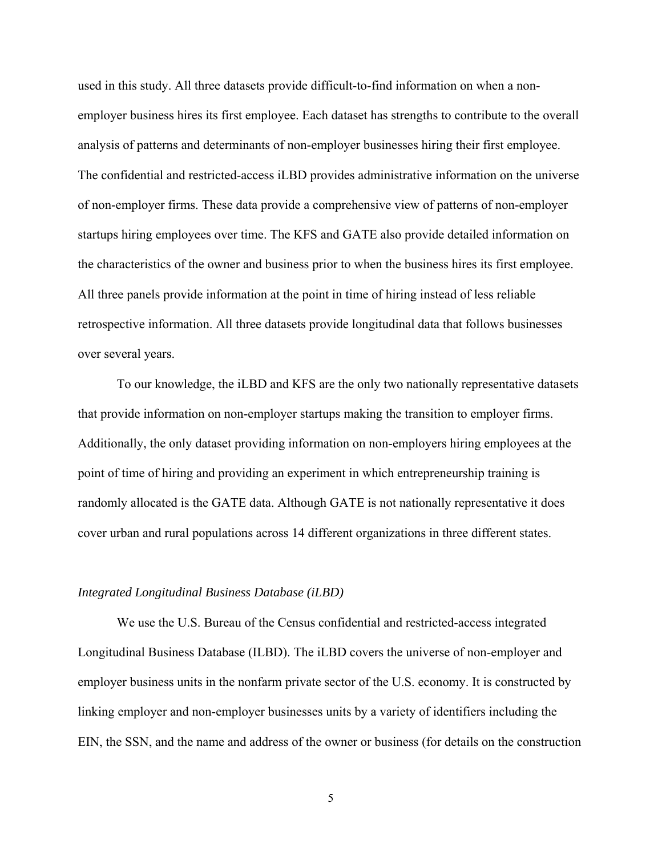used in this study. All three datasets provide difficult-to-find information on when a nonemployer business hires its first employee. Each dataset has strengths to contribute to the overall analysis of patterns and determinants of non-employer businesses hiring their first employee. The confidential and restricted-access iLBD provides administrative information on the universe of non-employer firms. These data provide a comprehensive view of patterns of non-employer startups hiring employees over time. The KFS and GATE also provide detailed information on the characteristics of the owner and business prior to when the business hires its first employee. All three panels provide information at the point in time of hiring instead of less reliable retrospective information. All three datasets provide longitudinal data that follows businesses over several years.

To our knowledge, the iLBD and KFS are the only two nationally representative datasets that provide information on non-employer startups making the transition to employer firms. Additionally, the only dataset providing information on non-employers hiring employees at the point of time of hiring and providing an experiment in which entrepreneurship training is randomly allocated is the GATE data. Although GATE is not nationally representative it does cover urban and rural populations across 14 different organizations in three different states.

#### *Integrated Longitudinal Business Database (iLBD)*

 We use the U.S. Bureau of the Census confidential and restricted-access integrated Longitudinal Business Database (ILBD). The iLBD covers the universe of non-employer and employer business units in the nonfarm private sector of the U.S. economy. It is constructed by linking employer and non-employer businesses units by a variety of identifiers including the EIN, the SSN, and the name and address of the owner or business (for details on the construction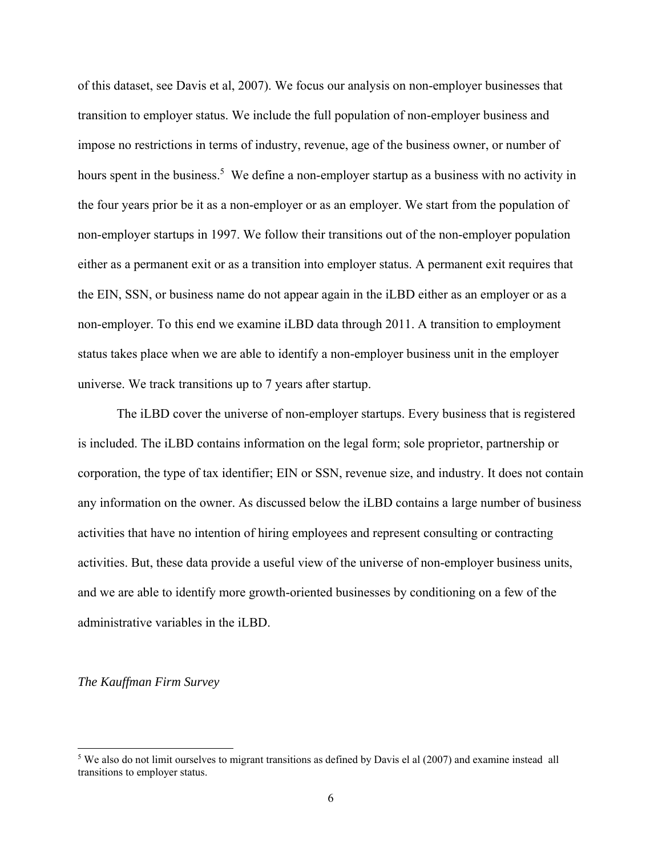of this dataset, see Davis et al, 2007). We focus our analysis on non-employer businesses that transition to employer status. We include the full population of non-employer business and impose no restrictions in terms of industry, revenue, age of the business owner, or number of hours spent in the business.<sup>5</sup> We define a non-employer startup as a business with no activity in the four years prior be it as a non-employer or as an employer. We start from the population of non-employer startups in 1997. We follow their transitions out of the non-employer population either as a permanent exit or as a transition into employer status. A permanent exit requires that the EIN, SSN, or business name do not appear again in the iLBD either as an employer or as a non-employer. To this end we examine iLBD data through 2011. A transition to employment status takes place when we are able to identify a non-employer business unit in the employer universe. We track transitions up to 7 years after startup.

 The iLBD cover the universe of non-employer startups. Every business that is registered is included. The iLBD contains information on the legal form; sole proprietor, partnership or corporation, the type of tax identifier; EIN or SSN, revenue size, and industry. It does not contain any information on the owner. As discussed below the iLBD contains a large number of business activities that have no intention of hiring employees and represent consulting or contracting activities. But, these data provide a useful view of the universe of non-employer business units, and we are able to identify more growth-oriented businesses by conditioning on a few of the administrative variables in the iLBD.

#### *The Kauffman Firm Survey*

 $\overline{a}$ 

<sup>&</sup>lt;sup>5</sup> We also do not limit ourselves to migrant transitions as defined by Davis el al  $(2007)$  and examine instead all transitions to employer status.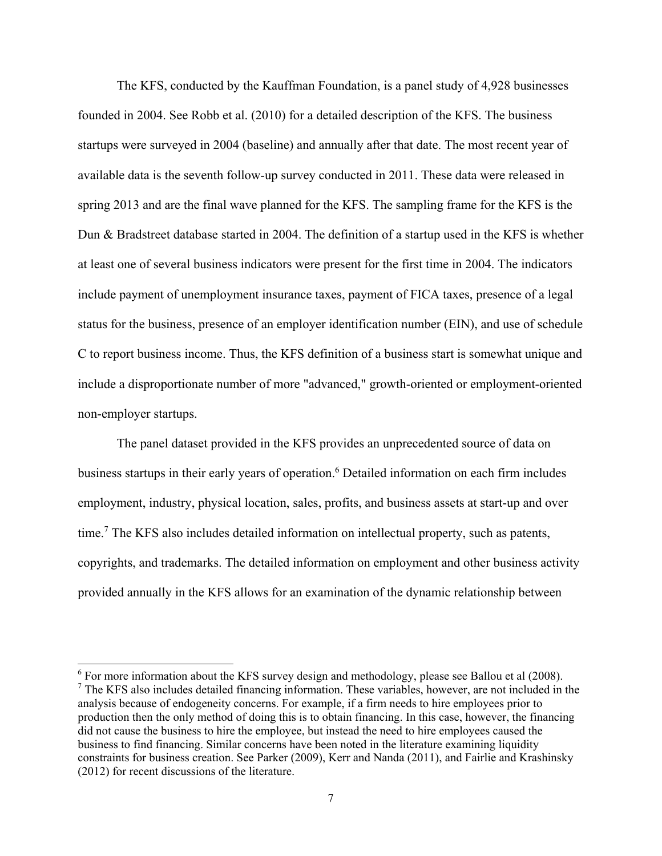The KFS, conducted by the Kauffman Foundation, is a panel study of 4,928 businesses founded in 2004. See Robb et al. (2010) for a detailed description of the KFS. The business startups were surveyed in 2004 (baseline) and annually after that date. The most recent year of available data is the seventh follow-up survey conducted in 2011. These data were released in spring 2013 and are the final wave planned for the KFS. The sampling frame for the KFS is the Dun & Bradstreet database started in 2004. The definition of a startup used in the KFS is whether at least one of several business indicators were present for the first time in 2004. The indicators include payment of unemployment insurance taxes, payment of FICA taxes, presence of a legal status for the business, presence of an employer identification number (EIN), and use of schedule C to report business income. Thus, the KFS definition of a business start is somewhat unique and include a disproportionate number of more "advanced," growth-oriented or employment-oriented non-employer startups.

 The panel dataset provided in the KFS provides an unprecedented source of data on business startups in their early years of operation.<sup>6</sup> Detailed information on each firm includes employment, industry, physical location, sales, profits, and business assets at start-up and over time.<sup>7</sup> The KFS also includes detailed information on intellectual property, such as patents, copyrights, and trademarks. The detailed information on employment and other business activity provided annually in the KFS allows for an examination of the dynamic relationship between

 $\overline{a}$ 

 $6$  For more information about the KFS survey design and methodology, please see Ballou et al (2008). <sup>7</sup> The KFS also includes detailed financing information. These variables, however, are not included in the analysis because of endogeneity concerns. For example, if a firm needs to hire employees prior to production then the only method of doing this is to obtain financing. In this case, however, the financing did not cause the business to hire the employee, but instead the need to hire employees caused the business to find financing. Similar concerns have been noted in the literature examining liquidity constraints for business creation. See Parker (2009), Kerr and Nanda (2011), and Fairlie and Krashinsky (2012) for recent discussions of the literature.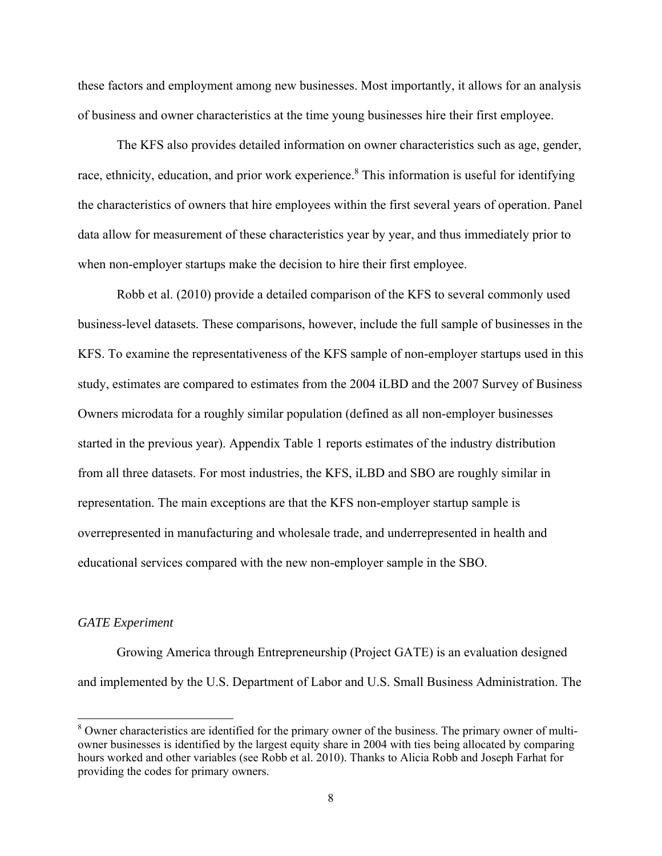these factors and employment among new businesses. Most importantly, it allows for an analysis of business and owner characteristics at the time young businesses hire their first employee.

The KFS also provides detailed information on owner characteristics such as age, gender, race, ethnicity, education, and prior work experience.<sup>8</sup> This information is useful for identifying the characteristics of owners that hire employees within the first several years of operation. Panel data allow for measurement of these characteristics year by year, and thus immediately prior to when non-employer startups make the decision to hire their first employee.

Robb et al. (2010) provide a detailed comparison of the KFS to several commonly used business-level datasets. These comparisons, however, include the full sample of businesses in the KFS. To examine the representativeness of the KFS sample of non-employer startups used in this study, estimates are compared to estimates from the 2004 iLBD and the 2007 Survey of Business Owners microdata for a roughly similar population (defined as all non-employer businesses started in the previous year). Appendix Table 1 reports estimates of the industry distribution from all three datasets. For most industries, the KFS, iLBD and SBO are roughly similar in representation. The main exceptions are that the KFS non-employer startup sample is overrepresented in manufacturing and wholesale trade, and underrepresented in health and educational services compared with the new non-employer sample in the SBO.

#### *GATE Experiment*

 $\overline{a}$ 

 Growing America through Entrepreneurship (Project GATE) is an evaluation designed and implemented by the U.S. Department of Labor and U.S. Small Business Administration. The

<sup>&</sup>lt;sup>8</sup> Owner characteristics are identified for the primary owner of the business. The primary owner of multiowner businesses is identified by the largest equity share in 2004 with ties being allocated by comparing hours worked and other variables (see Robb et al. 2010). Thanks to Alicia Robb and Joseph Farhat for providing the codes for primary owners.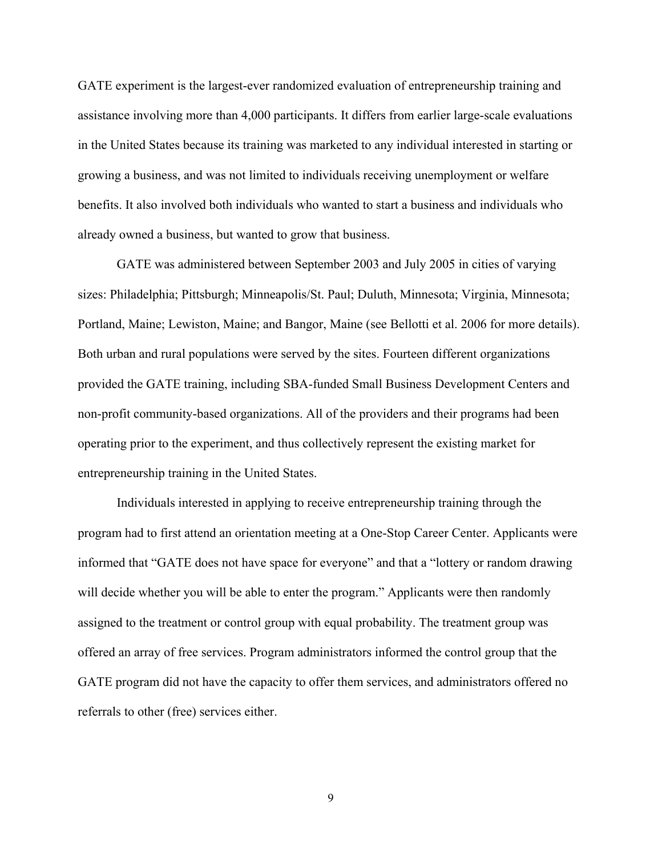GATE experiment is the largest-ever randomized evaluation of entrepreneurship training and assistance involving more than 4,000 participants. It differs from earlier large-scale evaluations in the United States because its training was marketed to any individual interested in starting or growing a business, and was not limited to individuals receiving unemployment or welfare benefits. It also involved both individuals who wanted to start a business and individuals who already owned a business, but wanted to grow that business.

 GATE was administered between September 2003 and July 2005 in cities of varying sizes: Philadelphia; Pittsburgh; Minneapolis/St. Paul; Duluth, Minnesota; Virginia, Minnesota; Portland, Maine; Lewiston, Maine; and Bangor, Maine (see Bellotti et al. 2006 for more details). Both urban and rural populations were served by the sites. Fourteen different organizations provided the GATE training, including SBA-funded Small Business Development Centers and non-profit community-based organizations. All of the providers and their programs had been operating prior to the experiment, and thus collectively represent the existing market for entrepreneurship training in the United States.

 Individuals interested in applying to receive entrepreneurship training through the program had to first attend an orientation meeting at a One-Stop Career Center. Applicants were informed that "GATE does not have space for everyone" and that a "lottery or random drawing will decide whether you will be able to enter the program." Applicants were then randomly assigned to the treatment or control group with equal probability. The treatment group was offered an array of free services. Program administrators informed the control group that the GATE program did not have the capacity to offer them services, and administrators offered no referrals to other (free) services either.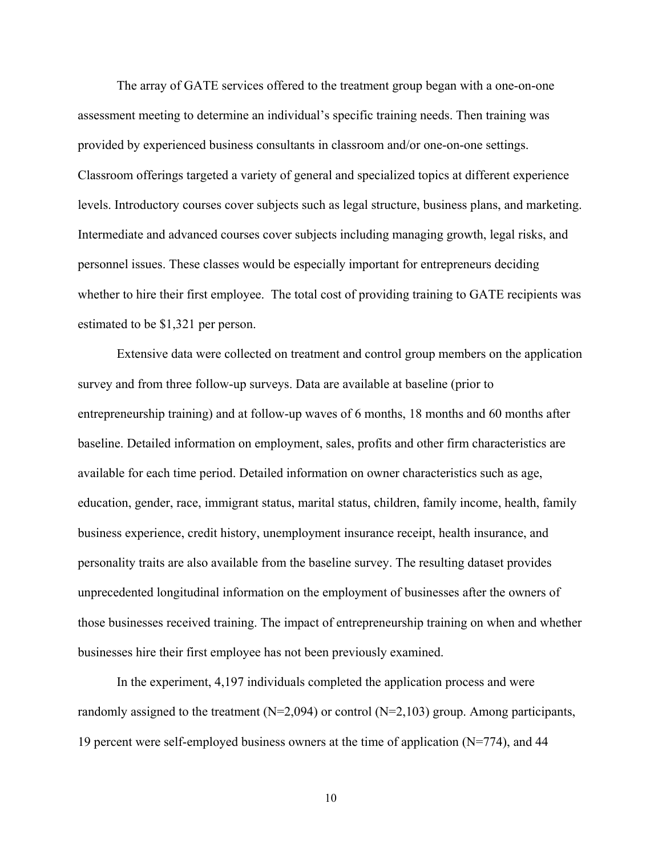The array of GATE services offered to the treatment group began with a one-on-one assessment meeting to determine an individual's specific training needs. Then training was provided by experienced business consultants in classroom and/or one-on-one settings. Classroom offerings targeted a variety of general and specialized topics at different experience levels. Introductory courses cover subjects such as legal structure, business plans, and marketing. Intermediate and advanced courses cover subjects including managing growth, legal risks, and personnel issues. These classes would be especially important for entrepreneurs deciding whether to hire their first employee. The total cost of providing training to GATE recipients was estimated to be \$1,321 per person.

 Extensive data were collected on treatment and control group members on the application survey and from three follow-up surveys. Data are available at baseline (prior to entrepreneurship training) and at follow-up waves of 6 months, 18 months and 60 months after baseline. Detailed information on employment, sales, profits and other firm characteristics are available for each time period. Detailed information on owner characteristics such as age, education, gender, race, immigrant status, marital status, children, family income, health, family business experience, credit history, unemployment insurance receipt, health insurance, and personality traits are also available from the baseline survey. The resulting dataset provides unprecedented longitudinal information on the employment of businesses after the owners of those businesses received training. The impact of entrepreneurship training on when and whether businesses hire their first employee has not been previously examined.

 In the experiment, 4,197 individuals completed the application process and were randomly assigned to the treatment  $(N=2,094)$  or control  $(N=2,103)$  group. Among participants, 19 percent were self-employed business owners at the time of application (N=774), and 44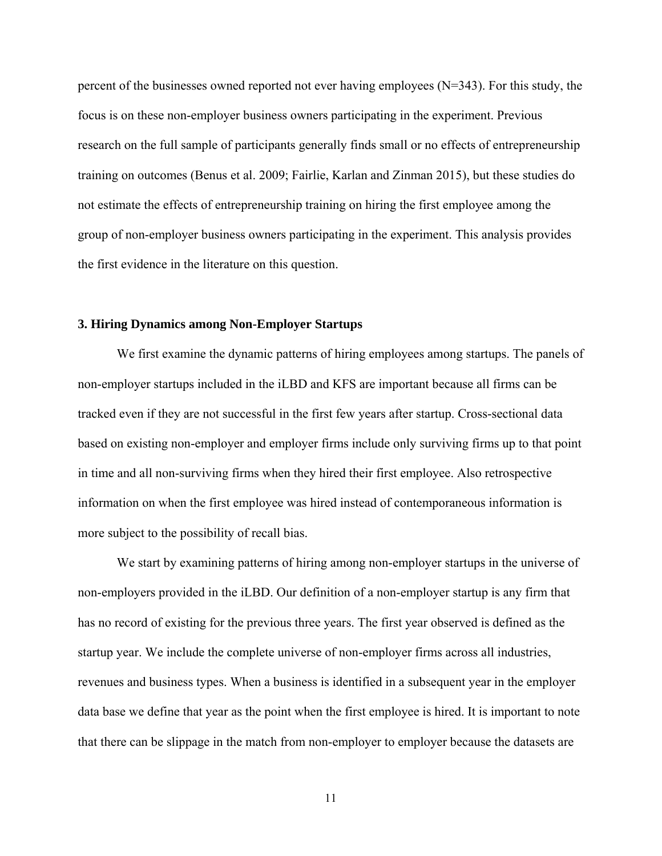percent of the businesses owned reported not ever having employees (N=343). For this study, the focus is on these non-employer business owners participating in the experiment. Previous research on the full sample of participants generally finds small or no effects of entrepreneurship training on outcomes (Benus et al. 2009; Fairlie, Karlan and Zinman 2015), but these studies do not estimate the effects of entrepreneurship training on hiring the first employee among the group of non-employer business owners participating in the experiment. This analysis provides the first evidence in the literature on this question.

# **3. Hiring Dynamics among Non-Employer Startups**

We first examine the dynamic patterns of hiring employees among startups. The panels of non-employer startups included in the iLBD and KFS are important because all firms can be tracked even if they are not successful in the first few years after startup. Cross-sectional data based on existing non-employer and employer firms include only surviving firms up to that point in time and all non-surviving firms when they hired their first employee. Also retrospective information on when the first employee was hired instead of contemporaneous information is more subject to the possibility of recall bias.

We start by examining patterns of hiring among non-employer startups in the universe of non-employers provided in the iLBD. Our definition of a non-employer startup is any firm that has no record of existing for the previous three years. The first year observed is defined as the startup year. We include the complete universe of non-employer firms across all industries, revenues and business types. When a business is identified in a subsequent year in the employer data base we define that year as the point when the first employee is hired. It is important to note that there can be slippage in the match from non-employer to employer because the datasets are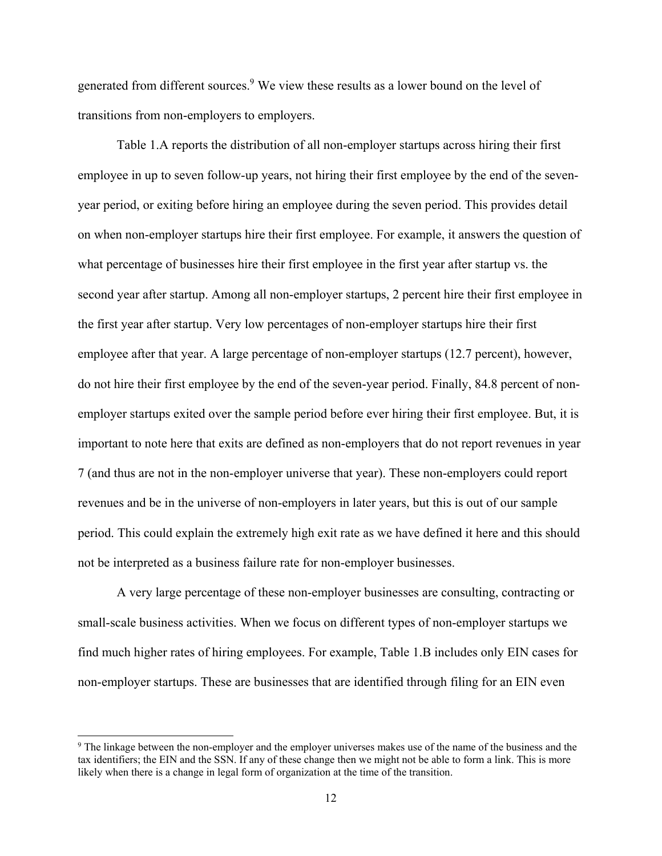generated from different sources.<sup>9</sup> We view these results as a lower bound on the level of transitions from non-employers to employers.

 Table 1.A reports the distribution of all non-employer startups across hiring their first employee in up to seven follow-up years, not hiring their first employee by the end of the sevenyear period, or exiting before hiring an employee during the seven period. This provides detail on when non-employer startups hire their first employee. For example, it answers the question of what percentage of businesses hire their first employee in the first year after startup vs. the second year after startup. Among all non-employer startups, 2 percent hire their first employee in the first year after startup. Very low percentages of non-employer startups hire their first employee after that year. A large percentage of non-employer startups (12.7 percent), however, do not hire their first employee by the end of the seven-year period. Finally, 84.8 percent of nonemployer startups exited over the sample period before ever hiring their first employee. But, it is important to note here that exits are defined as non-employers that do not report revenues in year 7 (and thus are not in the non-employer universe that year). These non-employers could report revenues and be in the universe of non-employers in later years, but this is out of our sample period. This could explain the extremely high exit rate as we have defined it here and this should not be interpreted as a business failure rate for non-employer businesses.

A very large percentage of these non-employer businesses are consulting, contracting or small-scale business activities. When we focus on different types of non-employer startups we find much higher rates of hiring employees. For example, Table 1.B includes only EIN cases for non-employer startups. These are businesses that are identified through filing for an EIN even

l

<sup>&</sup>lt;sup>9</sup> The linkage between the non-employer and the employer universes makes use of the name of the business and the tax identifiers; the EIN and the SSN. If any of these change then we might not be able to form a link. This is more likely when there is a change in legal form of organization at the time of the transition.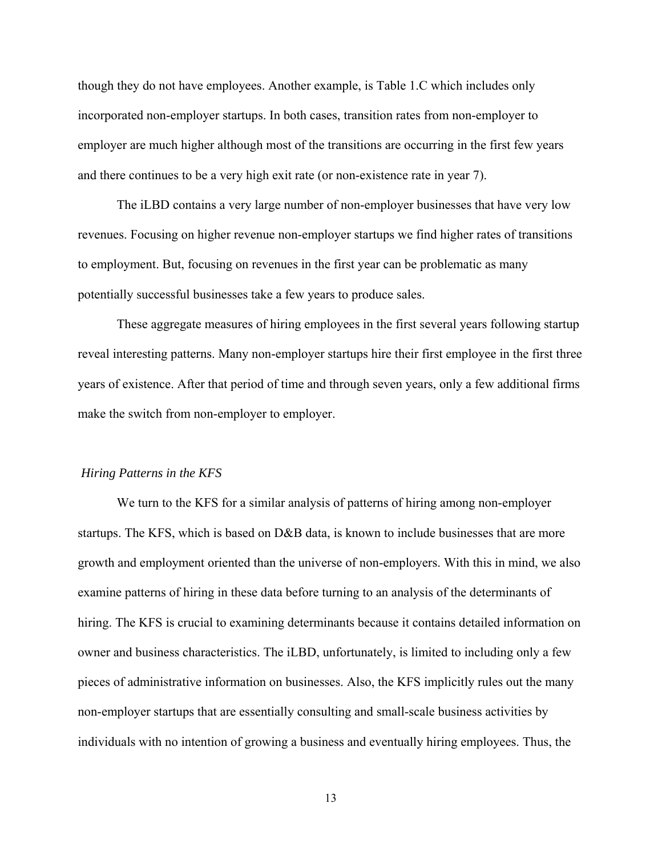though they do not have employees. Another example, is Table 1.C which includes only incorporated non-employer startups. In both cases, transition rates from non-employer to employer are much higher although most of the transitions are occurring in the first few years and there continues to be a very high exit rate (or non-existence rate in year 7).

 The iLBD contains a very large number of non-employer businesses that have very low revenues. Focusing on higher revenue non-employer startups we find higher rates of transitions to employment. But, focusing on revenues in the first year can be problematic as many potentially successful businesses take a few years to produce sales.

These aggregate measures of hiring employees in the first several years following startup reveal interesting patterns. Many non-employer startups hire their first employee in the first three years of existence. After that period of time and through seven years, only a few additional firms make the switch from non-employer to employer.

#### *Hiring Patterns in the KFS*

 We turn to the KFS for a similar analysis of patterns of hiring among non-employer startups. The KFS, which is based on D&B data, is known to include businesses that are more growth and employment oriented than the universe of non-employers. With this in mind, we also examine patterns of hiring in these data before turning to an analysis of the determinants of hiring. The KFS is crucial to examining determinants because it contains detailed information on owner and business characteristics. The iLBD, unfortunately, is limited to including only a few pieces of administrative information on businesses. Also, the KFS implicitly rules out the many non-employer startups that are essentially consulting and small-scale business activities by individuals with no intention of growing a business and eventually hiring employees. Thus, the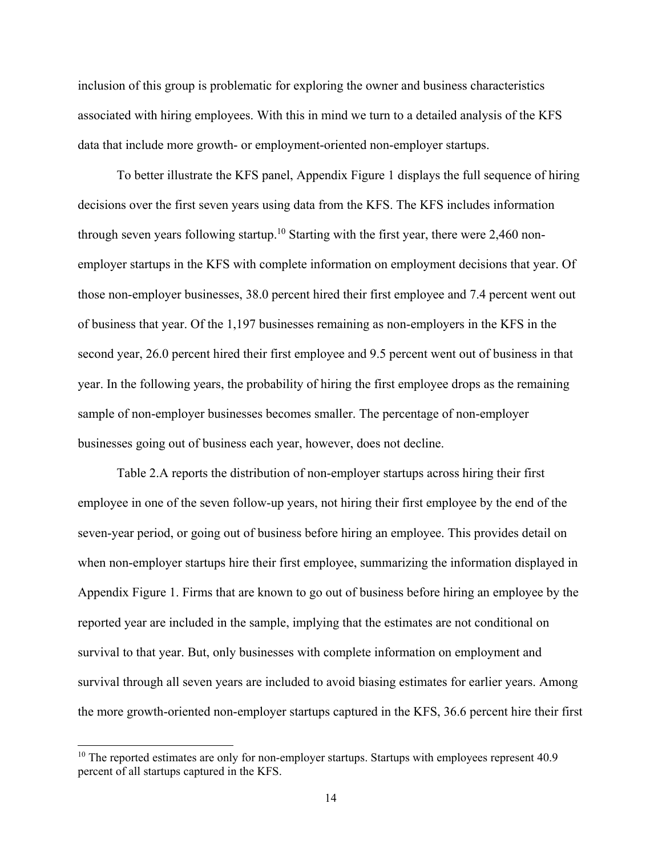inclusion of this group is problematic for exploring the owner and business characteristics associated with hiring employees. With this in mind we turn to a detailed analysis of the KFS data that include more growth- or employment-oriented non-employer startups.

To better illustrate the KFS panel, Appendix Figure 1 displays the full sequence of hiring decisions over the first seven years using data from the KFS. The KFS includes information through seven years following startup.<sup>10</sup> Starting with the first year, there were 2,460 nonemployer startups in the KFS with complete information on employment decisions that year. Of those non-employer businesses, 38.0 percent hired their first employee and 7.4 percent went out of business that year. Of the 1,197 businesses remaining as non-employers in the KFS in the second year, 26.0 percent hired their first employee and 9.5 percent went out of business in that year. In the following years, the probability of hiring the first employee drops as the remaining sample of non-employer businesses becomes smaller. The percentage of non-employer businesses going out of business each year, however, does not decline.

 Table 2.A reports the distribution of non-employer startups across hiring their first employee in one of the seven follow-up years, not hiring their first employee by the end of the seven-year period, or going out of business before hiring an employee. This provides detail on when non-employer startups hire their first employee, summarizing the information displayed in Appendix Figure 1. Firms that are known to go out of business before hiring an employee by the reported year are included in the sample, implying that the estimates are not conditional on survival to that year. But, only businesses with complete information on employment and survival through all seven years are included to avoid biasing estimates for earlier years. Among the more growth-oriented non-employer startups captured in the KFS, 36.6 percent hire their first

 $\overline{a}$ 

 $10$  The reported estimates are only for non-employer startups. Startups with employees represent 40.9 percent of all startups captured in the KFS.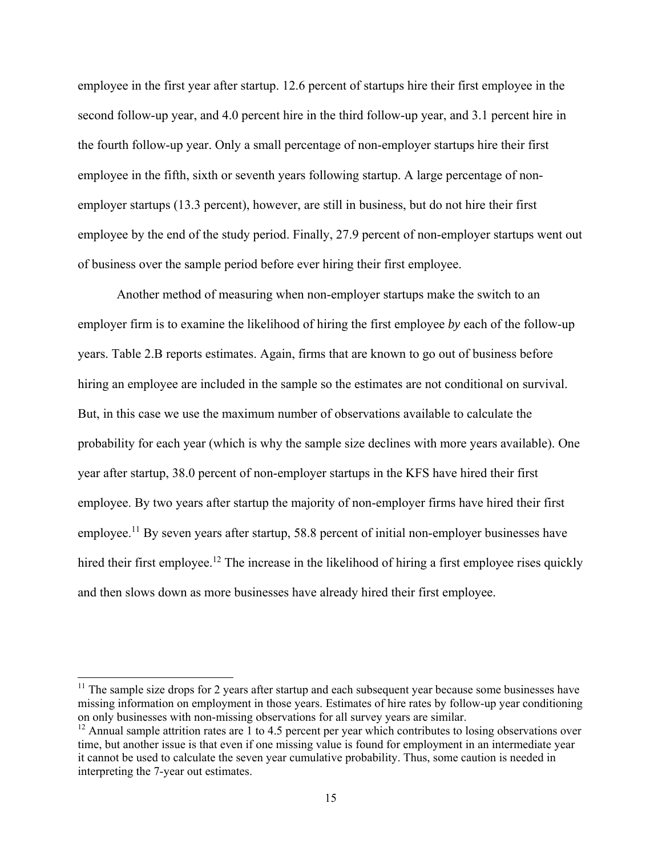employee in the first year after startup. 12.6 percent of startups hire their first employee in the second follow-up year, and 4.0 percent hire in the third follow-up year, and 3.1 percent hire in the fourth follow-up year. Only a small percentage of non-employer startups hire their first employee in the fifth, sixth or seventh years following startup. A large percentage of nonemployer startups (13.3 percent), however, are still in business, but do not hire their first employee by the end of the study period. Finally, 27.9 percent of non-employer startups went out of business over the sample period before ever hiring their first employee.

 Another method of measuring when non-employer startups make the switch to an employer firm is to examine the likelihood of hiring the first employee *by* each of the follow-up years. Table 2.B reports estimates. Again, firms that are known to go out of business before hiring an employee are included in the sample so the estimates are not conditional on survival. But, in this case we use the maximum number of observations available to calculate the probability for each year (which is why the sample size declines with more years available). One year after startup, 38.0 percent of non-employer startups in the KFS have hired their first employee. By two years after startup the majority of non-employer firms have hired their first employee.<sup>11</sup> By seven years after startup, 58.8 percent of initial non-employer businesses have hired their first employee.<sup>12</sup> The increase in the likelihood of hiring a first employee rises quickly and then slows down as more businesses have already hired their first employee.

l

 $11$  The sample size drops for 2 years after startup and each subsequent year because some businesses have missing information on employment in those years. Estimates of hire rates by follow-up year conditioning on only businesses with non-missing observations for all survey years are similar.

<sup>&</sup>lt;sup>12</sup> Annual sample attrition rates are 1 to 4.5 percent per year which contributes to losing observations over time, but another issue is that even if one missing value is found for employment in an intermediate year it cannot be used to calculate the seven year cumulative probability. Thus, some caution is needed in interpreting the 7-year out estimates.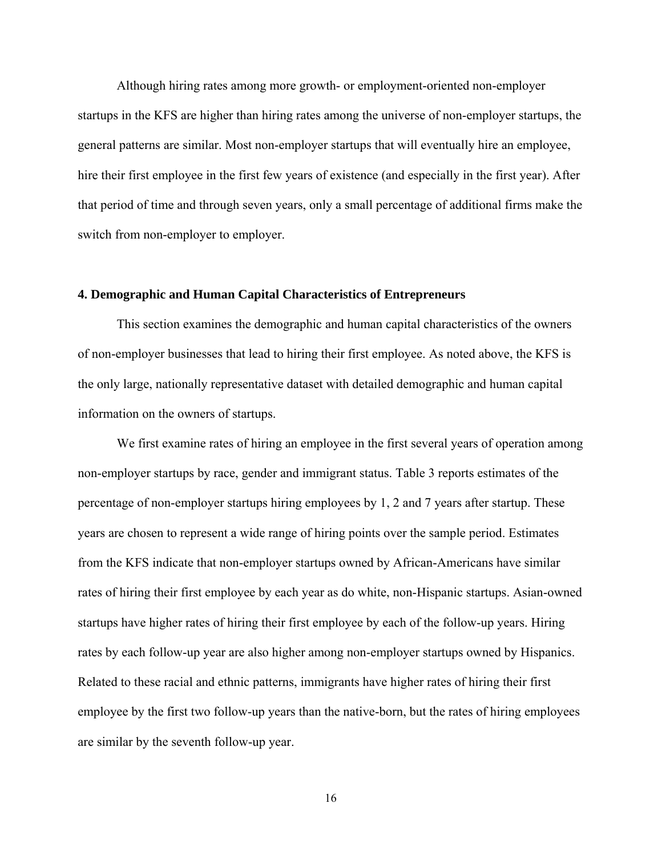Although hiring rates among more growth- or employment-oriented non-employer startups in the KFS are higher than hiring rates among the universe of non-employer startups, the general patterns are similar. Most non-employer startups that will eventually hire an employee, hire their first employee in the first few years of existence (and especially in the first year). After that period of time and through seven years, only a small percentage of additional firms make the switch from non-employer to employer.

# **4. Demographic and Human Capital Characteristics of Entrepreneurs**

This section examines the demographic and human capital characteristics of the owners of non-employer businesses that lead to hiring their first employee. As noted above, the KFS is the only large, nationally representative dataset with detailed demographic and human capital information on the owners of startups.

We first examine rates of hiring an employee in the first several years of operation among non-employer startups by race, gender and immigrant status. Table 3 reports estimates of the percentage of non-employer startups hiring employees by 1, 2 and 7 years after startup. These years are chosen to represent a wide range of hiring points over the sample period. Estimates from the KFS indicate that non-employer startups owned by African-Americans have similar rates of hiring their first employee by each year as do white, non-Hispanic startups. Asian-owned startups have higher rates of hiring their first employee by each of the follow-up years. Hiring rates by each follow-up year are also higher among non-employer startups owned by Hispanics. Related to these racial and ethnic patterns, immigrants have higher rates of hiring their first employee by the first two follow-up years than the native-born, but the rates of hiring employees are similar by the seventh follow-up year.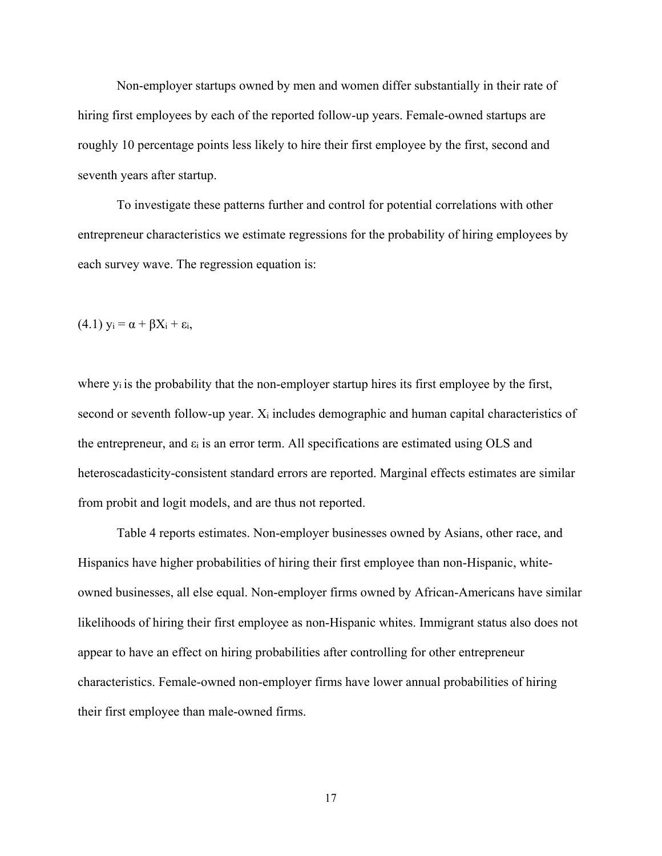Non-employer startups owned by men and women differ substantially in their rate of hiring first employees by each of the reported follow-up years. Female-owned startups are roughly 10 percentage points less likely to hire their first employee by the first, second and seventh years after startup.

 To investigate these patterns further and control for potential correlations with other entrepreneur characteristics we estimate regressions for the probability of hiring employees by each survey wave. The regression equation is:

$$
(4.1) y_i = \alpha + \beta X_i + \varepsilon_i,
$$

where y<sub>i</sub> is the probability that the non-employer startup hires its first employee by the first, second or seventh follow-up year. Xi includes demographic and human capital characteristics of the entrepreneur, and  $\varepsilon_i$  is an error term. All specifications are estimated using OLS and heteroscadasticity-consistent standard errors are reported. Marginal effects estimates are similar from probit and logit models, and are thus not reported.

Table 4 reports estimates. Non-employer businesses owned by Asians, other race, and Hispanics have higher probabilities of hiring their first employee than non-Hispanic, whiteowned businesses, all else equal. Non-employer firms owned by African-Americans have similar likelihoods of hiring their first employee as non-Hispanic whites. Immigrant status also does not appear to have an effect on hiring probabilities after controlling for other entrepreneur characteristics. Female-owned non-employer firms have lower annual probabilities of hiring their first employee than male-owned firms.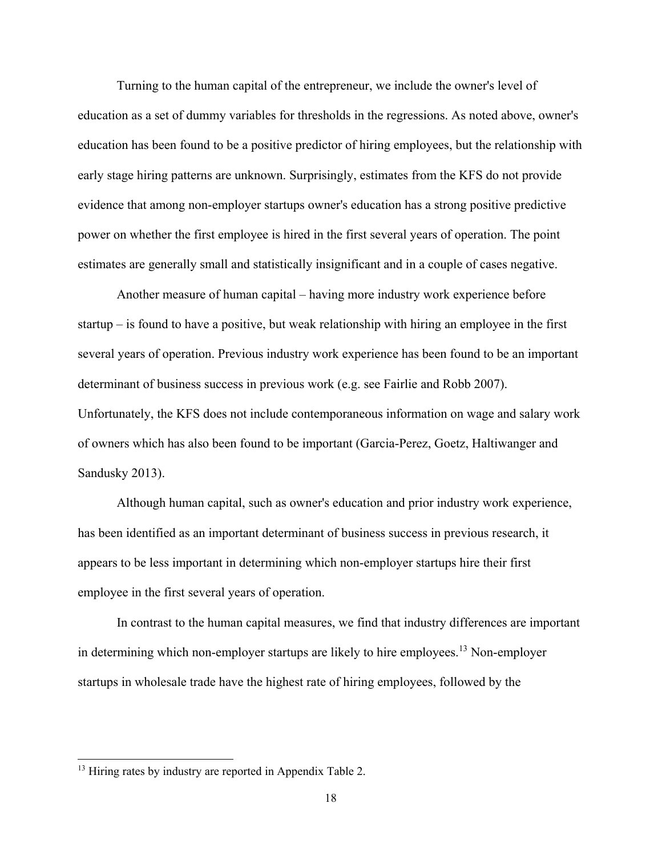Turning to the human capital of the entrepreneur, we include the owner's level of education as a set of dummy variables for thresholds in the regressions. As noted above, owner's education has been found to be a positive predictor of hiring employees, but the relationship with early stage hiring patterns are unknown. Surprisingly, estimates from the KFS do not provide evidence that among non-employer startups owner's education has a strong positive predictive power on whether the first employee is hired in the first several years of operation. The point estimates are generally small and statistically insignificant and in a couple of cases negative.

Another measure of human capital – having more industry work experience before startup – is found to have a positive, but weak relationship with hiring an employee in the first several years of operation. Previous industry work experience has been found to be an important determinant of business success in previous work (e.g. see Fairlie and Robb 2007). Unfortunately, the KFS does not include contemporaneous information on wage and salary work of owners which has also been found to be important (Garcia-Perez, Goetz, Haltiwanger and Sandusky 2013).

Although human capital, such as owner's education and prior industry work experience, has been identified as an important determinant of business success in previous research, it appears to be less important in determining which non-employer startups hire their first employee in the first several years of operation.

 In contrast to the human capital measures, we find that industry differences are important in determining which non-employer startups are likely to hire employees.<sup>13</sup> Non-employer startups in wholesale trade have the highest rate of hiring employees, followed by the

 $\overline{a}$ 

<sup>&</sup>lt;sup>13</sup> Hiring rates by industry are reported in Appendix Table 2.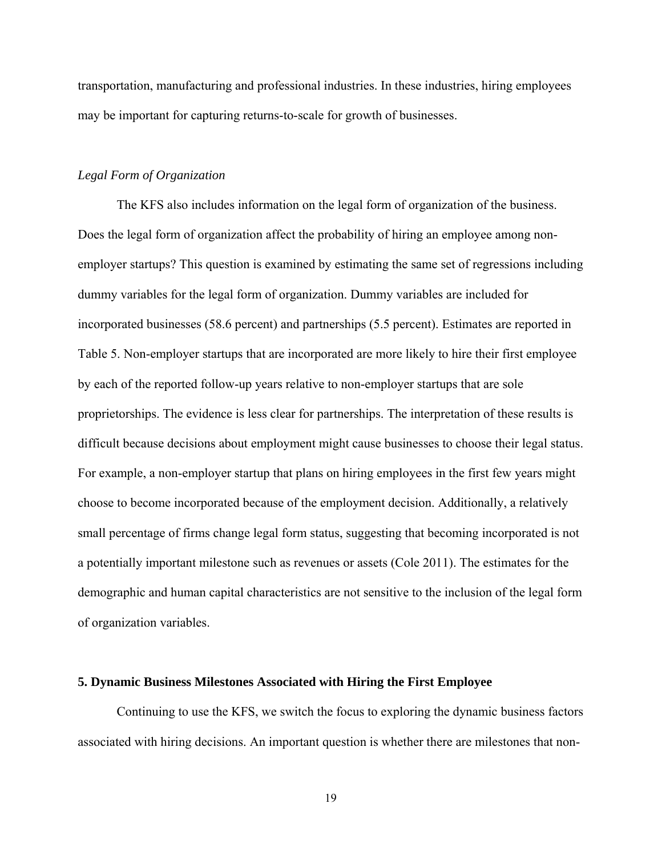transportation, manufacturing and professional industries. In these industries, hiring employees may be important for capturing returns-to-scale for growth of businesses.

# *Legal Form of Organization*

 The KFS also includes information on the legal form of organization of the business. Does the legal form of organization affect the probability of hiring an employee among nonemployer startups? This question is examined by estimating the same set of regressions including dummy variables for the legal form of organization. Dummy variables are included for incorporated businesses (58.6 percent) and partnerships (5.5 percent). Estimates are reported in Table 5. Non-employer startups that are incorporated are more likely to hire their first employee by each of the reported follow-up years relative to non-employer startups that are sole proprietorships. The evidence is less clear for partnerships. The interpretation of these results is difficult because decisions about employment might cause businesses to choose their legal status. For example, a non-employer startup that plans on hiring employees in the first few years might choose to become incorporated because of the employment decision. Additionally, a relatively small percentage of firms change legal form status, suggesting that becoming incorporated is not a potentially important milestone such as revenues or assets (Cole 2011). The estimates for the demographic and human capital characteristics are not sensitive to the inclusion of the legal form of organization variables.

# **5. Dynamic Business Milestones Associated with Hiring the First Employee**

 Continuing to use the KFS, we switch the focus to exploring the dynamic business factors associated with hiring decisions. An important question is whether there are milestones that non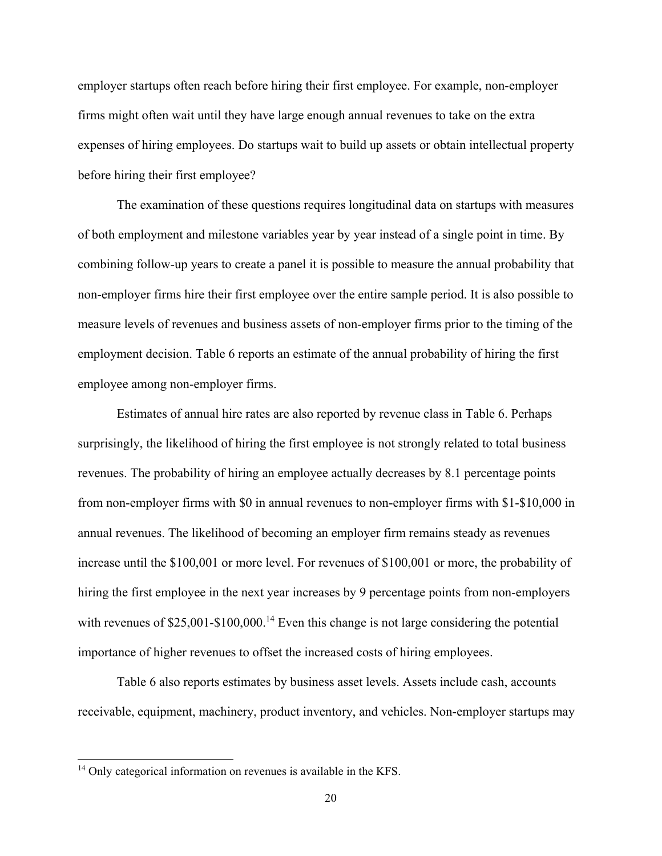employer startups often reach before hiring their first employee. For example, non-employer firms might often wait until they have large enough annual revenues to take on the extra expenses of hiring employees. Do startups wait to build up assets or obtain intellectual property before hiring their first employee?

 The examination of these questions requires longitudinal data on startups with measures of both employment and milestone variables year by year instead of a single point in time. By combining follow-up years to create a panel it is possible to measure the annual probability that non-employer firms hire their first employee over the entire sample period. It is also possible to measure levels of revenues and business assets of non-employer firms prior to the timing of the employment decision. Table 6 reports an estimate of the annual probability of hiring the first employee among non-employer firms.

 Estimates of annual hire rates are also reported by revenue class in Table 6. Perhaps surprisingly, the likelihood of hiring the first employee is not strongly related to total business revenues. The probability of hiring an employee actually decreases by 8.1 percentage points from non-employer firms with \$0 in annual revenues to non-employer firms with \$1-\$10,000 in annual revenues. The likelihood of becoming an employer firm remains steady as revenues increase until the \$100,001 or more level. For revenues of \$100,001 or more, the probability of hiring the first employee in the next year increases by 9 percentage points from non-employers with revenues of  $$25,001$$ - $$100,000$ .<sup>14</sup> Even this change is not large considering the potential importance of higher revenues to offset the increased costs of hiring employees.

 Table 6 also reports estimates by business asset levels. Assets include cash, accounts receivable, equipment, machinery, product inventory, and vehicles. Non-employer startups may

 $\overline{a}$ 

<sup>&</sup>lt;sup>14</sup> Only categorical information on revenues is available in the KFS.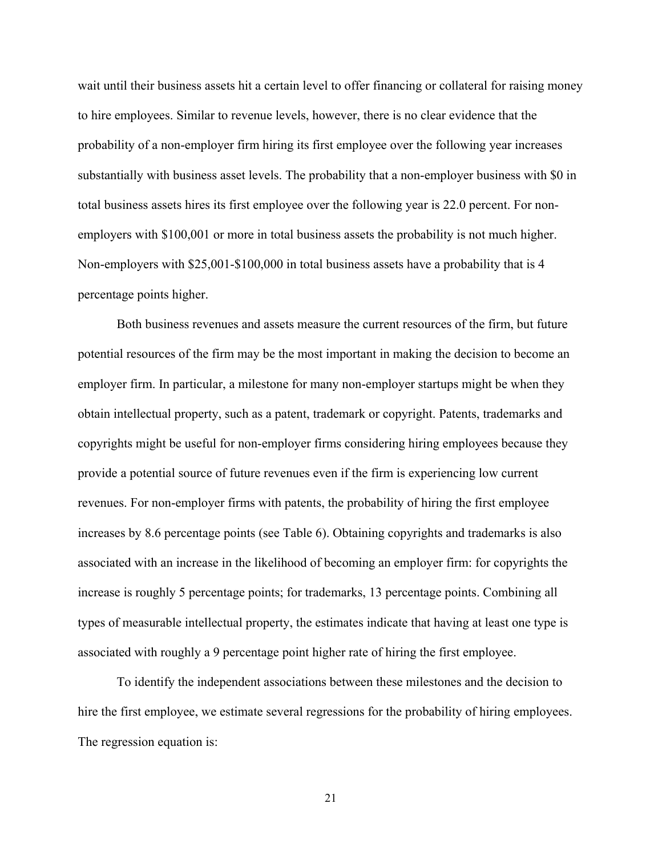wait until their business assets hit a certain level to offer financing or collateral for raising money to hire employees. Similar to revenue levels, however, there is no clear evidence that the probability of a non-employer firm hiring its first employee over the following year increases substantially with business asset levels. The probability that a non-employer business with \$0 in total business assets hires its first employee over the following year is 22.0 percent. For nonemployers with \$100,001 or more in total business assets the probability is not much higher. Non-employers with \$25,001-\$100,000 in total business assets have a probability that is 4 percentage points higher.

 Both business revenues and assets measure the current resources of the firm, but future potential resources of the firm may be the most important in making the decision to become an employer firm. In particular, a milestone for many non-employer startups might be when they obtain intellectual property, such as a patent, trademark or copyright. Patents, trademarks and copyrights might be useful for non-employer firms considering hiring employees because they provide a potential source of future revenues even if the firm is experiencing low current revenues. For non-employer firms with patents, the probability of hiring the first employee increases by 8.6 percentage points (see Table 6). Obtaining copyrights and trademarks is also associated with an increase in the likelihood of becoming an employer firm: for copyrights the increase is roughly 5 percentage points; for trademarks, 13 percentage points. Combining all types of measurable intellectual property, the estimates indicate that having at least one type is associated with roughly a 9 percentage point higher rate of hiring the first employee.

 To identify the independent associations between these milestones and the decision to hire the first employee, we estimate several regressions for the probability of hiring employees. The regression equation is: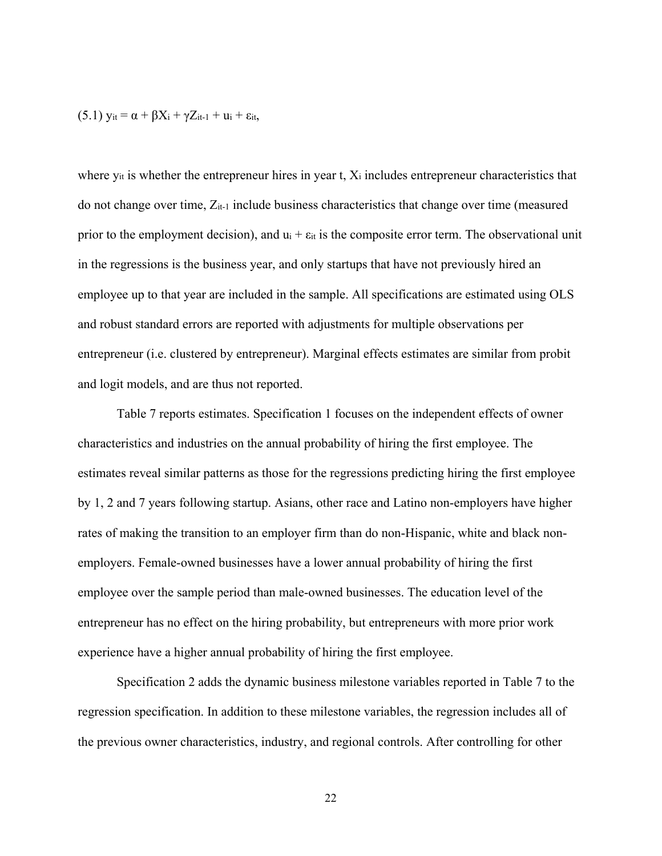$$
(5.1) y_{it} = \alpha + \beta X_i + \gamma Z_{it-1} + u_i + \epsilon_{it},
$$

where  $y_{it}$  is whether the entrepreneur hires in year t,  $X_i$  includes entrepreneur characteristics that do not change over time, Zit-1 include business characteristics that change over time (measured prior to the employment decision), and  $u_i + \varepsilon_{it}$  is the composite error term. The observational unit in the regressions is the business year, and only startups that have not previously hired an employee up to that year are included in the sample. All specifications are estimated using OLS and robust standard errors are reported with adjustments for multiple observations per entrepreneur (i.e. clustered by entrepreneur). Marginal effects estimates are similar from probit and logit models, and are thus not reported.

Table 7 reports estimates. Specification 1 focuses on the independent effects of owner characteristics and industries on the annual probability of hiring the first employee. The estimates reveal similar patterns as those for the regressions predicting hiring the first employee by 1, 2 and 7 years following startup. Asians, other race and Latino non-employers have higher rates of making the transition to an employer firm than do non-Hispanic, white and black nonemployers. Female-owned businesses have a lower annual probability of hiring the first employee over the sample period than male-owned businesses. The education level of the entrepreneur has no effect on the hiring probability, but entrepreneurs with more prior work experience have a higher annual probability of hiring the first employee.

 Specification 2 adds the dynamic business milestone variables reported in Table 7 to the regression specification. In addition to these milestone variables, the regression includes all of the previous owner characteristics, industry, and regional controls. After controlling for other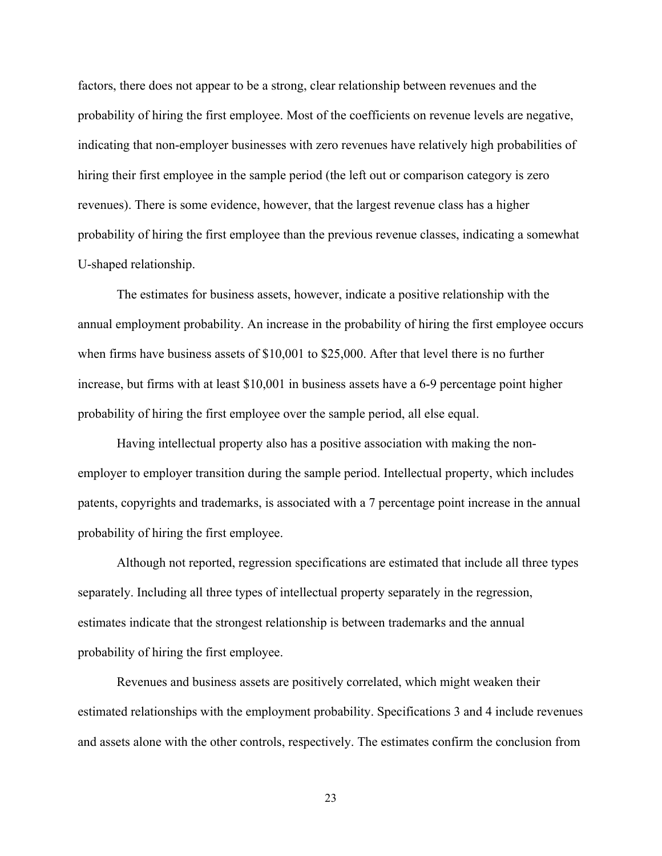factors, there does not appear to be a strong, clear relationship between revenues and the probability of hiring the first employee. Most of the coefficients on revenue levels are negative, indicating that non-employer businesses with zero revenues have relatively high probabilities of hiring their first employee in the sample period (the left out or comparison category is zero revenues). There is some evidence, however, that the largest revenue class has a higher probability of hiring the first employee than the previous revenue classes, indicating a somewhat U-shaped relationship.

 The estimates for business assets, however, indicate a positive relationship with the annual employment probability. An increase in the probability of hiring the first employee occurs when firms have business assets of \$10,001 to \$25,000. After that level there is no further increase, but firms with at least \$10,001 in business assets have a 6-9 percentage point higher probability of hiring the first employee over the sample period, all else equal.

 Having intellectual property also has a positive association with making the nonemployer to employer transition during the sample period. Intellectual property, which includes patents, copyrights and trademarks, is associated with a 7 percentage point increase in the annual probability of hiring the first employee.

 Although not reported, regression specifications are estimated that include all three types separately. Including all three types of intellectual property separately in the regression, estimates indicate that the strongest relationship is between trademarks and the annual probability of hiring the first employee.

 Revenues and business assets are positively correlated, which might weaken their estimated relationships with the employment probability. Specifications 3 and 4 include revenues and assets alone with the other controls, respectively. The estimates confirm the conclusion from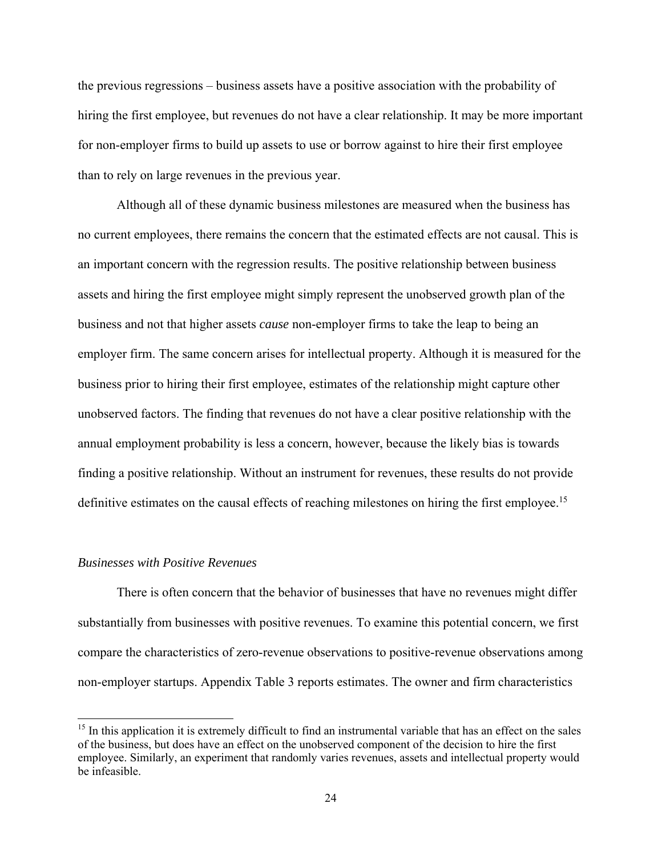the previous regressions – business assets have a positive association with the probability of hiring the first employee, but revenues do not have a clear relationship. It may be more important for non-employer firms to build up assets to use or borrow against to hire their first employee than to rely on large revenues in the previous year.

 Although all of these dynamic business milestones are measured when the business has no current employees, there remains the concern that the estimated effects are not causal. This is an important concern with the regression results. The positive relationship between business assets and hiring the first employee might simply represent the unobserved growth plan of the business and not that higher assets *cause* non-employer firms to take the leap to being an employer firm. The same concern arises for intellectual property. Although it is measured for the business prior to hiring their first employee, estimates of the relationship might capture other unobserved factors. The finding that revenues do not have a clear positive relationship with the annual employment probability is less a concern, however, because the likely bias is towards finding a positive relationship. Without an instrument for revenues, these results do not provide definitive estimates on the causal effects of reaching milestones on hiring the first employee.<sup>15</sup>

# *Businesses with Positive Revenues*

 $\overline{a}$ 

 There is often concern that the behavior of businesses that have no revenues might differ substantially from businesses with positive revenues. To examine this potential concern, we first compare the characteristics of zero-revenue observations to positive-revenue observations among non-employer startups. Appendix Table 3 reports estimates. The owner and firm characteristics

<sup>&</sup>lt;sup>15</sup> In this application it is extremely difficult to find an instrumental variable that has an effect on the sales of the business, but does have an effect on the unobserved component of the decision to hire the first employee. Similarly, an experiment that randomly varies revenues, assets and intellectual property would be infeasible.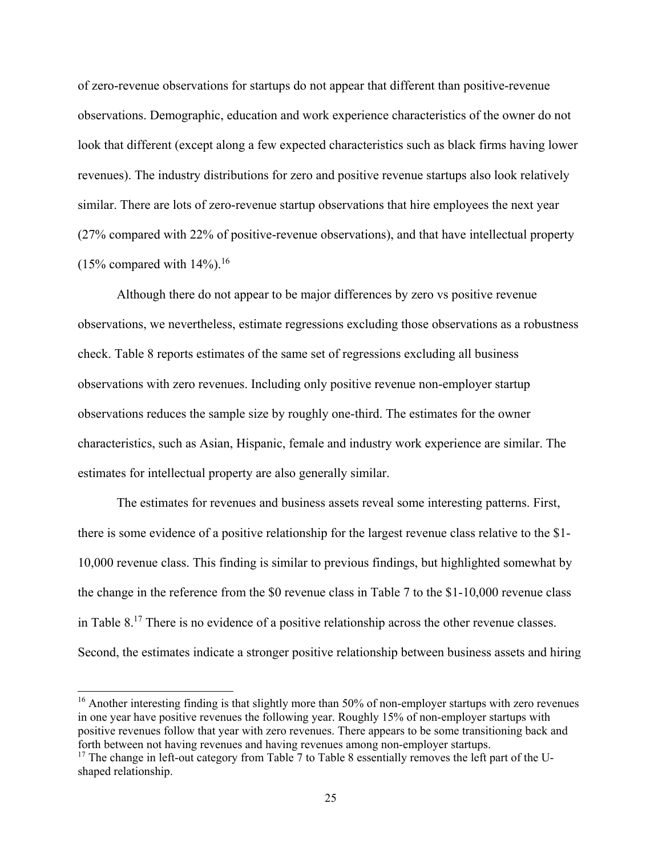of zero-revenue observations for startups do not appear that different than positive-revenue observations. Demographic, education and work experience characteristics of the owner do not look that different (except along a few expected characteristics such as black firms having lower revenues). The industry distributions for zero and positive revenue startups also look relatively similar. There are lots of zero-revenue startup observations that hire employees the next year (27% compared with 22% of positive-revenue observations), and that have intellectual property  $(15\%$  compared with  $14\%$ ).<sup>16</sup>

 Although there do not appear to be major differences by zero vs positive revenue observations, we nevertheless, estimate regressions excluding those observations as a robustness check. Table 8 reports estimates of the same set of regressions excluding all business observations with zero revenues. Including only positive revenue non-employer startup observations reduces the sample size by roughly one-third. The estimates for the owner characteristics, such as Asian, Hispanic, female and industry work experience are similar. The estimates for intellectual property are also generally similar.

 The estimates for revenues and business assets reveal some interesting patterns. First, there is some evidence of a positive relationship for the largest revenue class relative to the \$1- 10,000 revenue class. This finding is similar to previous findings, but highlighted somewhat by the change in the reference from the \$0 revenue class in Table 7 to the \$1-10,000 revenue class in Table 8.17 There is no evidence of a positive relationship across the other revenue classes. Second, the estimates indicate a stronger positive relationship between business assets and hiring

 $\overline{a}$ 

<sup>&</sup>lt;sup>16</sup> Another interesting finding is that slightly more than 50% of non-employer startups with zero revenues in one year have positive revenues the following year. Roughly 15% of non-employer startups with positive revenues follow that year with zero revenues. There appears to be some transitioning back and forth between not having revenues and having revenues among non-employer startups.

<sup>&</sup>lt;sup>17</sup> The change in left-out category from Table 7 to Table 8 essentially removes the left part of the Ushaped relationship.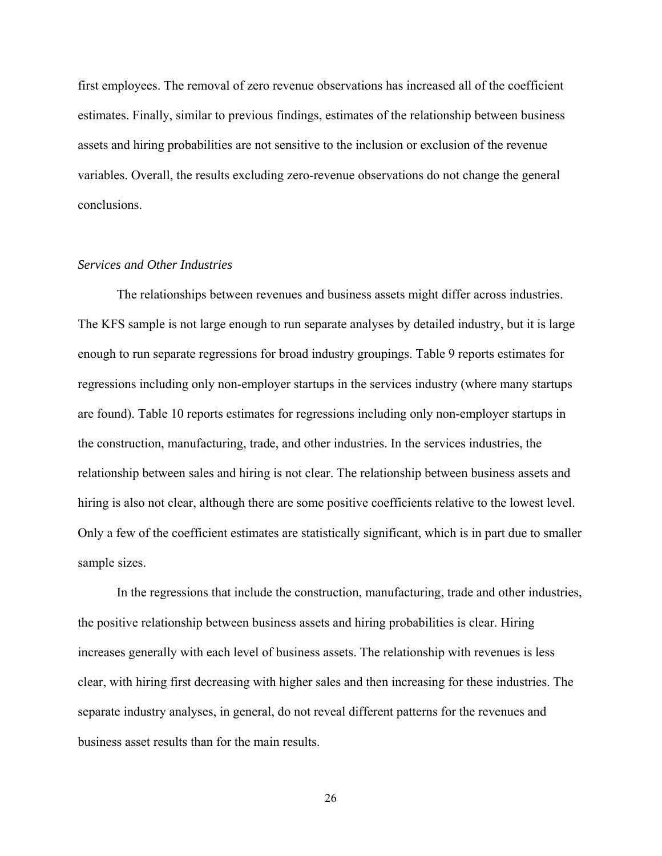first employees. The removal of zero revenue observations has increased all of the coefficient estimates. Finally, similar to previous findings, estimates of the relationship between business assets and hiring probabilities are not sensitive to the inclusion or exclusion of the revenue variables. Overall, the results excluding zero-revenue observations do not change the general conclusions.

# *Services and Other Industries*

 The relationships between revenues and business assets might differ across industries. The KFS sample is not large enough to run separate analyses by detailed industry, but it is large enough to run separate regressions for broad industry groupings. Table 9 reports estimates for regressions including only non-employer startups in the services industry (where many startups are found). Table 10 reports estimates for regressions including only non-employer startups in the construction, manufacturing, trade, and other industries. In the services industries, the relationship between sales and hiring is not clear. The relationship between business assets and hiring is also not clear, although there are some positive coefficients relative to the lowest level. Only a few of the coefficient estimates are statistically significant, which is in part due to smaller sample sizes.

 In the regressions that include the construction, manufacturing, trade and other industries, the positive relationship between business assets and hiring probabilities is clear. Hiring increases generally with each level of business assets. The relationship with revenues is less clear, with hiring first decreasing with higher sales and then increasing for these industries. The separate industry analyses, in general, do not reveal different patterns for the revenues and business asset results than for the main results.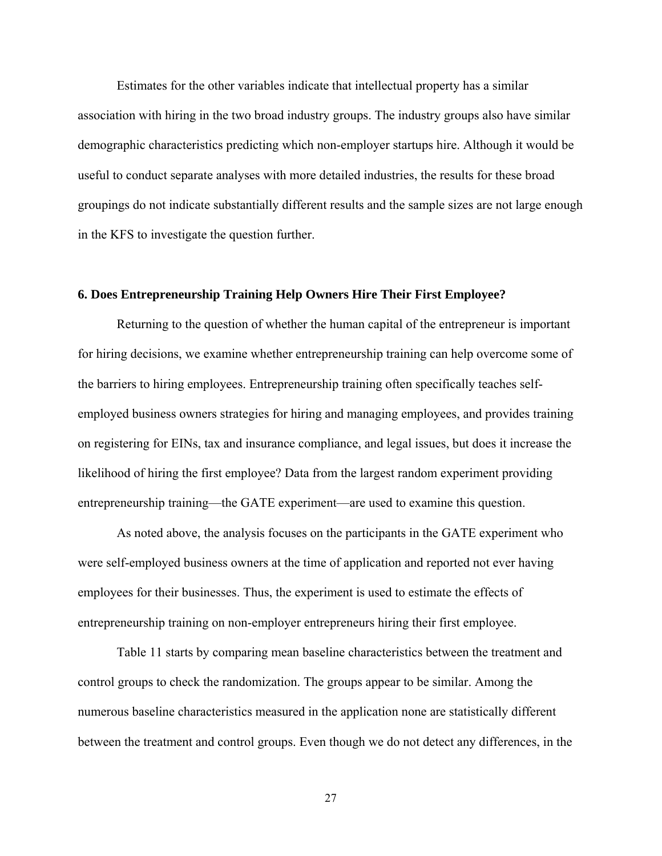Estimates for the other variables indicate that intellectual property has a similar association with hiring in the two broad industry groups. The industry groups also have similar demographic characteristics predicting which non-employer startups hire. Although it would be useful to conduct separate analyses with more detailed industries, the results for these broad groupings do not indicate substantially different results and the sample sizes are not large enough in the KFS to investigate the question further.

# **6. Does Entrepreneurship Training Help Owners Hire Their First Employee?**

 Returning to the question of whether the human capital of the entrepreneur is important for hiring decisions, we examine whether entrepreneurship training can help overcome some of the barriers to hiring employees. Entrepreneurship training often specifically teaches selfemployed business owners strategies for hiring and managing employees, and provides training on registering for EINs, tax and insurance compliance, and legal issues, but does it increase the likelihood of hiring the first employee? Data from the largest random experiment providing entrepreneurship training—the GATE experiment—are used to examine this question.

 As noted above, the analysis focuses on the participants in the GATE experiment who were self-employed business owners at the time of application and reported not ever having employees for their businesses. Thus, the experiment is used to estimate the effects of entrepreneurship training on non-employer entrepreneurs hiring their first employee.

 Table 11 starts by comparing mean baseline characteristics between the treatment and control groups to check the randomization. The groups appear to be similar. Among the numerous baseline characteristics measured in the application none are statistically different between the treatment and control groups. Even though we do not detect any differences, in the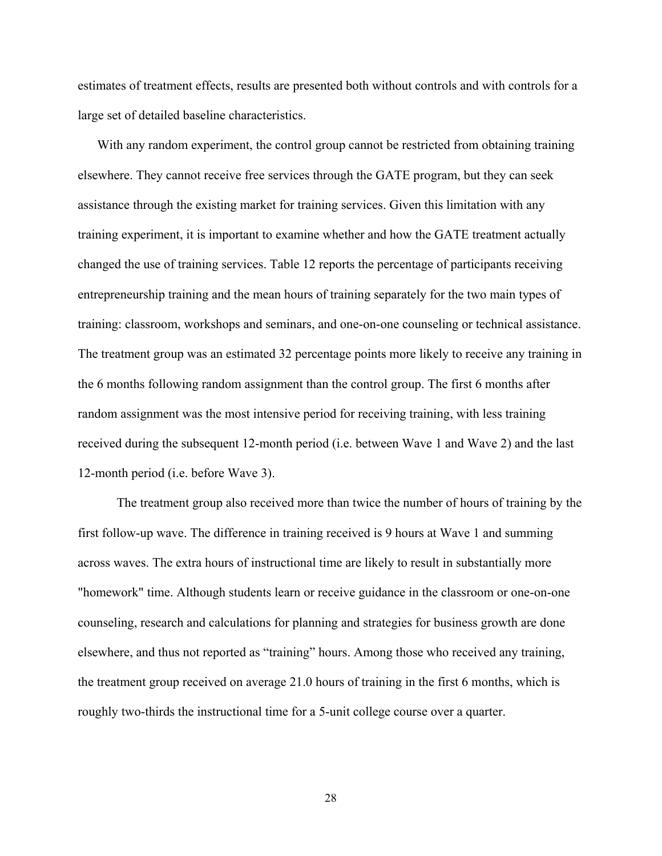estimates of treatment effects, results are presented both without controls and with controls for a large set of detailed baseline characteristics.

With any random experiment, the control group cannot be restricted from obtaining training elsewhere. They cannot receive free services through the GATE program, but they can seek assistance through the existing market for training services. Given this limitation with any training experiment, it is important to examine whether and how the GATE treatment actually changed the use of training services. Table 12 reports the percentage of participants receiving entrepreneurship training and the mean hours of training separately for the two main types of training: classroom, workshops and seminars, and one-on-one counseling or technical assistance. The treatment group was an estimated 32 percentage points more likely to receive any training in the 6 months following random assignment than the control group. The first 6 months after random assignment was the most intensive period for receiving training, with less training received during the subsequent 12-month period (i.e. between Wave 1 and Wave 2) and the last 12-month period (i.e. before Wave 3).

 The treatment group also received more than twice the number of hours of training by the first follow-up wave. The difference in training received is 9 hours at Wave 1 and summing across waves. The extra hours of instructional time are likely to result in substantially more "homework" time. Although students learn or receive guidance in the classroom or one-on-one counseling, research and calculations for planning and strategies for business growth are done elsewhere, and thus not reported as "training" hours. Among those who received any training, the treatment group received on average 21.0 hours of training in the first 6 months, which is roughly two-thirds the instructional time for a 5-unit college course over a quarter.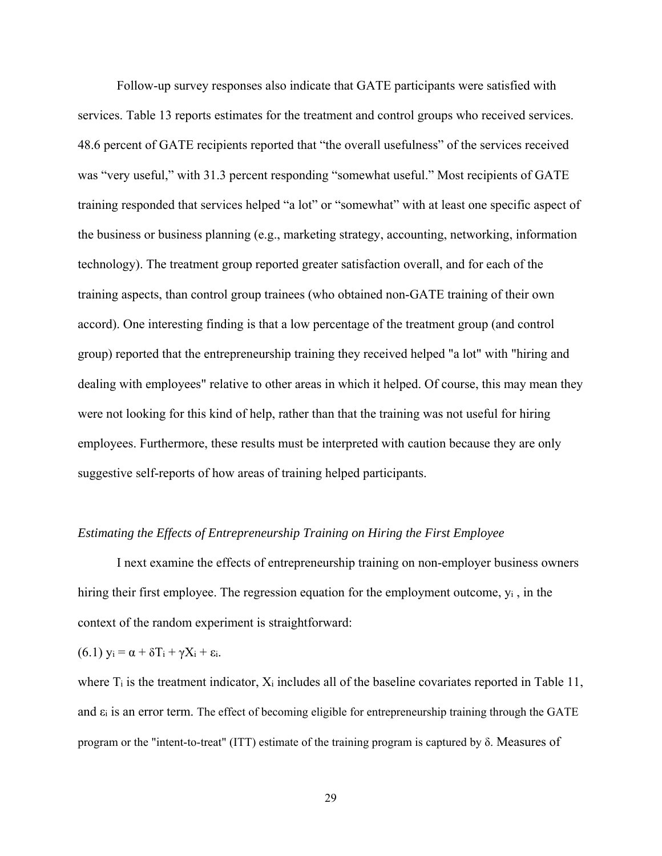Follow-up survey responses also indicate that GATE participants were satisfied with services. Table 13 reports estimates for the treatment and control groups who received services. 48.6 percent of GATE recipients reported that "the overall usefulness" of the services received was "very useful," with 31.3 percent responding "somewhat useful." Most recipients of GATE training responded that services helped "a lot" or "somewhat" with at least one specific aspect of the business or business planning (e.g., marketing strategy, accounting, networking, information technology). The treatment group reported greater satisfaction overall, and for each of the training aspects, than control group trainees (who obtained non-GATE training of their own accord). One interesting finding is that a low percentage of the treatment group (and control group) reported that the entrepreneurship training they received helped "a lot" with "hiring and dealing with employees" relative to other areas in which it helped. Of course, this may mean they were not looking for this kind of help, rather than that the training was not useful for hiring employees. Furthermore, these results must be interpreted with caution because they are only suggestive self-reports of how areas of training helped participants.

# *Estimating the Effects of Entrepreneurship Training on Hiring the First Employee*

 I next examine the effects of entrepreneurship training on non-employer business owners hiring their first employee. The regression equation for the employment outcome, yi , in the context of the random experiment is straightforward:

$$
(6.1) y_i = \alpha + \delta T_i + \gamma X_i + \epsilon_i.
$$

where  $T_i$  is the treatment indicator,  $X_i$  includes all of the baseline covariates reported in Table 11, and  $\varepsilon_i$  is an error term. The effect of becoming eligible for entrepreneurship training through the GATE program or the "intent-to-treat" (ITT) estimate of the training program is captured by δ. Measures of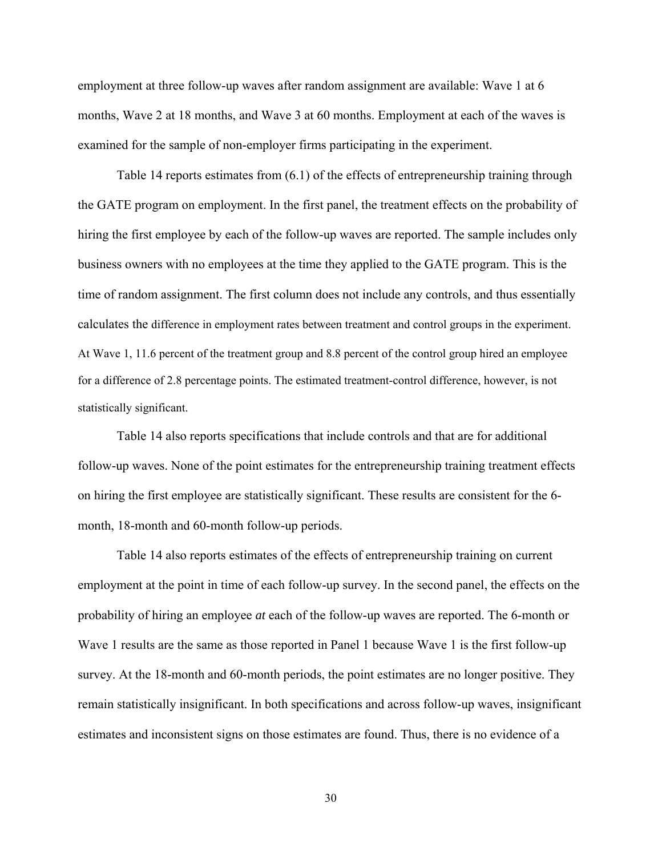employment at three follow-up waves after random assignment are available: Wave 1 at 6 months, Wave 2 at 18 months, and Wave 3 at 60 months. Employment at each of the waves is examined for the sample of non-employer firms participating in the experiment.

 Table 14 reports estimates from (6.1) of the effects of entrepreneurship training through the GATE program on employment. In the first panel, the treatment effects on the probability of hiring the first employee by each of the follow-up waves are reported. The sample includes only business owners with no employees at the time they applied to the GATE program. This is the time of random assignment. The first column does not include any controls, and thus essentially calculates the difference in employment rates between treatment and control groups in the experiment. At Wave 1, 11.6 percent of the treatment group and 8.8 percent of the control group hired an employee for a difference of 2.8 percentage points. The estimated treatment-control difference, however, is not statistically significant.

Table 14 also reports specifications that include controls and that are for additional follow-up waves. None of the point estimates for the entrepreneurship training treatment effects on hiring the first employee are statistically significant. These results are consistent for the 6 month, 18-month and 60-month follow-up periods.

 Table 14 also reports estimates of the effects of entrepreneurship training on current employment at the point in time of each follow-up survey. In the second panel, the effects on the probability of hiring an employee *at* each of the follow-up waves are reported. The 6-month or Wave 1 results are the same as those reported in Panel 1 because Wave 1 is the first follow-up survey. At the 18-month and 60-month periods, the point estimates are no longer positive. They remain statistically insignificant. In both specifications and across follow-up waves, insignificant estimates and inconsistent signs on those estimates are found. Thus, there is no evidence of a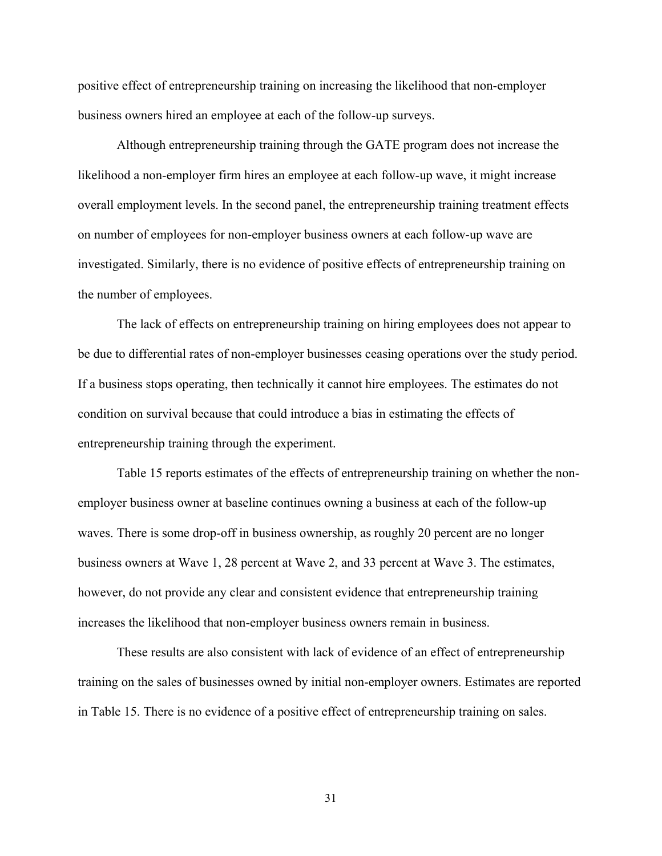positive effect of entrepreneurship training on increasing the likelihood that non-employer business owners hired an employee at each of the follow-up surveys.

 Although entrepreneurship training through the GATE program does not increase the likelihood a non-employer firm hires an employee at each follow-up wave, it might increase overall employment levels. In the second panel, the entrepreneurship training treatment effects on number of employees for non-employer business owners at each follow-up wave are investigated. Similarly, there is no evidence of positive effects of entrepreneurship training on the number of employees.

 The lack of effects on entrepreneurship training on hiring employees does not appear to be due to differential rates of non-employer businesses ceasing operations over the study period. If a business stops operating, then technically it cannot hire employees. The estimates do not condition on survival because that could introduce a bias in estimating the effects of entrepreneurship training through the experiment.

 Table 15 reports estimates of the effects of entrepreneurship training on whether the nonemployer business owner at baseline continues owning a business at each of the follow-up waves. There is some drop-off in business ownership, as roughly 20 percent are no longer business owners at Wave 1, 28 percent at Wave 2, and 33 percent at Wave 3. The estimates, however, do not provide any clear and consistent evidence that entrepreneurship training increases the likelihood that non-employer business owners remain in business.

 These results are also consistent with lack of evidence of an effect of entrepreneurship training on the sales of businesses owned by initial non-employer owners. Estimates are reported in Table 15. There is no evidence of a positive effect of entrepreneurship training on sales.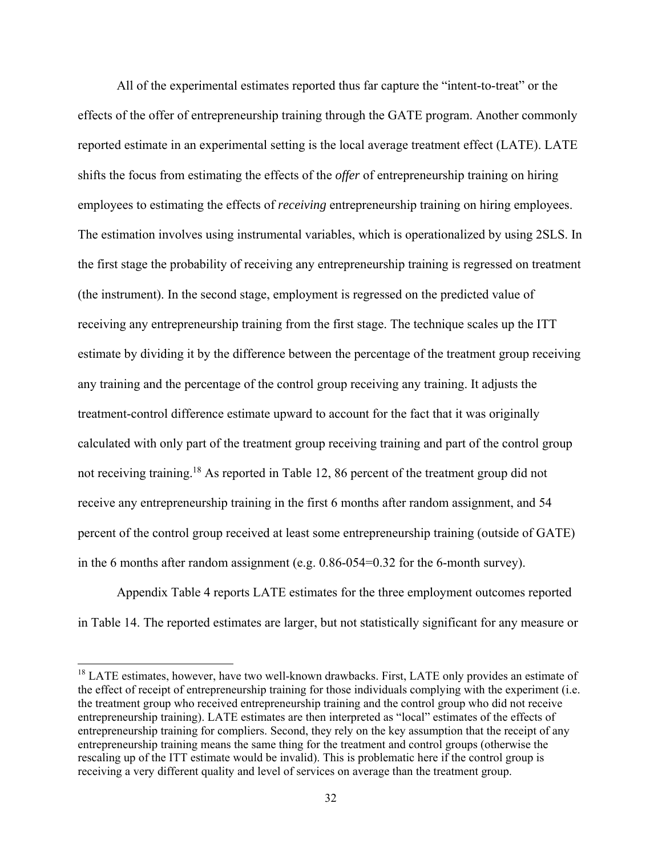All of the experimental estimates reported thus far capture the "intent-to-treat" or the effects of the offer of entrepreneurship training through the GATE program. Another commonly reported estimate in an experimental setting is the local average treatment effect (LATE). LATE shifts the focus from estimating the effects of the *offer* of entrepreneurship training on hiring employees to estimating the effects of *receiving* entrepreneurship training on hiring employees. The estimation involves using instrumental variables, which is operationalized by using 2SLS. In the first stage the probability of receiving any entrepreneurship training is regressed on treatment (the instrument). In the second stage, employment is regressed on the predicted value of receiving any entrepreneurship training from the first stage. The technique scales up the ITT estimate by dividing it by the difference between the percentage of the treatment group receiving any training and the percentage of the control group receiving any training. It adjusts the treatment-control difference estimate upward to account for the fact that it was originally calculated with only part of the treatment group receiving training and part of the control group not receiving training.<sup>18</sup> As reported in Table 12, 86 percent of the treatment group did not receive any entrepreneurship training in the first 6 months after random assignment, and 54 percent of the control group received at least some entrepreneurship training (outside of GATE) in the 6 months after random assignment (e.g. 0.86-054=0.32 for the 6-month survey).

 Appendix Table 4 reports LATE estimates for the three employment outcomes reported in Table 14. The reported estimates are larger, but not statistically significant for any measure or

 $\overline{a}$ 

<sup>&</sup>lt;sup>18</sup> LATE estimates, however, have two well-known drawbacks. First, LATE only provides an estimate of the effect of receipt of entrepreneurship training for those individuals complying with the experiment (i.e. the treatment group who received entrepreneurship training and the control group who did not receive entrepreneurship training). LATE estimates are then interpreted as "local" estimates of the effects of entrepreneurship training for compliers. Second, they rely on the key assumption that the receipt of any entrepreneurship training means the same thing for the treatment and control groups (otherwise the rescaling up of the ITT estimate would be invalid). This is problematic here if the control group is receiving a very different quality and level of services on average than the treatment group.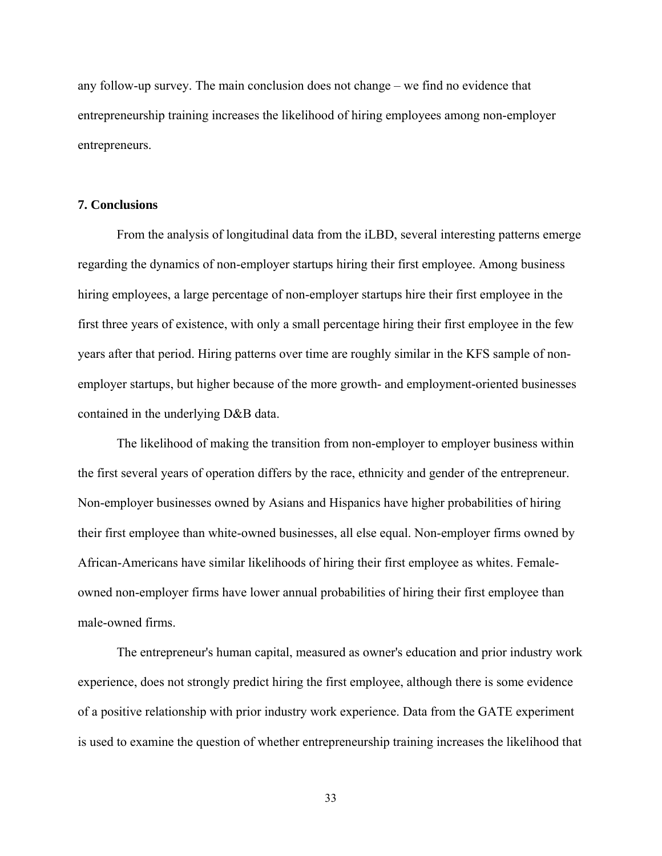any follow-up survey. The main conclusion does not change – we find no evidence that entrepreneurship training increases the likelihood of hiring employees among non-employer entrepreneurs.

# **7. Conclusions**

 From the analysis of longitudinal data from the iLBD, several interesting patterns emerge regarding the dynamics of non-employer startups hiring their first employee. Among business hiring employees, a large percentage of non-employer startups hire their first employee in the first three years of existence, with only a small percentage hiring their first employee in the few years after that period. Hiring patterns over time are roughly similar in the KFS sample of nonemployer startups, but higher because of the more growth- and employment-oriented businesses contained in the underlying D&B data.

 The likelihood of making the transition from non-employer to employer business within the first several years of operation differs by the race, ethnicity and gender of the entrepreneur. Non-employer businesses owned by Asians and Hispanics have higher probabilities of hiring their first employee than white-owned businesses, all else equal. Non-employer firms owned by African-Americans have similar likelihoods of hiring their first employee as whites. Femaleowned non-employer firms have lower annual probabilities of hiring their first employee than male-owned firms.

The entrepreneur's human capital, measured as owner's education and prior industry work experience, does not strongly predict hiring the first employee, although there is some evidence of a positive relationship with prior industry work experience. Data from the GATE experiment is used to examine the question of whether entrepreneurship training increases the likelihood that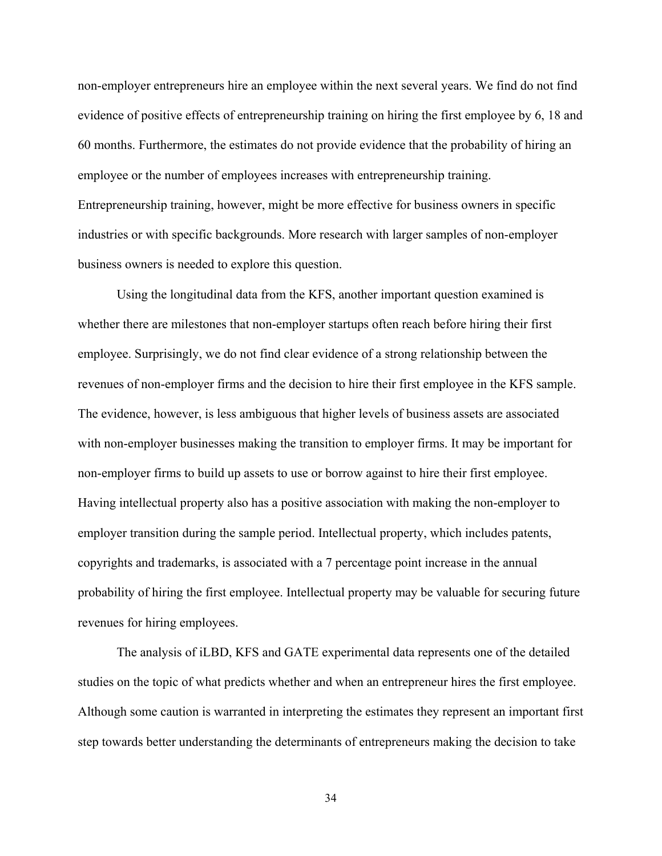non-employer entrepreneurs hire an employee within the next several years. We find do not find evidence of positive effects of entrepreneurship training on hiring the first employee by 6, 18 and 60 months. Furthermore, the estimates do not provide evidence that the probability of hiring an employee or the number of employees increases with entrepreneurship training. Entrepreneurship training, however, might be more effective for business owners in specific industries or with specific backgrounds. More research with larger samples of non-employer business owners is needed to explore this question.

 Using the longitudinal data from the KFS, another important question examined is whether there are milestones that non-employer startups often reach before hiring their first employee. Surprisingly, we do not find clear evidence of a strong relationship between the revenues of non-employer firms and the decision to hire their first employee in the KFS sample. The evidence, however, is less ambiguous that higher levels of business assets are associated with non-employer businesses making the transition to employer firms. It may be important for non-employer firms to build up assets to use or borrow against to hire their first employee. Having intellectual property also has a positive association with making the non-employer to employer transition during the sample period. Intellectual property, which includes patents, copyrights and trademarks, is associated with a 7 percentage point increase in the annual probability of hiring the first employee. Intellectual property may be valuable for securing future revenues for hiring employees.

 The analysis of iLBD, KFS and GATE experimental data represents one of the detailed studies on the topic of what predicts whether and when an entrepreneur hires the first employee. Although some caution is warranted in interpreting the estimates they represent an important first step towards better understanding the determinants of entrepreneurs making the decision to take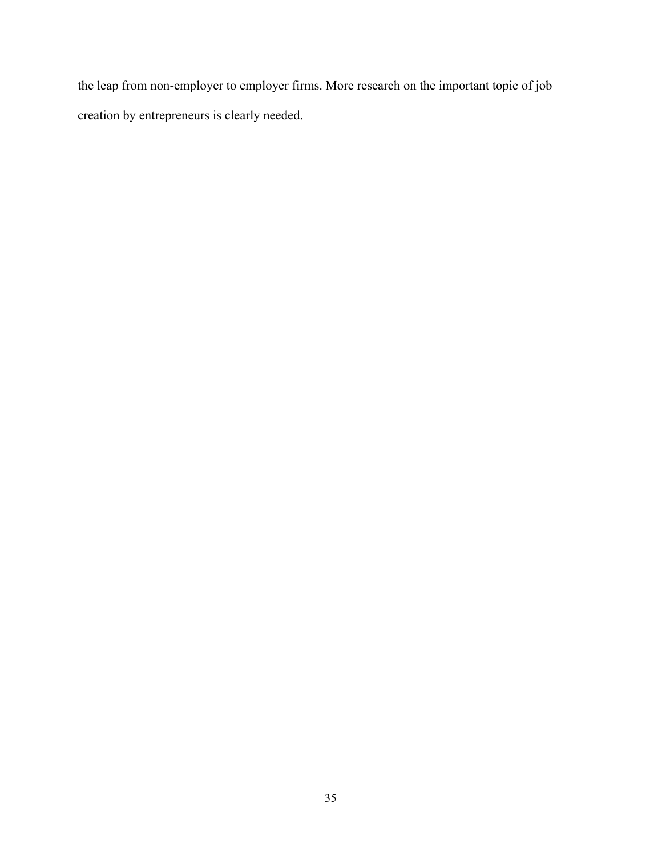the leap from non-employer to employer firms. More research on the important topic of job creation by entrepreneurs is clearly needed.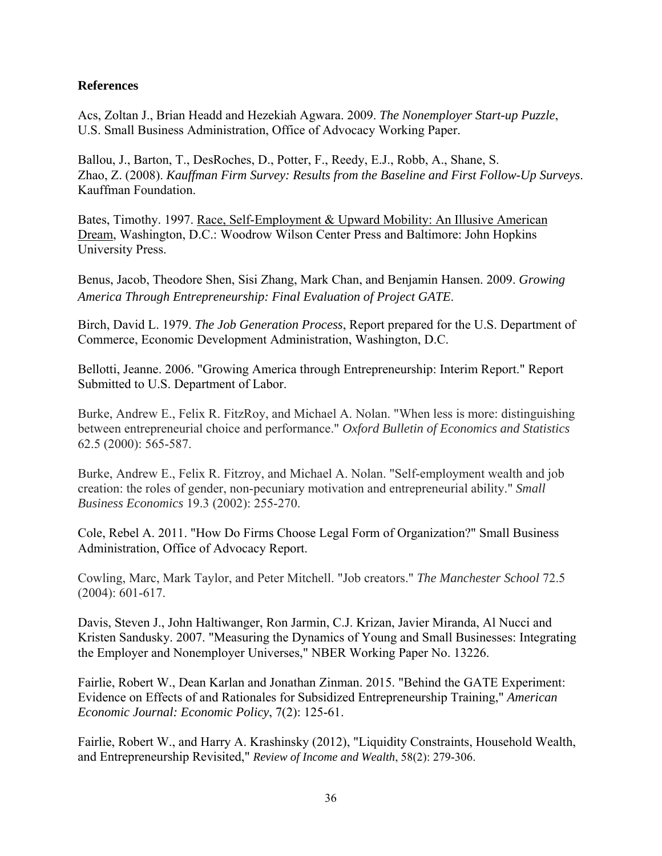# **References**

Acs, Zoltan J., Brian Headd and Hezekiah Agwara. 2009. *The Nonemployer Start-up Puzzle*, U.S. Small Business Administration, Office of Advocacy Working Paper.

Ballou, J., Barton, T., DesRoches, D., Potter, F., Reedy, E.J., Robb, A., Shane, S. Zhao, Z. (2008). *Kauffman Firm Survey: Results from the Baseline and First Follow-Up Surveys*. Kauffman Foundation.

Bates, Timothy. 1997. Race, Self-Employment & Upward Mobility: An Illusive American Dream, Washington, D.C.: Woodrow Wilson Center Press and Baltimore: John Hopkins University Press.

Benus, Jacob, Theodore Shen, Sisi Zhang, Mark Chan, and Benjamin Hansen. 2009. *Growing America Through Entrepreneurship: Final Evaluation of Project GATE*.

Birch, David L. 1979. *The Job Generation Process*, Report prepared for the U.S. Department of Commerce, Economic Development Administration, Washington, D.C.

Bellotti, Jeanne. 2006. "Growing America through Entrepreneurship: Interim Report." Report Submitted to U.S. Department of Labor.

Burke, Andrew E., Felix R. FitzRoy, and Michael A. Nolan. "When less is more: distinguishing between entrepreneurial choice and performance." *Oxford Bulletin of Economics and Statistics* 62.5 (2000): 565-587.

Burke, Andrew E., Felix R. Fitzroy, and Michael A. Nolan. "Self-employment wealth and job creation: the roles of gender, non-pecuniary motivation and entrepreneurial ability." *Small Business Economics* 19.3 (2002): 255-270.

Cole, Rebel A. 2011. "How Do Firms Choose Legal Form of Organization?" Small Business Administration, Office of Advocacy Report.

Cowling, Marc, Mark Taylor, and Peter Mitchell. "Job creators." *The Manchester School* 72.5 (2004): 601-617.

Davis, Steven J., John Haltiwanger, Ron Jarmin, C.J. Krizan, Javier Miranda, Al Nucci and Kristen Sandusky. 2007. "Measuring the Dynamics of Young and Small Businesses: Integrating the Employer and Nonemployer Universes," NBER Working Paper No. 13226.

Fairlie, Robert W., Dean Karlan and Jonathan Zinman. 2015. "Behind the GATE Experiment: Evidence on Effects of and Rationales for Subsidized Entrepreneurship Training," *American Economic Journal: Economic Policy*, 7(2): 125-61.

Fairlie, Robert W., and Harry A. Krashinsky (2012), "Liquidity Constraints, Household Wealth, and Entrepreneurship Revisited," *Review of Income and Wealth*, 58(2): 279-306.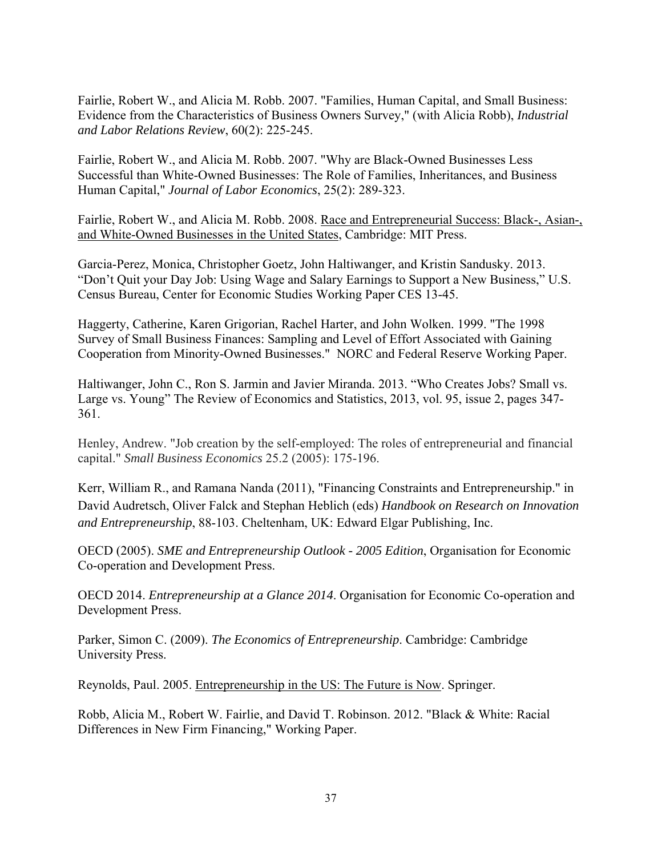Fairlie, Robert W., and Alicia M. Robb. 2007. "Families, Human Capital, and Small Business: Evidence from the Characteristics of Business Owners Survey," (with Alicia Robb), *Industrial and Labor Relations Review*, 60(2): 225-245.

Fairlie, Robert W., and Alicia M. Robb. 2007. "Why are Black-Owned Businesses Less Successful than White-Owned Businesses: The Role of Families, Inheritances, and Business Human Capital," *Journal of Labor Economics*, 25(2): 289-323.

Fairlie, Robert W., and Alicia M. Robb. 2008. Race and Entrepreneurial Success: Black-, Asian-, and White-Owned Businesses in the United States, Cambridge: MIT Press.

Garcia-Perez, Monica, Christopher Goetz, John Haltiwanger, and Kristin Sandusky. 2013. "Don't Quit your Day Job: Using Wage and Salary Earnings to Support a New Business," U.S. Census Bureau, Center for Economic Studies Working Paper CES 13-45.

Haggerty, Catherine, Karen Grigorian, Rachel Harter, and John Wolken. 1999. "The 1998 Survey of Small Business Finances: Sampling and Level of Effort Associated with Gaining Cooperation from Minority-Owned Businesses." NORC and Federal Reserve Working Paper.

Haltiwanger, John C., Ron S. Jarmin and Javier Miranda. 2013. "Who Creates Jobs? Small vs. Large vs. Young" The Review of Economics and Statistics, 2013, vol. 95, issue 2, pages 347- 361.

Henley, Andrew. "Job creation by the self-employed: The roles of entrepreneurial and financial capital." *Small Business Economics* 25.2 (2005): 175-196.

Kerr, William R., and Ramana Nanda (2011), "Financing Constraints and Entrepreneurship." in David Audretsch, Oliver Falck and Stephan Heblich (eds) *Handbook on Research on Innovation and Entrepreneurship*, 88-103. Cheltenham, UK: Edward Elgar Publishing, Inc.

OECD (2005). *SME and Entrepreneurship Outlook - 2005 Edition*, Organisation for Economic Co-operation and Development Press.

OECD 2014. *Entrepreneurship at a Glance 2014*. Organisation for Economic Co-operation and Development Press.

Parker, Simon C. (2009). *The Economics of Entrepreneurship*. Cambridge: Cambridge University Press.

Reynolds, Paul. 2005. Entrepreneurship in the US: The Future is Now. Springer.

Robb, Alicia M., Robert W. Fairlie, and David T. Robinson. 2012. "Black & White: Racial Differences in New Firm Financing," Working Paper.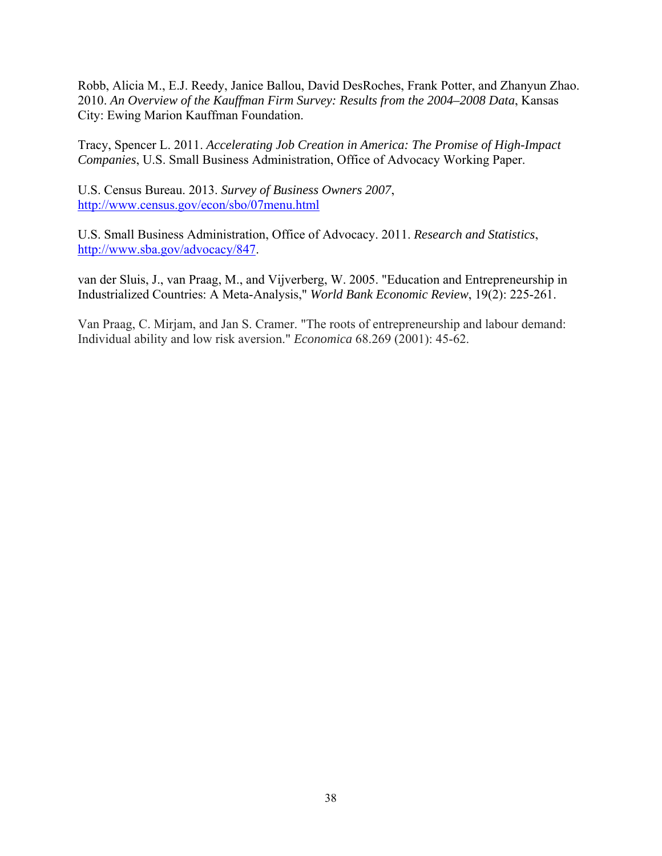Robb, Alicia M., E.J. Reedy, Janice Ballou, David DesRoches, Frank Potter, and Zhanyun Zhao. 2010. *An Overview of the Kauffman Firm Survey: Results from the 2004–2008 Data*, Kansas City: Ewing Marion Kauffman Foundation.

Tracy, Spencer L. 2011. *Accelerating Job Creation in America: The Promise of High-Impact Companies*, U.S. Small Business Administration, Office of Advocacy Working Paper.

U.S. Census Bureau. 2013. *Survey of Business Owners 2007*, http://www.census.gov/econ/sbo/07menu.html

U.S. Small Business Administration, Office of Advocacy. 2011. *Research and Statistics*, http://www.sba.gov/advocacy/847.

van der Sluis, J., van Praag, M., and Vijverberg, W. 2005. "Education and Entrepreneurship in Industrialized Countries: A Meta-Analysis," *World Bank Economic Review*, 19(2): 225-261.

Van Praag, C. Mirjam, and Jan S. Cramer. "The roots of entrepreneurship and labour demand: Individual ability and low risk aversion." *Economica* 68.269 (2001): 45-62.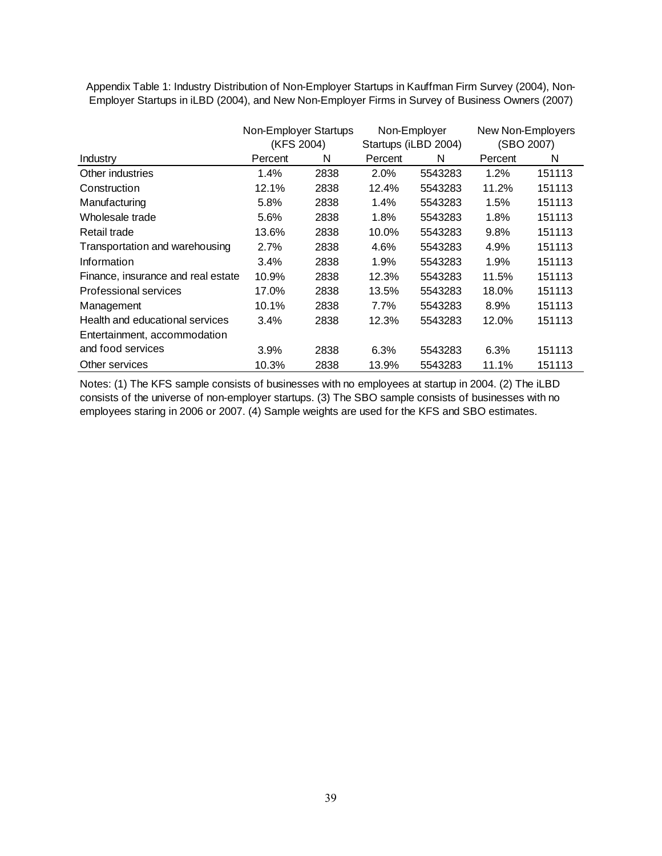Appendix Table 1: Industry Distribution of Non-Employer Startups in Kauffman Firm Survey (2004), Non-Employer Startups in iLBD (2004), and New Non-Employer Firms in Survey of Business Owners (2007)

|                                    | Non-Employer Startups |      |         | Non-Employer         |            | New Non-Employers |
|------------------------------------|-----------------------|------|---------|----------------------|------------|-------------------|
|                                    | (KFS 2004)            |      |         | Startups (iLBD 2004) | (SBO 2007) |                   |
| Industry                           | Percent               | N    | Percent | N                    | Percent    | N                 |
| Other industries                   | 1.4%                  | 2838 | 2.0%    | 5543283              | 1.2%       | 151113            |
| Construction                       | 12.1%                 | 2838 | 12.4%   | 5543283              | 11.2%      | 151113            |
| Manufacturing                      | 5.8%                  | 2838 | 1.4%    | 5543283              | 1.5%       | 151113            |
| Wholesale trade                    | 5.6%                  | 2838 | 1.8%    | 5543283              | 1.8%       | 151113            |
| Retail trade                       | 13.6%                 | 2838 | 10.0%   | 5543283              | 9.8%       | 151113            |
| Transportation and warehousing     | 2.7%                  | 2838 | 4.6%    | 5543283              | 4.9%       | 151113            |
| Information                        | 3.4%                  | 2838 | 1.9%    | 5543283              | 1.9%       | 151113            |
| Finance, insurance and real estate | 10.9%                 | 2838 | 12.3%   | 5543283              | 11.5%      | 151113            |
| Professional services              | 17.0%                 | 2838 | 13.5%   | 5543283              | 18.0%      | 151113            |
| Management                         | 10.1%                 | 2838 | 7.7%    | 5543283              | 8.9%       | 151113            |
| Health and educational services    | 3.4%                  | 2838 | 12.3%   | 5543283              | 12.0%      | 151113            |
| Entertainment, accommodation       |                       |      |         |                      |            |                   |
| and food services                  | 3.9%                  | 2838 | 6.3%    | 5543283              | 6.3%       | 151113            |
| Other services                     | 10.3%                 | 2838 | 13.9%   | 5543283              | 11.1%      | 151113            |

Notes: (1) The KFS sample consists of businesses with no employees at startup in 2004. (2) The iLBD consists of the universe of non-employer startups. (3) The SBO sample consists of businesses with no employees staring in 2006 or 2007. (4) Sample weights are used for the KFS and SBO estimates.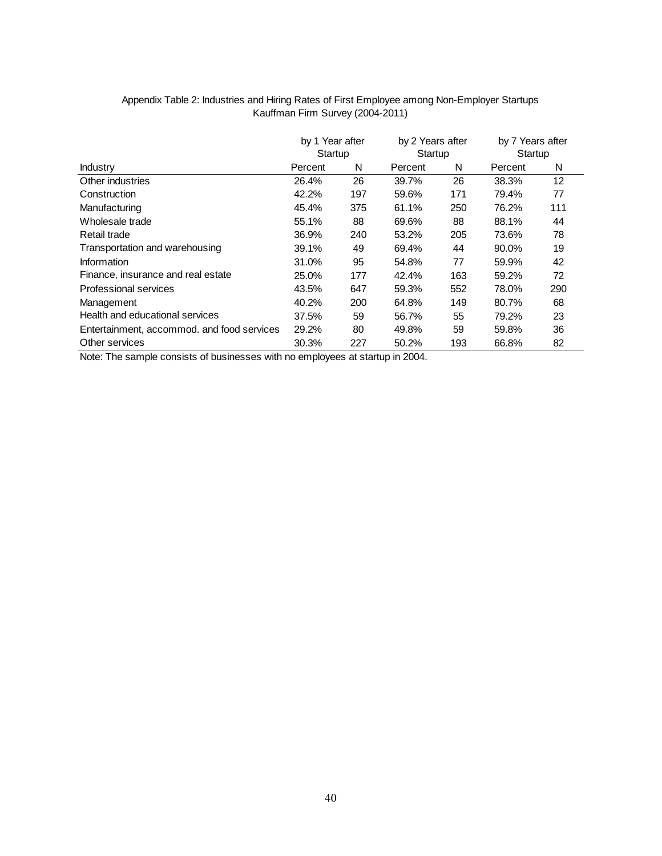|                                            | by 1 Year after<br>Startup |     | by 2 Years after<br>Startup |     | by 7 Years after<br>Startup |     |
|--------------------------------------------|----------------------------|-----|-----------------------------|-----|-----------------------------|-----|
| <b>Industry</b>                            | Percent                    | N   | Percent                     | N   | Percent                     | N   |
| Other industries                           | 26.4%                      | 26  | 39.7%                       | 26  | 38.3%                       | 12  |
| Construction                               | 42.2%                      | 197 | 59.6%                       | 171 | 79.4%                       | 77  |
| Manufacturing                              | 45.4%                      | 375 | 61.1%                       | 250 | 76.2%                       | 111 |
| Wholesale trade                            | 55.1%                      | 88  | 69.6%                       | 88  | 88.1%                       | 44  |
| Retail trade                               | 36.9%                      | 240 | 53.2%                       | 205 | 73.6%                       | 78  |
| Transportation and warehousing             | 39.1%                      | 49  | 69.4%                       | 44  | 90.0%                       | 19  |
| Information                                | 31.0%                      | 95  | 54.8%                       | 77  | 59.9%                       | 42  |
| Finance, insurance and real estate         | 25.0%                      | 177 | 42.4%                       | 163 | 59.2%                       | 72  |
| Professional services                      | 43.5%                      | 647 | 59.3%                       | 552 | 78.0%                       | 290 |
| Management                                 | 40.2%                      | 200 | 64.8%                       | 149 | 80.7%                       | 68  |
| Health and educational services            | 37.5%                      | 59  | 56.7%                       | 55  | 79.2%                       | 23  |
| Entertainment, accommod. and food services | 29.2%                      | 80  | 49.8%                       | 59  | 59.8%                       | 36  |
| Other services                             | 30.3%                      | 227 | 50.2%                       | 193 | 66.8%                       | 82  |

# Appendix Table 2: Industries and Hiring Rates of First Employee among Non-Employer Startups Kauffman Firm Survey (2004-2011)

Note: The sample consists of businesses with no employees at startup in 2004.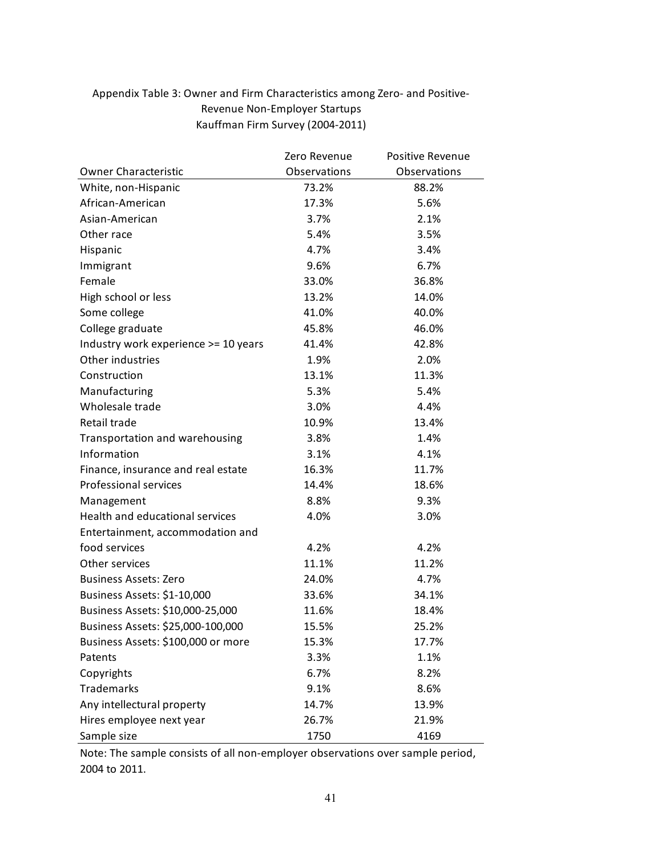# Appendix Table 3: Owner and Firm Characteristics among Zero‐ and Positive‐ Revenue Non‐Employer Startups Kauffman Firm Survey (2004‐2011)

|                                      | Zero Revenue | Positive Revenue |
|--------------------------------------|--------------|------------------|
| <b>Owner Characteristic</b>          | Observations | Observations     |
| White, non-Hispanic                  | 73.2%        | 88.2%            |
| African-American                     | 17.3%        | 5.6%             |
| Asian-American                       | 3.7%         | 2.1%             |
| Other race                           | 5.4%         | 3.5%             |
| Hispanic                             | 4.7%         | 3.4%             |
| Immigrant                            | 9.6%         | 6.7%             |
| Female                               | 33.0%        | 36.8%            |
| High school or less                  | 13.2%        | 14.0%            |
| Some college                         | 41.0%        | 40.0%            |
| College graduate                     | 45.8%        | 46.0%            |
| Industry work experience >= 10 years | 41.4%        | 42.8%            |
| Other industries                     | 1.9%         | 2.0%             |
| Construction                         | 13.1%        | 11.3%            |
| Manufacturing                        | 5.3%         | 5.4%             |
| Wholesale trade                      | 3.0%         | 4.4%             |
| Retail trade                         | 10.9%        | 13.4%            |
| Transportation and warehousing       | 3.8%         | 1.4%             |
| Information                          | 3.1%         | 4.1%             |
| Finance, insurance and real estate   | 16.3%        | 11.7%            |
| <b>Professional services</b>         | 14.4%        | 18.6%            |
| Management                           | 8.8%         | 9.3%             |
| Health and educational services      | 4.0%         | 3.0%             |
| Entertainment, accommodation and     |              |                  |
| food services                        | 4.2%         | 4.2%             |
| Other services                       | 11.1%        | 11.2%            |
| <b>Business Assets: Zero</b>         | 24.0%        | 4.7%             |
| Business Assets: \$1-10,000          | 33.6%        | 34.1%            |
| Business Assets: \$10,000-25,000     | 11.6%        | 18.4%            |
| Business Assets: \$25,000-100,000    | 15.5%        | 25.2%            |
| Business Assets: \$100,000 or more   | 15.3%        | 17.7%            |
| Patents                              | 3.3%         | 1.1%             |
| Copyrights                           | 6.7%         | 8.2%             |
| <b>Trademarks</b>                    | 9.1%         | 8.6%             |
| Any intellectural property           | 14.7%        | 13.9%            |
| Hires employee next year             | 26.7%        | 21.9%            |
| Sample size                          | 1750         | 4169             |

Note: The sample consists of all non‐employer observations over sample period, 2004 to 2011.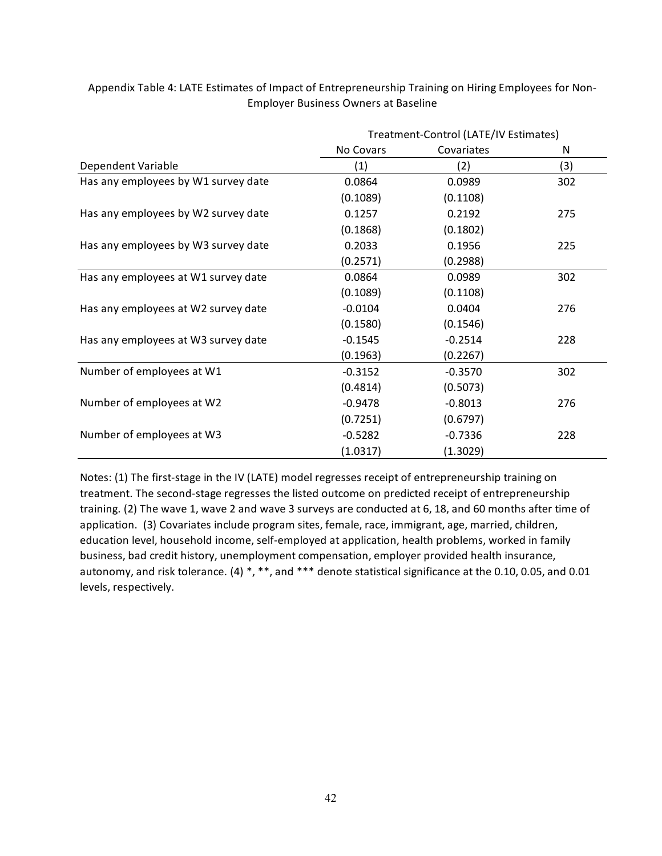|                    | <b>Employer Business Owners at Baseline</b> |                                       |    |
|--------------------|---------------------------------------------|---------------------------------------|----|
|                    |                                             | Treatment-Control (LATE/IV Estimates) |    |
|                    | No Covars                                   | Covariates                            | N  |
| Dependent Variable |                                             |                                       | 3) |

Appendix Table 4: LATE Estimates of Impact of Entrepreneurship Training on Hiring Employees for Non‐

| Dependent variable                  | (T)       | (4 J      | (3) |
|-------------------------------------|-----------|-----------|-----|
| Has any employees by W1 survey date | 0.0864    | 0.0989    | 302 |
|                                     | (0.1089)  | (0.1108)  |     |
| Has any employees by W2 survey date | 0.1257    | 0.2192    | 275 |
|                                     | (0.1868)  | (0.1802)  |     |
| Has any employees by W3 survey date | 0.2033    | 0.1956    | 225 |
|                                     | (0.2571)  | (0.2988)  |     |
| Has any employees at W1 survey date | 0.0864    | 0.0989    | 302 |
|                                     | (0.1089)  | (0.1108)  |     |
| Has any employees at W2 survey date | $-0.0104$ | 0.0404    | 276 |
|                                     | (0.1580)  | (0.1546)  |     |
| Has any employees at W3 survey date | $-0.1545$ | $-0.2514$ | 228 |
|                                     | (0.1963)  | (0.2267)  |     |
| Number of employees at W1           | $-0.3152$ | $-0.3570$ | 302 |
|                                     | (0.4814)  | (0.5073)  |     |
| Number of employees at W2           | $-0.9478$ | $-0.8013$ | 276 |
|                                     | (0.7251)  | (0.6797)  |     |
| Number of employees at W3           | $-0.5282$ | $-0.7336$ | 228 |
|                                     | (1.0317)  | (1.3029)  |     |
|                                     |           |           |     |

Notes: (1) The first‐stage in the IV (LATE) model regresses receipt of entrepreneurship training on treatment. The second‐stage regresses the listed outcome on predicted receipt of entrepreneurship training. (2) The wave 1, wave 2 and wave 3 surveys are conducted at 6, 18, and 60 months after time of application. (3) Covariates include program sites, female, race, immigrant, age, married, children, education level, household income, self‐employed at application, health problems, worked in family business, bad credit history, unemployment compensation, employer provided health insurance, autonomy, and risk tolerance. (4) \*, \*\*, and \*\*\* denote statistical significance at the 0.10, 0.05, and 0.01 levels, respectively.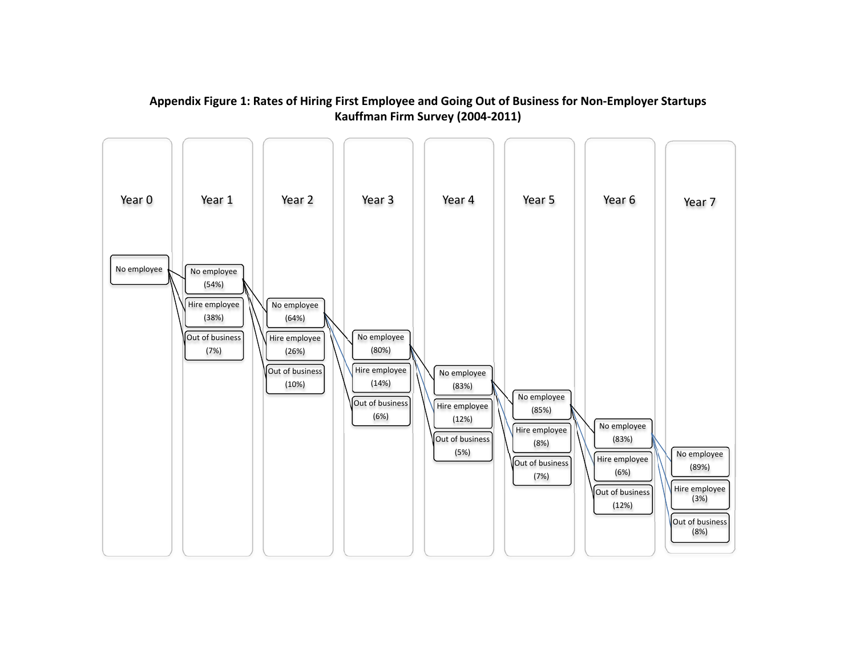

# Appendix Figure 1: Rates of Hiring First Employee and Going Out of Business for Non-Employer Startups **Kauffman Firm Survey (2004‐2011)**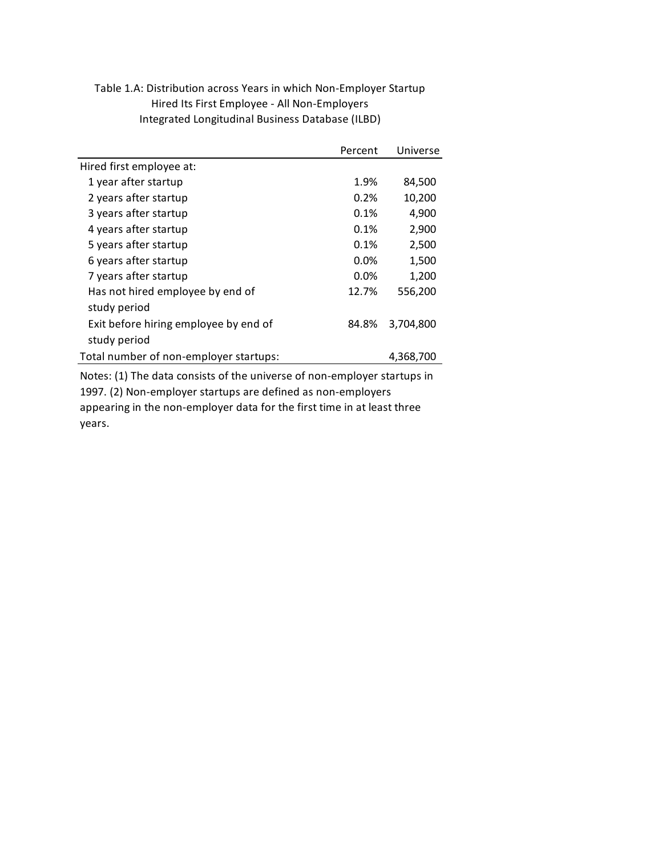# Table 1.A: Distribution across Years in which Non‐Employer Startup Hired Its First Employee ‐ All Non‐Employers Integrated Longitudinal Business Database (ILBD)

|                                                                            | Percent | Universe  |
|----------------------------------------------------------------------------|---------|-----------|
| Hired first employee at:                                                   |         |           |
| 1 year after startup                                                       | 1.9%    | 84,500    |
| 2 years after startup                                                      | 0.2%    | 10,200    |
| 3 years after startup                                                      | 0.1%    | 4,900     |
| 4 years after startup                                                      | 0.1%    | 2,900     |
| 5 years after startup                                                      | 0.1%    | 2,500     |
| 6 years after startup                                                      | 0.0%    | 1,500     |
| 7 years after startup                                                      | 0.0%    | 1,200     |
| Has not hired employee by end of                                           | 12.7%   | 556,200   |
| study period                                                               |         |           |
| Exit before hiring employee by end of                                      | 84.8%   | 3,704,800 |
| study period                                                               |         |           |
| Total number of non-employer startups:                                     |         | 4,368,700 |
| Notes: $(1)$ The data consists of the universe of non-employer startuns in |         |           |

Notes: (1) The data consists of the universe of non‐employer startups in 1997. (2) Non‐employer startups are defined as non‐employers appearing in the non‐employer data for the first time in at least three years.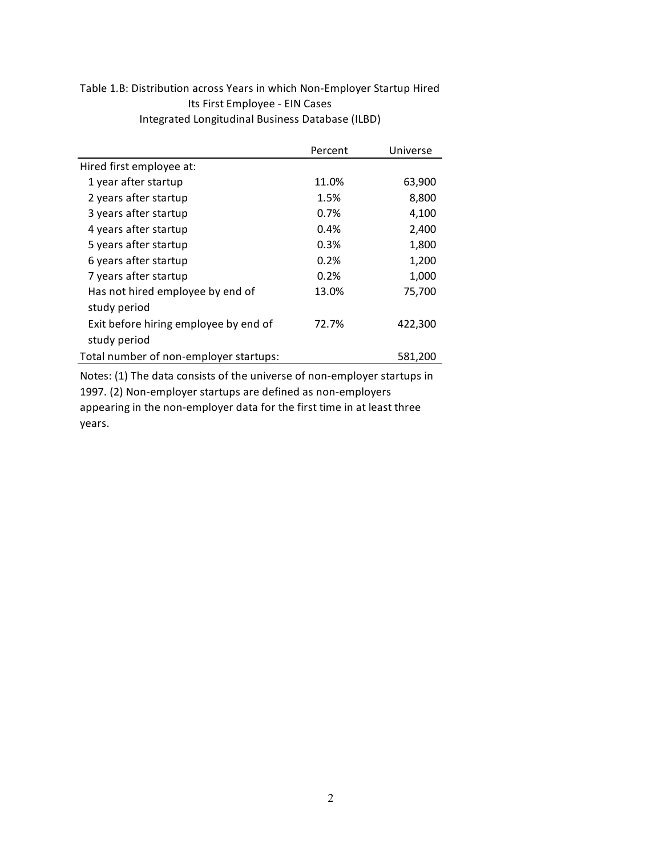# Table 1.B: Distribution across Years in which Non‐Employer Startup Hired Its First Employee ‐ EIN Cases Integrated Longitudinal Business Database (ILBD)

|                                                                          | Percent | Universe |
|--------------------------------------------------------------------------|---------|----------|
| Hired first employee at:                                                 |         |          |
| 1 year after startup                                                     | 11.0%   | 63,900   |
| 2 years after startup                                                    | 1.5%    | 8,800    |
| 3 years after startup                                                    | 0.7%    | 4,100    |
| 4 years after startup                                                    | 0.4%    | 2,400    |
| 5 years after startup                                                    | 0.3%    | 1,800    |
| 6 years after startup                                                    | 0.2%    | 1,200    |
| 7 years after startup                                                    | 0.2%    | 1,000    |
| Has not hired employee by end of                                         | 13.0%   | 75,700   |
| study period                                                             |         |          |
| Exit before hiring employee by end of                                    | 72.7%   | 422,300  |
| study period                                                             |         |          |
| Total number of non-employer startups:                                   |         | 581,200  |
| Natos: (1) The deta consiste of the universe of non-omployer startune in |         |          |

Notes: (1) The data consists of the universe of non‐employer startups in 1997. (2) Non‐employer startups are defined as non‐employers appearing in the non‐employer data for the first time in at least three years.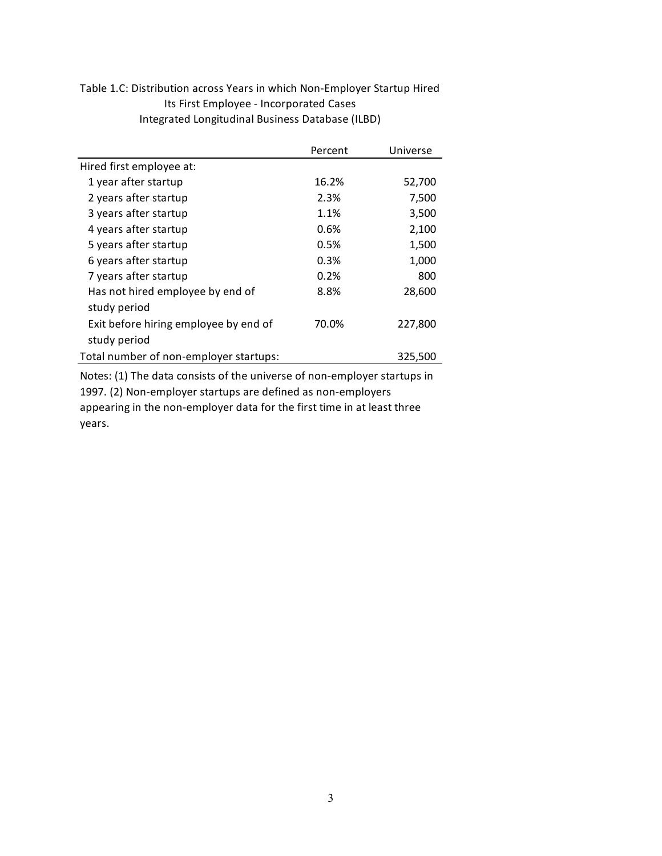# Table 1.C: Distribution across Years in which Non‐Employer Startup Hired Its First Employee ‐ Incorporated Cases Integrated Longitudinal Business Database (ILBD)

|                                                                          | Percent | Universe |
|--------------------------------------------------------------------------|---------|----------|
| Hired first employee at:                                                 |         |          |
| 1 year after startup                                                     | 16.2%   | 52,700   |
| 2 years after startup                                                    | 2.3%    | 7,500    |
| 3 years after startup                                                    | 1.1%    | 3,500    |
| 4 years after startup                                                    | 0.6%    | 2,100    |
| 5 years after startup                                                    | $0.5\%$ | 1,500    |
| 6 years after startup                                                    | 0.3%    | 1,000    |
| 7 years after startup                                                    | 0.2%    | 800      |
| Has not hired employee by end of                                         | 8.8%    | 28,600   |
| study period                                                             |         |          |
| Exit before hiring employee by end of                                    | 70.0%   | 227,800  |
| study period                                                             |         |          |
| Total number of non-employer startups:                                   |         | 325,500  |
| Natos, (1) The deta consiste of the universe of non-omployer starture in |         |          |

Notes: (1) The data consists of the universe of non‐employer startups in 1997. (2) Non‐employer startups are defined as non‐employers appearing in the non‐employer data for the first time in at least three years.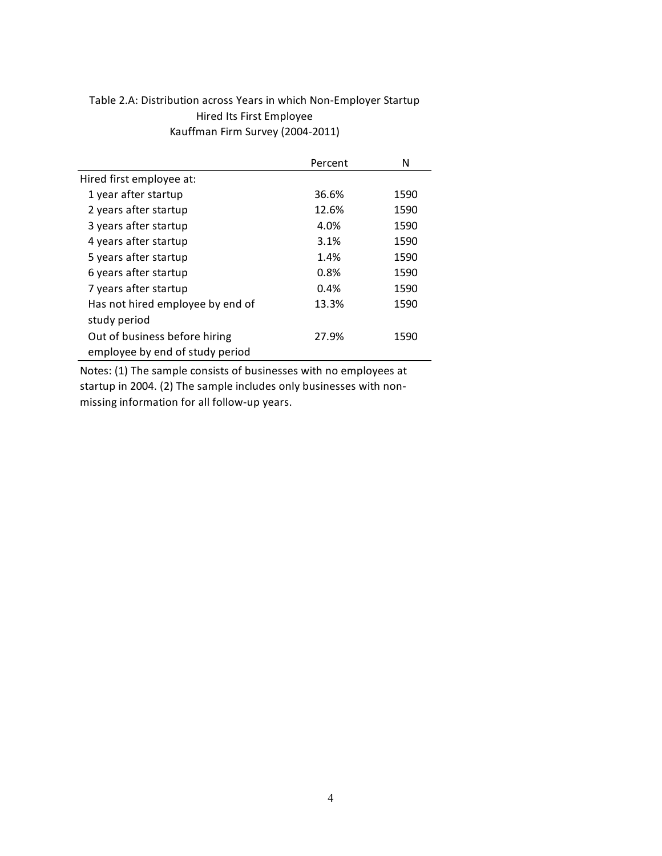# Table 2.A: Distribution across Years in which Non‐Employer Startup Hired Its First Employee Kauffman Firm Survey (2004‐2011)

|                                                                  | Percent | N    |
|------------------------------------------------------------------|---------|------|
| Hired first employee at:                                         |         |      |
| 1 year after startup                                             | 36.6%   | 1590 |
| 2 years after startup                                            | 12.6%   | 1590 |
| 3 years after startup                                            | 4.0%    | 1590 |
| 4 years after startup                                            | 3.1%    | 1590 |
| 5 years after startup                                            | 1.4%    | 1590 |
| 6 years after startup                                            | 0.8%    | 1590 |
| 7 years after startup                                            | 0.4%    | 1590 |
| Has not hired employee by end of                                 | 13.3%   | 1590 |
| study period                                                     |         |      |
| Out of business before hiring<br>employee by end of study period | 27.9%   | 1590 |

Notes: (1) The sample consists of businesses with no employees at startup in 2004. (2) The sample includes only businesses with non‐ missing information for all follow‐up years.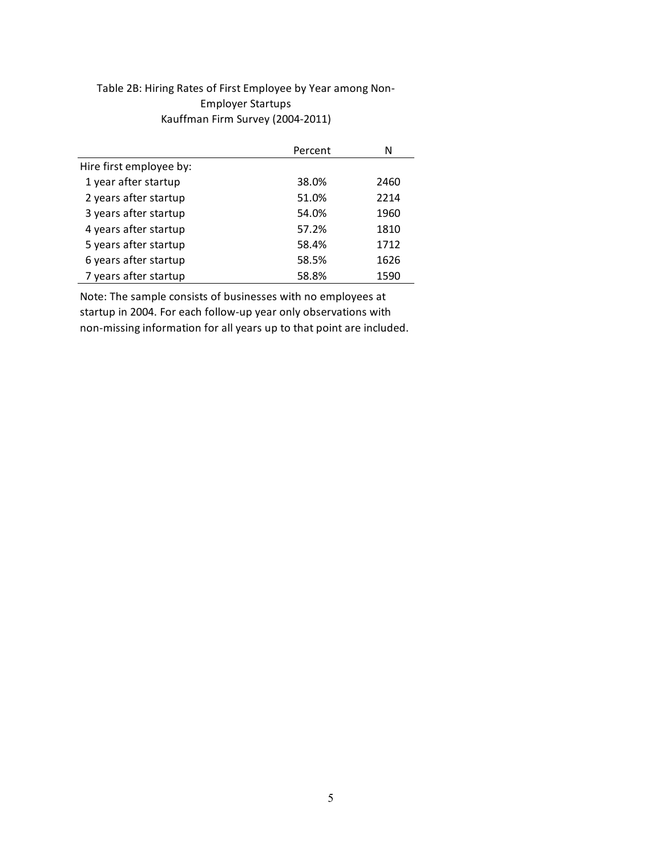# Table 2B: Hiring Rates of First Employee by Year among Non‐ Employer Startups Kauffman Firm Survey (2004‐2011)

|                         | Percent | N    |
|-------------------------|---------|------|
| Hire first employee by: |         |      |
| 1 year after startup    | 38.0%   | 2460 |
| 2 years after startup   | 51.0%   | 2214 |
| 3 years after startup   | 54.0%   | 1960 |
| 4 years after startup   | 57.2%   | 1810 |
| 5 years after startup   | 58.4%   | 1712 |
| 6 years after startup   | 58.5%   | 1626 |
| 7 years after startup   | 58.8%   | 1590 |

Note: The sample consists of businesses with no employees at startup in 2004. For each follow‐up year only observations with non‐missing information for all years up to that point are included.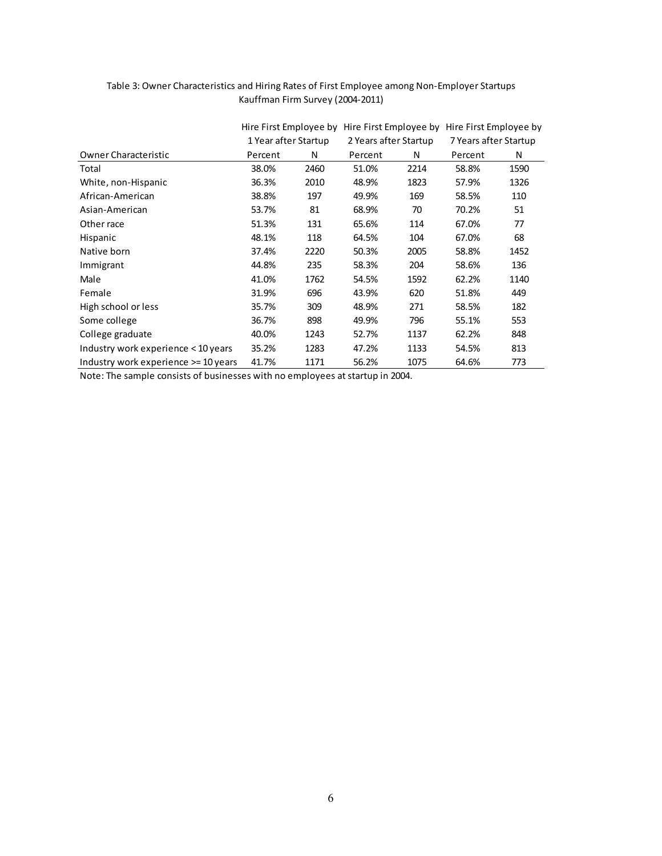|                                      | Hire First Employee by |      | Hire First Employee by |      | Hire First Employee by |      |
|--------------------------------------|------------------------|------|------------------------|------|------------------------|------|
|                                      | 1 Year after Startup   |      | 2 Years after Startup  |      | 7 Years after Startup  |      |
| <b>Owner Characteristic</b>          | Percent                | N    | Percent                | N    | Percent                | N    |
| Total                                | 38.0%                  | 2460 | 51.0%                  | 2214 | 58.8%                  | 1590 |
| White, non-Hispanic                  | 36.3%                  | 2010 | 48.9%                  | 1823 | 57.9%                  | 1326 |
| African-American                     | 38.8%                  | 197  | 49.9%                  | 169  | 58.5%                  | 110  |
| Asian-American                       | 53.7%                  | 81   | 68.9%                  | 70   | 70.2%                  | 51   |
| Other race                           | 51.3%                  | 131  | 65.6%                  | 114  | 67.0%                  | 77   |
| Hispanic                             | 48.1%                  | 118  | 64.5%                  | 104  | 67.0%                  | 68   |
| Native born                          | 37.4%                  | 2220 | 50.3%                  | 2005 | 58.8%                  | 1452 |
| Immigrant                            | 44.8%                  | 235  | 58.3%                  | 204  | 58.6%                  | 136  |
| Male                                 | 41.0%                  | 1762 | 54.5%                  | 1592 | 62.2%                  | 1140 |
| Female                               | 31.9%                  | 696  | 43.9%                  | 620  | 51.8%                  | 449  |
| High school or less                  | 35.7%                  | 309  | 48.9%                  | 271  | 58.5%                  | 182  |
| Some college                         | 36.7%                  | 898  | 49.9%                  | 796  | 55.1%                  | 553  |
| College graduate                     | 40.0%                  | 1243 | 52.7%                  | 1137 | 62.2%                  | 848  |
| Industry work experience < 10 years  | 35.2%                  | 1283 | 47.2%                  | 1133 | 54.5%                  | 813  |
| Industry work experience >= 10 years | 41.7%                  | 1171 | 56.2%                  | 1075 | 64.6%                  | 773  |

# Table 3: Owner Characteristics and Hiring Rates of First Employee among Non‐Employer Startups Kauffman Firm Survey (2004‐2011)

Note: The sample consists of businesses with no employees at startup in 2004.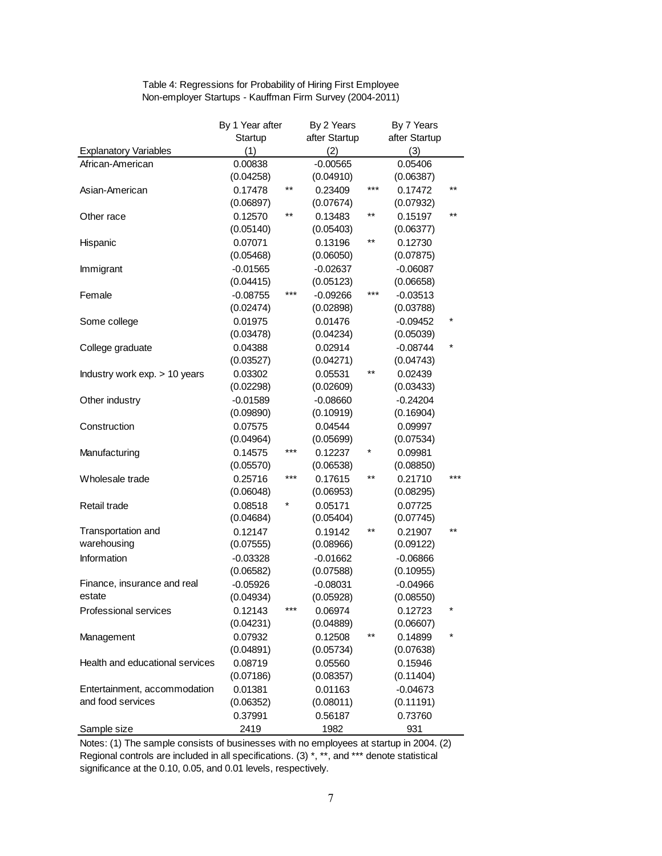|                                 | By 1 Year after |         | By 2 Years    | By 7 Years      |               |       |
|---------------------------------|-----------------|---------|---------------|-----------------|---------------|-------|
|                                 | Startup         |         | after Startup |                 | after Startup |       |
| <b>Explanatory Variables</b>    | (1)             |         | (2)           |                 | (3)           |       |
| African-American                | 0.00838         |         | $-0.00565$    |                 | 0.05406       |       |
|                                 | (0.04258)       |         | (0.04910)     |                 | (0.06387)     |       |
| Asian-American                  | 0.17478         | **      | 0.23409       | ***             | 0.17472       | **    |
|                                 | (0.06897)       |         | (0.07674)     |                 | (0.07932)     |       |
| Other race                      | 0.12570         | **      | 0.13483       | $***$           | 0.15197       | $***$ |
|                                 | (0.05140)       |         | (0.05403)     |                 | (0.06377)     |       |
| Hispanic                        | 0.07071         |         | 0.13196       | $***$           | 0.12730       |       |
|                                 | (0.05468)       |         | (0.06050)     |                 | (0.07875)     |       |
| Immigrant                       | $-0.01565$      |         | $-0.02637$    |                 | $-0.06087$    |       |
|                                 | (0.04415)       |         | (0.05123)     |                 | (0.06658)     |       |
| Female                          | $-0.08755$      | ***     | $-0.09266$    | $***$           | $-0.03513$    |       |
|                                 | (0.02474)       |         | (0.02898)     |                 | (0.03788)     |       |
| Some college                    | 0.01975         |         | 0.01476       |                 | $-0.09452$    | *     |
|                                 | (0.03478)       |         | (0.04234)     |                 | (0.05039)     |       |
| College graduate                | 0.04388         |         | 0.02914       |                 | $-0.08744$    | *     |
|                                 | (0.03527)       |         | (0.04271)     |                 | (0.04743)     |       |
| Industry work exp. > 10 years   | 0.03302         |         | 0.05531       | $***$           | 0.02439       |       |
|                                 | (0.02298)       |         | (0.02609)     |                 | (0.03433)     |       |
| Other industry                  | $-0.01589$      |         | $-0.08660$    |                 | $-0.24204$    |       |
|                                 | (0.09890)       |         | (0.10919)     |                 | (0.16904)     |       |
| Construction                    | 0.07575         |         | 0.04544       |                 | 0.09997       |       |
|                                 | (0.04964)       |         | (0.05699)     |                 | (0.07534)     |       |
|                                 | 0.14575         | ***     | 0.12237       | $\star$         | 0.09981       |       |
| Manufacturing                   | (0.05570)       |         | (0.06538)     |                 | (0.08850)     |       |
| Wholesale trade                 |                 | ***     | 0.17615       | $***$           |               | ***   |
|                                 | 0.25716         |         | (0.06953)     |                 | 0.21710       |       |
|                                 | (0.06048)       | $\star$ |               |                 | (0.08295)     |       |
| Retail trade                    | 0.08518         |         | 0.05171       |                 | 0.07725       |       |
|                                 | (0.04684)       |         | (0.05404)     | $^{\star\star}$ | (0.07745)     | $***$ |
| Transportation and              | 0.12147         |         | 0.19142       |                 | 0.21907       |       |
| warehousing                     | (0.07555)       |         | (0.08966)     |                 | (0.09122)     |       |
| Information                     | $-0.03328$      |         | $-0.01662$    |                 | $-0.06866$    |       |
|                                 | (0.06582)       |         | (0.07588)     |                 | (0.10955)     |       |
| Finance, insurance and real     | $-0.05926$      |         | $-0.08031$    |                 | $-0.04966$    |       |
| estate                          | (0.04934)       |         | (0.05928)     |                 | (0.08550)     |       |
| <b>Professional services</b>    | 0.12143         | ***     | 0.06974       |                 | 0.12723       | *     |
|                                 | (0.04231)       |         | (0.04889)     |                 | (0.06607)     |       |
| Management                      | 0.07932         |         | 0.12508       | $***$           | 0.14899       | *     |
|                                 | (0.04891)       |         | (0.05734)     |                 | (0.07638)     |       |
| Health and educational services | 0.08719         |         | 0.05560       |                 | 0.15946       |       |
|                                 | (0.07186)       |         | (0.08357)     |                 | (0.11404)     |       |
| Entertainment, accommodation    | 0.01381         |         | 0.01163       |                 | $-0.04673$    |       |
| and food services               | (0.06352)       |         | (0.08011)     |                 | (0.11191)     |       |
|                                 | 0.37991         |         | 0.56187       |                 | 0.73760       |       |
| Sample size                     | 2419            |         | 1982          |                 | 931           |       |

Table 4: Regressions for Probability of Hiring First Employee Non-employer Startups - Kauffman Firm Survey (2004-2011)

Notes: (1) The sample consists of businesses with no employees at startup in 2004. (2) Regional controls are included in all specifications. (3) \*, \*\*, and \*\*\* denote statistical significance at the 0.10, 0.05, and 0.01 levels, respectively.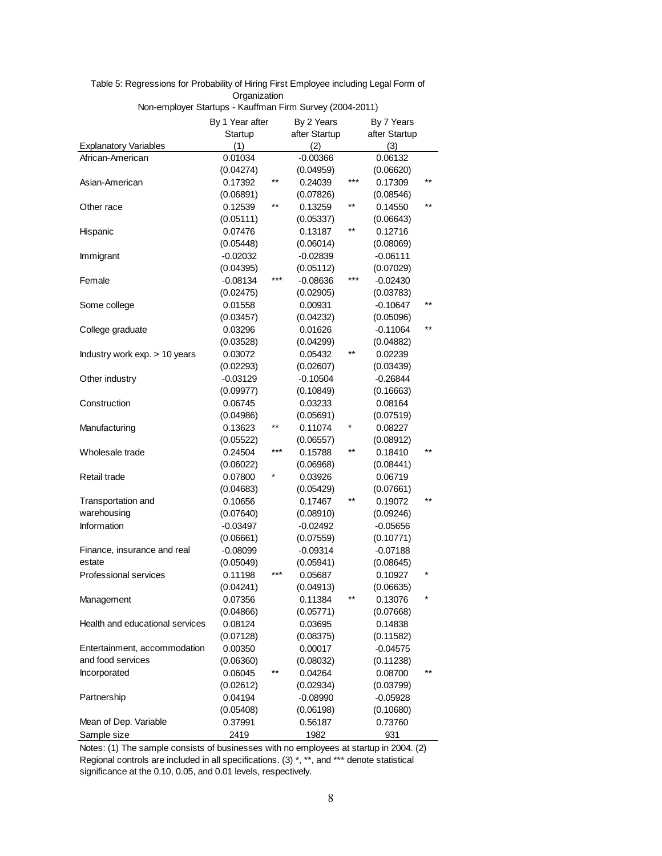### Table 5: Regressions for Probability of Hiring First Employee including Legal Form of **Organization**

| after Startup<br>after Startup<br>Startup<br>(1)<br>(2)<br>(3)<br><b>Explanatory Variables</b><br>0.01034<br>$-0.00366$<br>0.06132<br>African-American<br>(0.04274)<br>(0.04959)<br>(0.06620)<br>0.17392<br>$***$<br>***<br>0.17309<br>**<br>0.24039<br>Asian-American<br>(0.06891)<br>(0.07826)<br>(0.08546)<br>$***$<br>$***$<br>$***$<br>0.12539<br>0.13259<br>0.14550<br>Other race<br>(0.05111)<br>(0.05337)<br>(0.06643)<br>$***$<br>0.07476<br>0.13187<br>0.12716<br>Hispanic<br>(0.05448)<br>(0.06014)<br>(0.08069)<br>$-0.02032$<br>$-0.02839$<br>$-0.06111$<br>Immigrant<br>(0.04395)<br>(0.05112)<br>(0.07029)<br>$***$<br>***<br>$-0.08134$<br>$-0.08636$<br>$-0.02430$<br>Female<br>(0.02475)<br>(0.02905)<br>(0.03783)<br>$-0.10647$<br>**<br>0.01558<br>0.00931<br>Some college<br>(0.03457)<br>(0.04232)<br>(0.05096)<br>$***$<br>0.03296<br>0.01626<br>$-0.11064$<br>College graduate<br>(0.04299)<br>(0.03528)<br>(0.04882)<br>0.03072<br>0.05432<br>$***$<br>0.02239<br>Industry work exp. > 10 years<br>(0.02293)<br>(0.02607)<br>(0.03439)<br>$-0.03129$<br>$-0.10504$<br>$-0.26844$<br>Other industry<br>(0.09977)<br>(0.10849)<br>(0.16663)<br>0.06745<br>0.03233<br>0.08164<br>Construction<br>(0.05691)<br>(0.07519)<br>(0.04986)<br>$***$<br>0.13623<br>0.11074<br>*<br>0.08227<br>Manufacturing<br>(0.05522)<br>(0.06557)<br>(0.08912)<br>***<br>$***$<br>$***$<br>Wholesale trade<br>0.24504<br>0.15788<br>0.18410<br>(0.06022)<br>(0.06968)<br>(0.08441)<br>$^{\star}$<br>Retail trade<br>0.07800<br>0.03926<br>0.06719<br>(0.04683)<br>(0.05429)<br>(0.07661)<br>Transportation and<br>**<br>$***$<br>0.10656<br>0.17467<br>0.19072<br>warehousing<br>(0.07640)<br>(0.08910)<br>(0.09246)<br>Information<br>$-0.03497$<br>$-0.02492$<br>$-0.05656$<br>(0.06661)<br>(0.07559)<br>(0.10771)<br>Finance, insurance and real<br>$-0.09314$<br>$-0.08099$<br>$-0.07188$<br>estate<br>(0.05049)<br>(0.05941)<br>(0.08645)<br>0.11198<br>***<br>Professional services<br>0.05687<br>0.10927<br>(0.04241)<br>(0.04913)<br>(0.06635)<br>0.07356<br>0.11384<br>$^{\star\star}$<br>0.13076<br>*<br>Management<br>(0.04866)<br>(0.05771)<br>(0.07668)<br>Health and educational services<br>0.08124<br>0.03695<br>0.14838<br>(0.07128)<br>(0.08375)<br>(0.11582)<br>Entertainment, accommodation<br>0.00350<br>0.00017<br>-0.04575<br>and food services<br>(0.06360)<br>(0.08032)<br>(0.11238)<br>Incorporated<br>0.06045<br>**<br>0.04264<br>**<br>0.08700<br>(0.02612)<br>(0.03799)<br>(0.02934)<br>Partnership<br>0.04194<br>$-0.08990$<br>$-0.05928$<br>(0.05408)<br>(0.06198)<br>(0.10680)<br>Mean of Dep. Variable<br>0.37991<br>0.56187<br>0.73760 |             | By 1 Year after | By 2 Years | By 7 Years |  |
|-----------------------------------------------------------------------------------------------------------------------------------------------------------------------------------------------------------------------------------------------------------------------------------------------------------------------------------------------------------------------------------------------------------------------------------------------------------------------------------------------------------------------------------------------------------------------------------------------------------------------------------------------------------------------------------------------------------------------------------------------------------------------------------------------------------------------------------------------------------------------------------------------------------------------------------------------------------------------------------------------------------------------------------------------------------------------------------------------------------------------------------------------------------------------------------------------------------------------------------------------------------------------------------------------------------------------------------------------------------------------------------------------------------------------------------------------------------------------------------------------------------------------------------------------------------------------------------------------------------------------------------------------------------------------------------------------------------------------------------------------------------------------------------------------------------------------------------------------------------------------------------------------------------------------------------------------------------------------------------------------------------------------------------------------------------------------------------------------------------------------------------------------------------------------------------------------------------------------------------------------------------------------------------------------------------------------------------------------------------------------------------------------------------------------------------------------------------------------------------------------------------------------------------------------------------------------------------------------------------------------------------------------------------------------------|-------------|-----------------|------------|------------|--|
|                                                                                                                                                                                                                                                                                                                                                                                                                                                                                                                                                                                                                                                                                                                                                                                                                                                                                                                                                                                                                                                                                                                                                                                                                                                                                                                                                                                                                                                                                                                                                                                                                                                                                                                                                                                                                                                                                                                                                                                                                                                                                                                                                                                                                                                                                                                                                                                                                                                                                                                                                                                                                                                                             |             |                 |            |            |  |
|                                                                                                                                                                                                                                                                                                                                                                                                                                                                                                                                                                                                                                                                                                                                                                                                                                                                                                                                                                                                                                                                                                                                                                                                                                                                                                                                                                                                                                                                                                                                                                                                                                                                                                                                                                                                                                                                                                                                                                                                                                                                                                                                                                                                                                                                                                                                                                                                                                                                                                                                                                                                                                                                             |             |                 |            |            |  |
|                                                                                                                                                                                                                                                                                                                                                                                                                                                                                                                                                                                                                                                                                                                                                                                                                                                                                                                                                                                                                                                                                                                                                                                                                                                                                                                                                                                                                                                                                                                                                                                                                                                                                                                                                                                                                                                                                                                                                                                                                                                                                                                                                                                                                                                                                                                                                                                                                                                                                                                                                                                                                                                                             |             |                 |            |            |  |
|                                                                                                                                                                                                                                                                                                                                                                                                                                                                                                                                                                                                                                                                                                                                                                                                                                                                                                                                                                                                                                                                                                                                                                                                                                                                                                                                                                                                                                                                                                                                                                                                                                                                                                                                                                                                                                                                                                                                                                                                                                                                                                                                                                                                                                                                                                                                                                                                                                                                                                                                                                                                                                                                             |             |                 |            |            |  |
|                                                                                                                                                                                                                                                                                                                                                                                                                                                                                                                                                                                                                                                                                                                                                                                                                                                                                                                                                                                                                                                                                                                                                                                                                                                                                                                                                                                                                                                                                                                                                                                                                                                                                                                                                                                                                                                                                                                                                                                                                                                                                                                                                                                                                                                                                                                                                                                                                                                                                                                                                                                                                                                                             |             |                 |            |            |  |
|                                                                                                                                                                                                                                                                                                                                                                                                                                                                                                                                                                                                                                                                                                                                                                                                                                                                                                                                                                                                                                                                                                                                                                                                                                                                                                                                                                                                                                                                                                                                                                                                                                                                                                                                                                                                                                                                                                                                                                                                                                                                                                                                                                                                                                                                                                                                                                                                                                                                                                                                                                                                                                                                             |             |                 |            |            |  |
|                                                                                                                                                                                                                                                                                                                                                                                                                                                                                                                                                                                                                                                                                                                                                                                                                                                                                                                                                                                                                                                                                                                                                                                                                                                                                                                                                                                                                                                                                                                                                                                                                                                                                                                                                                                                                                                                                                                                                                                                                                                                                                                                                                                                                                                                                                                                                                                                                                                                                                                                                                                                                                                                             |             |                 |            |            |  |
|                                                                                                                                                                                                                                                                                                                                                                                                                                                                                                                                                                                                                                                                                                                                                                                                                                                                                                                                                                                                                                                                                                                                                                                                                                                                                                                                                                                                                                                                                                                                                                                                                                                                                                                                                                                                                                                                                                                                                                                                                                                                                                                                                                                                                                                                                                                                                                                                                                                                                                                                                                                                                                                                             |             |                 |            |            |  |
|                                                                                                                                                                                                                                                                                                                                                                                                                                                                                                                                                                                                                                                                                                                                                                                                                                                                                                                                                                                                                                                                                                                                                                                                                                                                                                                                                                                                                                                                                                                                                                                                                                                                                                                                                                                                                                                                                                                                                                                                                                                                                                                                                                                                                                                                                                                                                                                                                                                                                                                                                                                                                                                                             |             |                 |            |            |  |
|                                                                                                                                                                                                                                                                                                                                                                                                                                                                                                                                                                                                                                                                                                                                                                                                                                                                                                                                                                                                                                                                                                                                                                                                                                                                                                                                                                                                                                                                                                                                                                                                                                                                                                                                                                                                                                                                                                                                                                                                                                                                                                                                                                                                                                                                                                                                                                                                                                                                                                                                                                                                                                                                             |             |                 |            |            |  |
|                                                                                                                                                                                                                                                                                                                                                                                                                                                                                                                                                                                                                                                                                                                                                                                                                                                                                                                                                                                                                                                                                                                                                                                                                                                                                                                                                                                                                                                                                                                                                                                                                                                                                                                                                                                                                                                                                                                                                                                                                                                                                                                                                                                                                                                                                                                                                                                                                                                                                                                                                                                                                                                                             |             |                 |            |            |  |
|                                                                                                                                                                                                                                                                                                                                                                                                                                                                                                                                                                                                                                                                                                                                                                                                                                                                                                                                                                                                                                                                                                                                                                                                                                                                                                                                                                                                                                                                                                                                                                                                                                                                                                                                                                                                                                                                                                                                                                                                                                                                                                                                                                                                                                                                                                                                                                                                                                                                                                                                                                                                                                                                             |             |                 |            |            |  |
|                                                                                                                                                                                                                                                                                                                                                                                                                                                                                                                                                                                                                                                                                                                                                                                                                                                                                                                                                                                                                                                                                                                                                                                                                                                                                                                                                                                                                                                                                                                                                                                                                                                                                                                                                                                                                                                                                                                                                                                                                                                                                                                                                                                                                                                                                                                                                                                                                                                                                                                                                                                                                                                                             |             |                 |            |            |  |
|                                                                                                                                                                                                                                                                                                                                                                                                                                                                                                                                                                                                                                                                                                                                                                                                                                                                                                                                                                                                                                                                                                                                                                                                                                                                                                                                                                                                                                                                                                                                                                                                                                                                                                                                                                                                                                                                                                                                                                                                                                                                                                                                                                                                                                                                                                                                                                                                                                                                                                                                                                                                                                                                             |             |                 |            |            |  |
|                                                                                                                                                                                                                                                                                                                                                                                                                                                                                                                                                                                                                                                                                                                                                                                                                                                                                                                                                                                                                                                                                                                                                                                                                                                                                                                                                                                                                                                                                                                                                                                                                                                                                                                                                                                                                                                                                                                                                                                                                                                                                                                                                                                                                                                                                                                                                                                                                                                                                                                                                                                                                                                                             |             |                 |            |            |  |
|                                                                                                                                                                                                                                                                                                                                                                                                                                                                                                                                                                                                                                                                                                                                                                                                                                                                                                                                                                                                                                                                                                                                                                                                                                                                                                                                                                                                                                                                                                                                                                                                                                                                                                                                                                                                                                                                                                                                                                                                                                                                                                                                                                                                                                                                                                                                                                                                                                                                                                                                                                                                                                                                             |             |                 |            |            |  |
|                                                                                                                                                                                                                                                                                                                                                                                                                                                                                                                                                                                                                                                                                                                                                                                                                                                                                                                                                                                                                                                                                                                                                                                                                                                                                                                                                                                                                                                                                                                                                                                                                                                                                                                                                                                                                                                                                                                                                                                                                                                                                                                                                                                                                                                                                                                                                                                                                                                                                                                                                                                                                                                                             |             |                 |            |            |  |
|                                                                                                                                                                                                                                                                                                                                                                                                                                                                                                                                                                                                                                                                                                                                                                                                                                                                                                                                                                                                                                                                                                                                                                                                                                                                                                                                                                                                                                                                                                                                                                                                                                                                                                                                                                                                                                                                                                                                                                                                                                                                                                                                                                                                                                                                                                                                                                                                                                                                                                                                                                                                                                                                             |             |                 |            |            |  |
|                                                                                                                                                                                                                                                                                                                                                                                                                                                                                                                                                                                                                                                                                                                                                                                                                                                                                                                                                                                                                                                                                                                                                                                                                                                                                                                                                                                                                                                                                                                                                                                                                                                                                                                                                                                                                                                                                                                                                                                                                                                                                                                                                                                                                                                                                                                                                                                                                                                                                                                                                                                                                                                                             |             |                 |            |            |  |
|                                                                                                                                                                                                                                                                                                                                                                                                                                                                                                                                                                                                                                                                                                                                                                                                                                                                                                                                                                                                                                                                                                                                                                                                                                                                                                                                                                                                                                                                                                                                                                                                                                                                                                                                                                                                                                                                                                                                                                                                                                                                                                                                                                                                                                                                                                                                                                                                                                                                                                                                                                                                                                                                             |             |                 |            |            |  |
|                                                                                                                                                                                                                                                                                                                                                                                                                                                                                                                                                                                                                                                                                                                                                                                                                                                                                                                                                                                                                                                                                                                                                                                                                                                                                                                                                                                                                                                                                                                                                                                                                                                                                                                                                                                                                                                                                                                                                                                                                                                                                                                                                                                                                                                                                                                                                                                                                                                                                                                                                                                                                                                                             |             |                 |            |            |  |
|                                                                                                                                                                                                                                                                                                                                                                                                                                                                                                                                                                                                                                                                                                                                                                                                                                                                                                                                                                                                                                                                                                                                                                                                                                                                                                                                                                                                                                                                                                                                                                                                                                                                                                                                                                                                                                                                                                                                                                                                                                                                                                                                                                                                                                                                                                                                                                                                                                                                                                                                                                                                                                                                             |             |                 |            |            |  |
|                                                                                                                                                                                                                                                                                                                                                                                                                                                                                                                                                                                                                                                                                                                                                                                                                                                                                                                                                                                                                                                                                                                                                                                                                                                                                                                                                                                                                                                                                                                                                                                                                                                                                                                                                                                                                                                                                                                                                                                                                                                                                                                                                                                                                                                                                                                                                                                                                                                                                                                                                                                                                                                                             |             |                 |            |            |  |
|                                                                                                                                                                                                                                                                                                                                                                                                                                                                                                                                                                                                                                                                                                                                                                                                                                                                                                                                                                                                                                                                                                                                                                                                                                                                                                                                                                                                                                                                                                                                                                                                                                                                                                                                                                                                                                                                                                                                                                                                                                                                                                                                                                                                                                                                                                                                                                                                                                                                                                                                                                                                                                                                             |             |                 |            |            |  |
|                                                                                                                                                                                                                                                                                                                                                                                                                                                                                                                                                                                                                                                                                                                                                                                                                                                                                                                                                                                                                                                                                                                                                                                                                                                                                                                                                                                                                                                                                                                                                                                                                                                                                                                                                                                                                                                                                                                                                                                                                                                                                                                                                                                                                                                                                                                                                                                                                                                                                                                                                                                                                                                                             |             |                 |            |            |  |
|                                                                                                                                                                                                                                                                                                                                                                                                                                                                                                                                                                                                                                                                                                                                                                                                                                                                                                                                                                                                                                                                                                                                                                                                                                                                                                                                                                                                                                                                                                                                                                                                                                                                                                                                                                                                                                                                                                                                                                                                                                                                                                                                                                                                                                                                                                                                                                                                                                                                                                                                                                                                                                                                             |             |                 |            |            |  |
|                                                                                                                                                                                                                                                                                                                                                                                                                                                                                                                                                                                                                                                                                                                                                                                                                                                                                                                                                                                                                                                                                                                                                                                                                                                                                                                                                                                                                                                                                                                                                                                                                                                                                                                                                                                                                                                                                                                                                                                                                                                                                                                                                                                                                                                                                                                                                                                                                                                                                                                                                                                                                                                                             |             |                 |            |            |  |
|                                                                                                                                                                                                                                                                                                                                                                                                                                                                                                                                                                                                                                                                                                                                                                                                                                                                                                                                                                                                                                                                                                                                                                                                                                                                                                                                                                                                                                                                                                                                                                                                                                                                                                                                                                                                                                                                                                                                                                                                                                                                                                                                                                                                                                                                                                                                                                                                                                                                                                                                                                                                                                                                             |             |                 |            |            |  |
|                                                                                                                                                                                                                                                                                                                                                                                                                                                                                                                                                                                                                                                                                                                                                                                                                                                                                                                                                                                                                                                                                                                                                                                                                                                                                                                                                                                                                                                                                                                                                                                                                                                                                                                                                                                                                                                                                                                                                                                                                                                                                                                                                                                                                                                                                                                                                                                                                                                                                                                                                                                                                                                                             |             |                 |            |            |  |
|                                                                                                                                                                                                                                                                                                                                                                                                                                                                                                                                                                                                                                                                                                                                                                                                                                                                                                                                                                                                                                                                                                                                                                                                                                                                                                                                                                                                                                                                                                                                                                                                                                                                                                                                                                                                                                                                                                                                                                                                                                                                                                                                                                                                                                                                                                                                                                                                                                                                                                                                                                                                                                                                             |             |                 |            |            |  |
|                                                                                                                                                                                                                                                                                                                                                                                                                                                                                                                                                                                                                                                                                                                                                                                                                                                                                                                                                                                                                                                                                                                                                                                                                                                                                                                                                                                                                                                                                                                                                                                                                                                                                                                                                                                                                                                                                                                                                                                                                                                                                                                                                                                                                                                                                                                                                                                                                                                                                                                                                                                                                                                                             |             |                 |            |            |  |
|                                                                                                                                                                                                                                                                                                                                                                                                                                                                                                                                                                                                                                                                                                                                                                                                                                                                                                                                                                                                                                                                                                                                                                                                                                                                                                                                                                                                                                                                                                                                                                                                                                                                                                                                                                                                                                                                                                                                                                                                                                                                                                                                                                                                                                                                                                                                                                                                                                                                                                                                                                                                                                                                             |             |                 |            |            |  |
|                                                                                                                                                                                                                                                                                                                                                                                                                                                                                                                                                                                                                                                                                                                                                                                                                                                                                                                                                                                                                                                                                                                                                                                                                                                                                                                                                                                                                                                                                                                                                                                                                                                                                                                                                                                                                                                                                                                                                                                                                                                                                                                                                                                                                                                                                                                                                                                                                                                                                                                                                                                                                                                                             |             |                 |            |            |  |
|                                                                                                                                                                                                                                                                                                                                                                                                                                                                                                                                                                                                                                                                                                                                                                                                                                                                                                                                                                                                                                                                                                                                                                                                                                                                                                                                                                                                                                                                                                                                                                                                                                                                                                                                                                                                                                                                                                                                                                                                                                                                                                                                                                                                                                                                                                                                                                                                                                                                                                                                                                                                                                                                             |             |                 |            |            |  |
|                                                                                                                                                                                                                                                                                                                                                                                                                                                                                                                                                                                                                                                                                                                                                                                                                                                                                                                                                                                                                                                                                                                                                                                                                                                                                                                                                                                                                                                                                                                                                                                                                                                                                                                                                                                                                                                                                                                                                                                                                                                                                                                                                                                                                                                                                                                                                                                                                                                                                                                                                                                                                                                                             |             |                 |            |            |  |
|                                                                                                                                                                                                                                                                                                                                                                                                                                                                                                                                                                                                                                                                                                                                                                                                                                                                                                                                                                                                                                                                                                                                                                                                                                                                                                                                                                                                                                                                                                                                                                                                                                                                                                                                                                                                                                                                                                                                                                                                                                                                                                                                                                                                                                                                                                                                                                                                                                                                                                                                                                                                                                                                             |             |                 |            |            |  |
|                                                                                                                                                                                                                                                                                                                                                                                                                                                                                                                                                                                                                                                                                                                                                                                                                                                                                                                                                                                                                                                                                                                                                                                                                                                                                                                                                                                                                                                                                                                                                                                                                                                                                                                                                                                                                                                                                                                                                                                                                                                                                                                                                                                                                                                                                                                                                                                                                                                                                                                                                                                                                                                                             |             |                 |            |            |  |
|                                                                                                                                                                                                                                                                                                                                                                                                                                                                                                                                                                                                                                                                                                                                                                                                                                                                                                                                                                                                                                                                                                                                                                                                                                                                                                                                                                                                                                                                                                                                                                                                                                                                                                                                                                                                                                                                                                                                                                                                                                                                                                                                                                                                                                                                                                                                                                                                                                                                                                                                                                                                                                                                             |             |                 |            |            |  |
|                                                                                                                                                                                                                                                                                                                                                                                                                                                                                                                                                                                                                                                                                                                                                                                                                                                                                                                                                                                                                                                                                                                                                                                                                                                                                                                                                                                                                                                                                                                                                                                                                                                                                                                                                                                                                                                                                                                                                                                                                                                                                                                                                                                                                                                                                                                                                                                                                                                                                                                                                                                                                                                                             |             |                 |            |            |  |
|                                                                                                                                                                                                                                                                                                                                                                                                                                                                                                                                                                                                                                                                                                                                                                                                                                                                                                                                                                                                                                                                                                                                                                                                                                                                                                                                                                                                                                                                                                                                                                                                                                                                                                                                                                                                                                                                                                                                                                                                                                                                                                                                                                                                                                                                                                                                                                                                                                                                                                                                                                                                                                                                             |             |                 |            |            |  |
|                                                                                                                                                                                                                                                                                                                                                                                                                                                                                                                                                                                                                                                                                                                                                                                                                                                                                                                                                                                                                                                                                                                                                                                                                                                                                                                                                                                                                                                                                                                                                                                                                                                                                                                                                                                                                                                                                                                                                                                                                                                                                                                                                                                                                                                                                                                                                                                                                                                                                                                                                                                                                                                                             |             |                 |            |            |  |
|                                                                                                                                                                                                                                                                                                                                                                                                                                                                                                                                                                                                                                                                                                                                                                                                                                                                                                                                                                                                                                                                                                                                                                                                                                                                                                                                                                                                                                                                                                                                                                                                                                                                                                                                                                                                                                                                                                                                                                                                                                                                                                                                                                                                                                                                                                                                                                                                                                                                                                                                                                                                                                                                             |             |                 |            |            |  |
|                                                                                                                                                                                                                                                                                                                                                                                                                                                                                                                                                                                                                                                                                                                                                                                                                                                                                                                                                                                                                                                                                                                                                                                                                                                                                                                                                                                                                                                                                                                                                                                                                                                                                                                                                                                                                                                                                                                                                                                                                                                                                                                                                                                                                                                                                                                                                                                                                                                                                                                                                                                                                                                                             |             |                 |            |            |  |
|                                                                                                                                                                                                                                                                                                                                                                                                                                                                                                                                                                                                                                                                                                                                                                                                                                                                                                                                                                                                                                                                                                                                                                                                                                                                                                                                                                                                                                                                                                                                                                                                                                                                                                                                                                                                                                                                                                                                                                                                                                                                                                                                                                                                                                                                                                                                                                                                                                                                                                                                                                                                                                                                             |             |                 |            |            |  |
|                                                                                                                                                                                                                                                                                                                                                                                                                                                                                                                                                                                                                                                                                                                                                                                                                                                                                                                                                                                                                                                                                                                                                                                                                                                                                                                                                                                                                                                                                                                                                                                                                                                                                                                                                                                                                                                                                                                                                                                                                                                                                                                                                                                                                                                                                                                                                                                                                                                                                                                                                                                                                                                                             |             |                 |            |            |  |
|                                                                                                                                                                                                                                                                                                                                                                                                                                                                                                                                                                                                                                                                                                                                                                                                                                                                                                                                                                                                                                                                                                                                                                                                                                                                                                                                                                                                                                                                                                                                                                                                                                                                                                                                                                                                                                                                                                                                                                                                                                                                                                                                                                                                                                                                                                                                                                                                                                                                                                                                                                                                                                                                             |             |                 |            |            |  |
|                                                                                                                                                                                                                                                                                                                                                                                                                                                                                                                                                                                                                                                                                                                                                                                                                                                                                                                                                                                                                                                                                                                                                                                                                                                                                                                                                                                                                                                                                                                                                                                                                                                                                                                                                                                                                                                                                                                                                                                                                                                                                                                                                                                                                                                                                                                                                                                                                                                                                                                                                                                                                                                                             |             |                 |            |            |  |
|                                                                                                                                                                                                                                                                                                                                                                                                                                                                                                                                                                                                                                                                                                                                                                                                                                                                                                                                                                                                                                                                                                                                                                                                                                                                                                                                                                                                                                                                                                                                                                                                                                                                                                                                                                                                                                                                                                                                                                                                                                                                                                                                                                                                                                                                                                                                                                                                                                                                                                                                                                                                                                                                             |             |                 |            |            |  |
|                                                                                                                                                                                                                                                                                                                                                                                                                                                                                                                                                                                                                                                                                                                                                                                                                                                                                                                                                                                                                                                                                                                                                                                                                                                                                                                                                                                                                                                                                                                                                                                                                                                                                                                                                                                                                                                                                                                                                                                                                                                                                                                                                                                                                                                                                                                                                                                                                                                                                                                                                                                                                                                                             |             |                 |            |            |  |
|                                                                                                                                                                                                                                                                                                                                                                                                                                                                                                                                                                                                                                                                                                                                                                                                                                                                                                                                                                                                                                                                                                                                                                                                                                                                                                                                                                                                                                                                                                                                                                                                                                                                                                                                                                                                                                                                                                                                                                                                                                                                                                                                                                                                                                                                                                                                                                                                                                                                                                                                                                                                                                                                             | Sample size | 2419            | 1982       | 931        |  |

### Non-employer Startups - Kauffman Firm Survey (2004-2011)

Notes: (1) The sample consists of businesses with no employees at startup in 2004. (2) Regional controls are included in all specifications. (3) \*, \*\*, and \*\*\* denote statistical significance at the 0.10, 0.05, and 0.01 levels, respectively.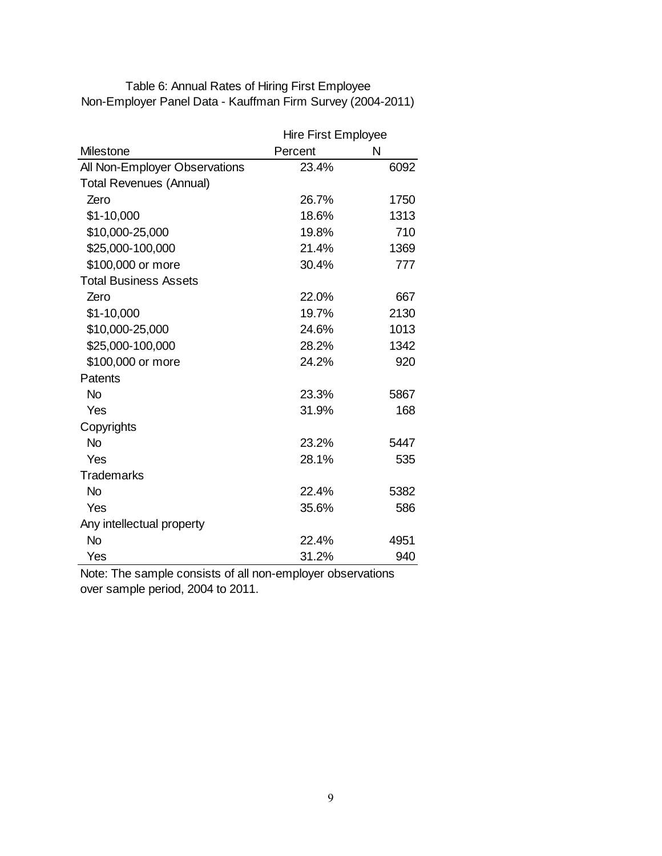|                                | <b>Hire First Employee</b> |      |
|--------------------------------|----------------------------|------|
| Milestone                      | Percent                    | N    |
| All Non-Employer Observations  | 23.4%                      | 6092 |
| <b>Total Revenues (Annual)</b> |                            |      |
| Zero                           | 26.7%                      | 1750 |
| $$1-10,000$                    | 18.6%                      | 1313 |
| \$10,000-25,000                | 19.8%                      | 710  |
| \$25,000-100,000               | 21.4%                      | 1369 |
| \$100,000 or more              | 30.4%                      | 777  |
| <b>Total Business Assets</b>   |                            |      |
| Zero                           | 22.0%                      | 667  |
| $$1-10,000$                    | 19.7%                      | 2130 |
| \$10,000-25,000                | 24.6%                      | 1013 |
| \$25,000-100,000               | 28.2%                      | 1342 |
| \$100,000 or more              | 24.2%                      | 920  |
| Patents                        |                            |      |
| <b>No</b>                      | 23.3%                      | 5867 |
| Yes                            | 31.9%                      | 168  |
| Copyrights                     |                            |      |
| <b>No</b>                      | 23.2%                      | 5447 |
| Yes                            | 28.1%                      | 535  |
| <b>Trademarks</b>              |                            |      |
| <b>No</b>                      | 22.4%                      | 5382 |
| Yes                            | 35.6%                      | 586  |
| Any intellectual property      |                            |      |
| <b>No</b>                      | 22.4%                      | 4951 |
| Yes                            | 31.2%                      | 940  |

Table 6: Annual Rates of Hiring First Employee Non-Employer Panel Data - Kauffman Firm Survey (2004-2011)

Note: The sample consists of all non-employer observations over sample period, 2004 to 2011.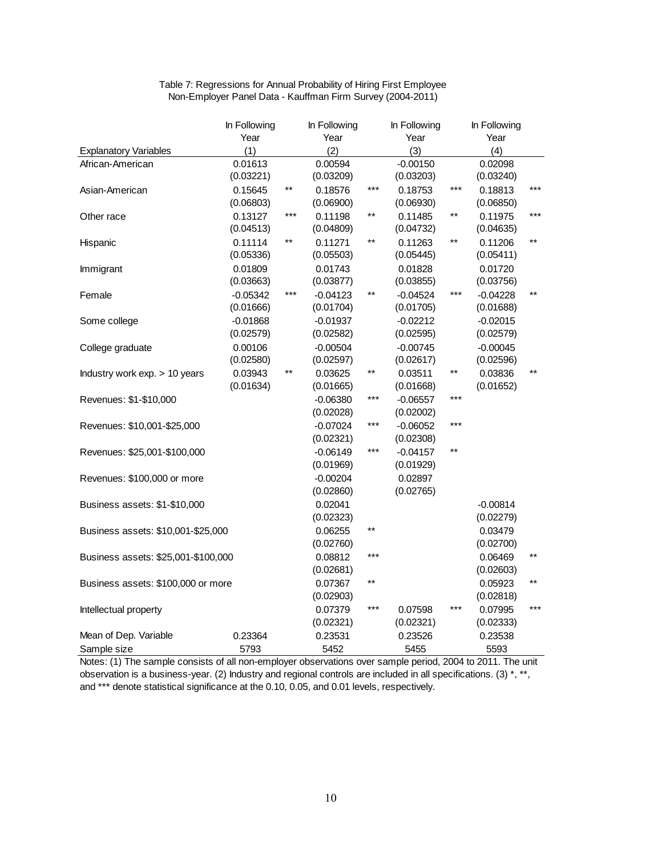|                                     | In Following |       | In Following |                 | In Following |       | In Following |       |
|-------------------------------------|--------------|-------|--------------|-----------------|--------------|-------|--------------|-------|
|                                     | Year         |       | Year         |                 | Year         |       | Year         |       |
| <b>Explanatory Variables</b>        | (1)          |       | (2)          |                 | (3)          |       | (4)          |       |
| African-American                    | 0.01613      |       | 0.00594      |                 | $-0.00150$   |       | 0.02098      |       |
|                                     | (0.03221)    |       | (0.03209)    |                 | (0.03203)    |       | (0.03240)    |       |
| Asian-American                      | 0.15645      | $***$ | 0.18576      | $***$           | 0.18753      | $***$ | 0.18813      | $***$ |
|                                     | (0.06803)    |       | (0.06900)    |                 | (0.06930)    |       | (0.06850)    |       |
| Other race                          | 0.13127      | $***$ | 0.11198      | $^{\star\star}$ | 0.11485      | $***$ | 0.11975      | $***$ |
|                                     | (0.04513)    |       | (0.04809)    |                 | (0.04732)    |       | (0.04635)    |       |
| Hispanic                            | 0.11114      | $***$ | 0.11271      | $***$           | 0.11263      | $***$ | 0.11206      | $***$ |
|                                     | (0.05336)    |       | (0.05503)    |                 | (0.05445)    |       | (0.05411)    |       |
| Immigrant                           | 0.01809      |       | 0.01743      |                 | 0.01828      |       | 0.01720      |       |
|                                     | (0.03663)    |       | (0.03877)    |                 | (0.03855)    |       | (0.03756)    |       |
| Female                              | $-0.05342$   | $***$ | $-0.04123$   | $***$           | $-0.04524$   | $***$ | $-0.04228$   | $***$ |
|                                     | (0.01666)    |       | (0.01704)    |                 | (0.01705)    |       | (0.01688)    |       |
| Some college                        | $-0.01868$   |       | $-0.01937$   |                 | $-0.02212$   |       | $-0.02015$   |       |
|                                     | (0.02579)    |       | (0.02582)    |                 | (0.02595)    |       | (0.02579)    |       |
| College graduate                    | 0.00106      |       | $-0.00504$   |                 | $-0.00745$   |       | $-0.00045$   |       |
|                                     | (0.02580)    |       | (0.02597)    |                 | (0.02617)    |       | (0.02596)    |       |
| Industry work exp. > 10 years       | 0.03943      | $***$ | 0.03625      | $***$           | 0.03511      | $***$ | 0.03836      | $***$ |
|                                     | (0.01634)    |       | (0.01665)    |                 | (0.01668)    |       | (0.01652)    |       |
| Revenues: \$1-\$10,000              |              |       | $-0.06380$   | $***$           | $-0.06557$   | $***$ |              |       |
|                                     |              |       | (0.02028)    |                 | (0.02002)    |       |              |       |
| Revenues: \$10,001-\$25,000         |              |       | $-0.07024$   | $***$           | $-0.06052$   | $***$ |              |       |
|                                     |              |       | (0.02321)    |                 | (0.02308)    |       |              |       |
| Revenues: \$25,001-\$100,000        |              |       | $-0.06149$   | $***$           | $-0.04157$   | $***$ |              |       |
|                                     |              |       | (0.01969)    |                 | (0.01929)    |       |              |       |
| Revenues: \$100,000 or more         |              |       | $-0.00204$   |                 | 0.02897      |       |              |       |
|                                     |              |       | (0.02860)    |                 | (0.02765)    |       |              |       |
| Business assets: \$1-\$10,000       |              |       | 0.02041      |                 |              |       | $-0.00814$   |       |
|                                     |              |       | (0.02323)    |                 |              |       | (0.02279)    |       |
| Business assets: \$10,001-\$25,000  |              |       | 0.06255      | $***$           |              |       | 0.03479      |       |
|                                     |              |       | (0.02760)    |                 |              |       | (0.02700)    |       |
| Business assets: \$25,001-\$100,000 |              |       | 0.08812      | $***$           |              |       | 0.06469      | $***$ |
|                                     |              |       | (0.02681)    |                 |              |       | (0.02603)    |       |
| Business assets: \$100,000 or more  |              |       | 0.07367      | $***$           |              |       | 0.05923      | $***$ |
|                                     |              |       | (0.02903)    |                 |              |       | (0.02818)    |       |
| Intellectual property               |              |       | 0.07379      | $***$           | 0.07598      | ***   | 0.07995      | $***$ |
|                                     |              |       | (0.02321)    |                 | (0.02321)    |       | (0.02333)    |       |
| Mean of Dep. Variable               | 0.23364      |       | 0.23531      |                 | 0.23526      |       | 0.23538      |       |
| Sample size                         | 5793         |       | 5452         |                 | 5455         |       | 5593         |       |

# Table 7: Regressions for Annual Probability of Hiring First Employee Non-Employer Panel Data - Kauffman Firm Survey (2004-2011)

Notes: (1) The sample consists of all non-employer observations over sample period, 2004 to 2011. The unit observation is a business-year. (2) Industry and regional controls are included in all specifications. (3) \*, \*\*, and \*\*\* denote statistical significance at the 0.10, 0.05, and 0.01 levels, respectively.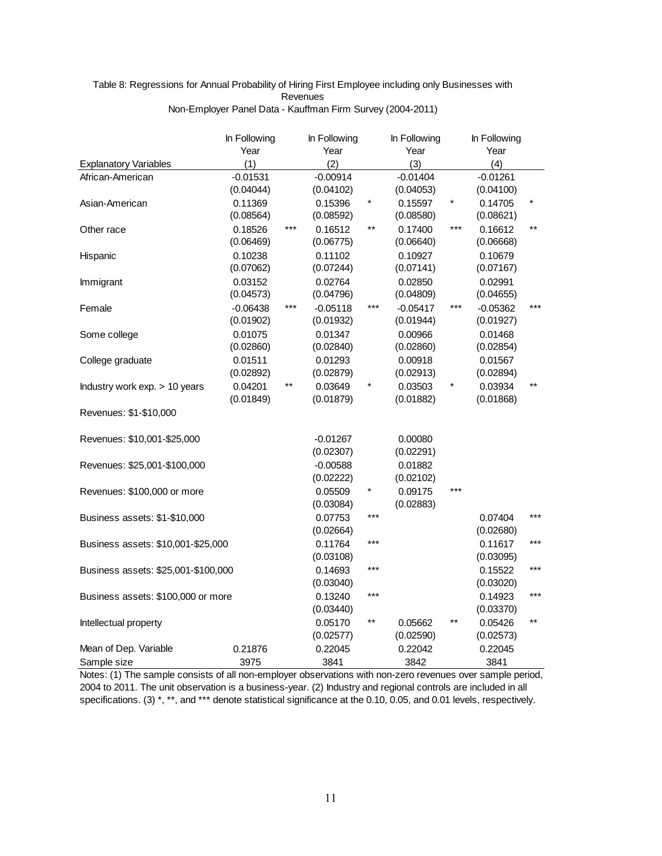#### Table 8: Regressions for Annual Probability of Hiring First Employee including only Businesses with Revenues Non-Employer Panel Data - Kauffman Firm Survey (2004-2011)

|                                     | In Following |       | In Following |         | In Following |            | In Following |                 |
|-------------------------------------|--------------|-------|--------------|---------|--------------|------------|--------------|-----------------|
|                                     | Year         |       | Year         |         | Year         |            | Year         |                 |
| <b>Explanatory Variables</b>        | (1)          |       | (2)          |         | (3)          |            | (4)          |                 |
| African-American                    | $-0.01531$   |       | $-0.00914$   |         | $-0.01404$   |            | $-0.01261$   |                 |
|                                     | (0.04044)    |       | (0.04102)    |         | (0.04053)    |            | (0.04100)    |                 |
| Asian-American                      | 0.11369      |       | 0.15396      | $\star$ | 0.15597      | $^{\star}$ | 0.14705      |                 |
|                                     | (0.08564)    |       | (0.08592)    |         | (0.08580)    |            | (0.08621)    |                 |
| Other race                          | 0.18526      | ***   | 0.16512      | $***$   | 0.17400      | ***        | 0.16612      | $***$           |
|                                     | (0.06469)    |       | (0.06775)    |         | (0.06640)    |            | (0.06668)    |                 |
| Hispanic                            | 0.10238      |       | 0.11102      |         | 0.10927      |            | 0.10679      |                 |
|                                     | (0.07062)    |       | (0.07244)    |         | (0.07141)    |            | (0.07167)    |                 |
| Immigrant                           | 0.03152      |       | 0.02764      |         | 0.02850      |            | 0.02991      |                 |
|                                     | (0.04573)    |       | (0.04796)    |         | (0.04809)    |            | (0.04655)    |                 |
| Female                              | $-0.06438$   | ***   | $-0.05118$   | $***$   | $-0.05417$   | ***        | $-0.05362$   | $***$           |
|                                     | (0.01902)    |       | (0.01932)    |         | (0.01944)    |            | (0.01927)    |                 |
| Some college                        | 0.01075      |       | 0.01347      |         | 0.00966      |            | 0.01468      |                 |
|                                     | (0.02860)    |       | (0.02840)    |         | (0.02860)    |            | (0.02854)    |                 |
| College graduate                    | 0.01511      |       | 0.01293      |         | 0.00918      |            | 0.01567      |                 |
|                                     | (0.02892)    |       | (0.02879)    |         | (0.02913)    |            | (0.02894)    |                 |
| Industry work exp. > 10 years       | 0.04201      | $***$ | 0.03649      |         | 0.03503      |            | 0.03934      | $***$           |
|                                     | (0.01849)    |       | (0.01879)    |         | (0.01882)    |            | (0.01868)    |                 |
| Revenues: \$1-\$10,000              |              |       |              |         |              |            |              |                 |
|                                     |              |       |              |         |              |            |              |                 |
| Revenues: \$10,001-\$25,000         |              |       | $-0.01267$   |         | 0.00080      |            |              |                 |
|                                     |              |       | (0.02307)    |         | (0.02291)    |            |              |                 |
| Revenues: \$25,001-\$100,000        |              |       | $-0.00588$   |         | 0.01882      |            |              |                 |
|                                     |              |       | (0.02222)    |         | (0.02102)    |            |              |                 |
| Revenues: \$100,000 or more         |              |       | 0.05509      | $\ast$  | 0.09175      | ***        |              |                 |
|                                     |              |       | (0.03084)    |         | (0.02883)    |            |              |                 |
| Business assets: \$1-\$10,000       |              |       | 0.07753      | $***$   |              |            | 0.07404      | $***$           |
|                                     |              |       | (0.02664)    |         |              |            | (0.02680)    |                 |
| Business assets: \$10,001-\$25,000  |              |       | 0.11764      | ***     |              |            | 0.11617      | ***             |
|                                     |              |       | (0.03108)    |         |              |            | (0.03095)    |                 |
| Business assets: \$25,001-\$100,000 |              |       | 0.14693      | $***$   |              |            | 0.15522      | $***$           |
|                                     |              |       | (0.03040)    |         |              |            | (0.03020)    |                 |
| Business assets: \$100,000 or more  |              |       | 0.13240      | ***     |              |            | 0.14923      | $***$           |
|                                     |              |       | (0.03440)    |         |              |            | (0.03370)    |                 |
| Intellectual property               |              |       | 0.05170      | $***$   | 0.05662      | **         | 0.05426      | $^{\star\star}$ |
|                                     |              |       | (0.02577)    |         | (0.02590)    |            | (0.02573)    |                 |
| Mean of Dep. Variable               | 0.21876      |       | 0.22045      |         | 0.22042      |            | 0.22045      |                 |
| Sample size                         | 3975         |       | 3841         |         | 3842         |            | 3841         |                 |

Notes: (1) The sample consists of all non-employer observations with non-zero revenues over sample period, 2004 to 2011. The unit observation is a business-year. (2) Industry and regional controls are included in all specifications. (3) \*, \*\*, and \*\*\* denote statistical significance at the 0.10, 0.05, and 0.01 levels, respectively.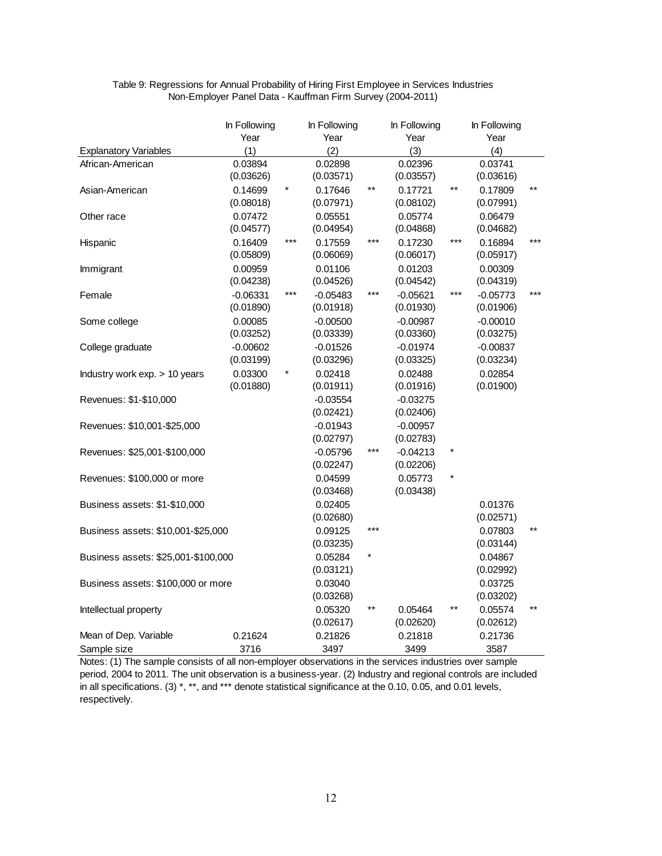|                                     | In Following |         | In Following |                | In Following |       | In Following |       |
|-------------------------------------|--------------|---------|--------------|----------------|--------------|-------|--------------|-------|
|                                     | Year         |         | Year         |                | Year         |       | Year         |       |
| <b>Explanatory Variables</b>        | (1)          |         | (2)          |                | (3)          |       | (4)          |       |
| African-American                    | 0.03894      |         | 0.02898      |                | 0.02396      |       | 0.03741      |       |
|                                     | (0.03626)    |         | (0.03571)    |                | (0.03557)    |       | (0.03616)    |       |
| Asian-American                      | 0.14699      | $\star$ | 0.17646      | $\star\,\star$ | 0.17721      | $***$ | 0.17809      | $***$ |
|                                     | (0.08018)    |         | (0.07971)    |                | (0.08102)    |       | (0.07991)    |       |
| Other race                          | 0.07472      |         | 0.05551      |                | 0.05774      |       | 0.06479      |       |
|                                     | (0.04577)    |         | (0.04954)    |                | (0.04868)    |       | (0.04682)    |       |
| Hispanic                            | 0.16409      | $***$   | 0.17559      | $***$          | 0.17230      | $***$ | 0.16894      | $***$ |
|                                     | (0.05809)    |         | (0.06069)    |                | (0.06017)    |       | (0.05917)    |       |
| Immigrant                           | 0.00959      |         | 0.01106      |                | 0.01203      |       | 0.00309      |       |
|                                     | (0.04238)    |         | (0.04526)    |                | (0.04542)    |       | (0.04319)    |       |
| Female                              | $-0.06331$   | ***     | $-0.05483$   | $***$          | $-0.05621$   | ***   | $-0.05773$   | $***$ |
|                                     | (0.01890)    |         | (0.01918)    |                | (0.01930)    |       | (0.01906)    |       |
| Some college                        | 0.00085      |         | $-0.00500$   |                | $-0.00987$   |       | $-0.00010$   |       |
|                                     | (0.03252)    |         | (0.03339)    |                | (0.03360)    |       | (0.03275)    |       |
| College graduate                    | $-0.00602$   |         | $-0.01526$   |                | $-0.01974$   |       | $-0.00837$   |       |
|                                     | (0.03199)    |         | (0.03296)    |                | (0.03325)    |       | (0.03234)    |       |
| Industry work exp. > 10 years       | 0.03300      |         | 0.02418      |                | 0.02488      |       | 0.02854      |       |
|                                     | (0.01880)    |         | (0.01911)    |                | (0.01916)    |       | (0.01900)    |       |
| Revenues: \$1-\$10,000              |              |         | $-0.03554$   |                | $-0.03275$   |       |              |       |
|                                     |              |         | (0.02421)    |                | (0.02406)    |       |              |       |
| Revenues: \$10,001-\$25,000         |              |         | $-0.01943$   |                | $-0.00957$   |       |              |       |
|                                     |              |         | (0.02797)    |                | (0.02783)    |       |              |       |
| Revenues: \$25,001-\$100,000        |              |         | $-0.05796$   | $***$          | $-0.04213$   |       |              |       |
|                                     |              |         | (0.02247)    |                | (0.02206)    |       |              |       |
| Revenues: \$100,000 or more         |              |         | 0.04599      |                | 0.05773      |       |              |       |
|                                     |              |         | (0.03468)    |                | (0.03438)    |       |              |       |
| Business assets: \$1-\$10,000       |              |         | 0.02405      |                |              |       | 0.01376      |       |
|                                     |              |         | (0.02680)    |                |              |       | (0.02571)    |       |
| Business assets: \$10,001-\$25,000  |              |         | 0.09125      | $***$          |              |       | 0.07803      |       |
|                                     |              |         | (0.03235)    |                |              |       | (0.03144)    |       |
| Business assets: \$25,001-\$100,000 |              |         | 0.05284      | $\star$        |              |       | 0.04867      |       |
|                                     |              |         | (0.03121)    |                |              |       | (0.02992)    |       |
| Business assets: \$100,000 or more  |              |         | 0.03040      |                |              |       | 0.03725      |       |
|                                     |              |         | (0.03268)    |                |              |       | (0.03202)    |       |
| Intellectual property               |              |         | 0.05320      | $***$          | 0.05464      | $***$ | 0.05574      |       |
|                                     |              |         | (0.02617)    |                | (0.02620)    |       | (0.02612)    |       |
| Mean of Dep. Variable               | 0.21624      |         | 0.21826      |                | 0.21818      |       | 0.21736      |       |
| Sample size                         | 3716         |         | 3497         |                | 3499         |       | 3587         |       |

# Table 9: Regressions for Annual Probability of Hiring First Employee in Services Industries Non-Employer Panel Data - Kauffman Firm Survey (2004-2011)

Notes: (1) The sample consists of all non-employer observations in the services industries over sample period, 2004 to 2011. The unit observation is a business-year. (2) Industry and regional controls are included in all specifications. (3) \*, \*\*, and \*\*\* denote statistical significance at the 0.10, 0.05, and 0.01 levels, respectively.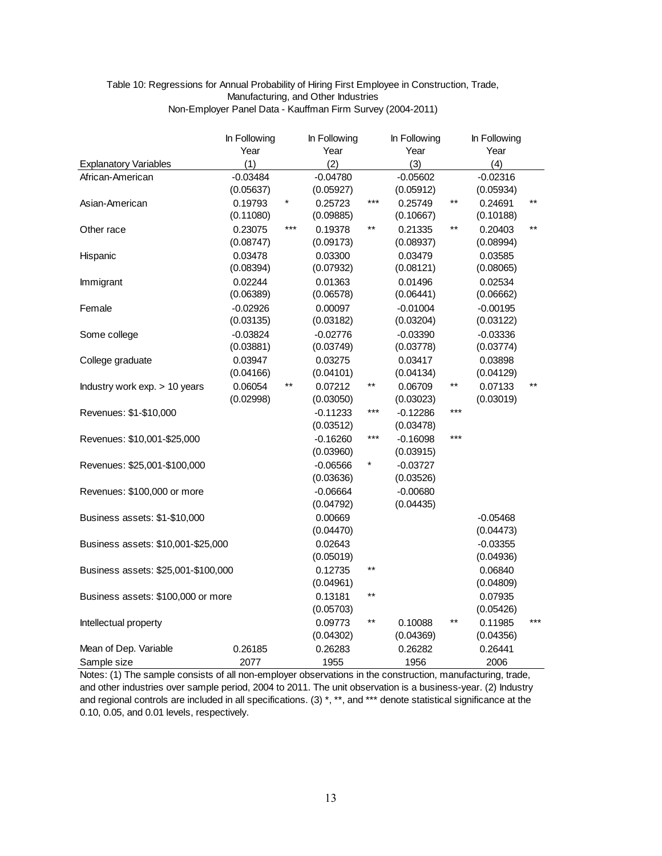#### Table 10: Regressions for Annual Probability of Hiring First Employee in Construction, Trade, Manufacturing, and Other Industries Non-Employer Panel Data - Kauffman Firm Survey (2004-2011)

|                                     | In Following |         | In Following |        | In Following |       | In Following |       |
|-------------------------------------|--------------|---------|--------------|--------|--------------|-------|--------------|-------|
|                                     | Year         |         | Year         |        | Year         |       | Year         |       |
| <b>Explanatory Variables</b>        | (1)          |         | (2)          |        | (3)          |       | (4)          |       |
| African-American                    | $-0.03484$   |         | $-0.04780$   |        | $-0.05602$   |       | $-0.02316$   |       |
|                                     | (0.05637)    |         | (0.05927)    |        | (0.05912)    |       | (0.05934)    |       |
| Asian-American                      | 0.19793      | $\star$ | 0.25723      | $***$  | 0.25749      | $***$ | 0.24691      | $***$ |
|                                     | (0.11080)    |         | (0.09885)    |        | (0.10667)    |       | (0.10188)    |       |
| Other race                          | 0.23075      | $***$   | 0.19378      | $***$  | 0.21335      | $***$ | 0.20403      | $***$ |
|                                     | (0.08747)    |         | (0.09173)    |        | (0.08937)    |       | (0.08994)    |       |
| Hispanic                            | 0.03478      |         | 0.03300      |        | 0.03479      |       | 0.03585      |       |
|                                     | (0.08394)    |         | (0.07932)    |        | (0.08121)    |       | (0.08065)    |       |
| Immigrant                           | 0.02244      |         | 0.01363      |        | 0.01496      |       | 0.02534      |       |
|                                     | (0.06389)    |         | (0.06578)    |        | (0.06441)    |       | (0.06662)    |       |
| Female                              | $-0.02926$   |         | 0.00097      |        | $-0.01004$   |       | $-0.00195$   |       |
|                                     | (0.03135)    |         | (0.03182)    |        | (0.03204)    |       | (0.03122)    |       |
| Some college                        | $-0.03824$   |         | $-0.02776$   |        | $-0.03390$   |       | $-0.03336$   |       |
|                                     | (0.03881)    |         | (0.03749)    |        | (0.03778)    |       | (0.03774)    |       |
| College graduate                    | 0.03947      |         | 0.03275      |        | 0.03417      |       | 0.03898      |       |
|                                     | (0.04166)    |         | (0.04101)    |        | (0.04134)    |       | (0.04129)    |       |
| Industry work exp. > 10 years       | 0.06054      | $***$   | 0.07212      | $***$  | 0.06709      | $***$ | 0.07133      | $***$ |
|                                     | (0.02998)    |         | (0.03050)    |        | (0.03023)    |       | (0.03019)    |       |
| Revenues: \$1-\$10,000              |              |         | $-0.11233$   | $***$  | $-0.12286$   | $***$ |              |       |
|                                     |              |         | (0.03512)    |        | (0.03478)    |       |              |       |
| Revenues: \$10,001-\$25,000         |              |         | $-0.16260$   | $***$  | $-0.16098$   | ***   |              |       |
|                                     |              |         | (0.03960)    |        | (0.03915)    |       |              |       |
| Revenues: \$25,001-\$100,000        |              |         | $-0.06566$   | $\ast$ | $-0.03727$   |       |              |       |
|                                     |              |         | (0.03636)    |        | (0.03526)    |       |              |       |
| Revenues: \$100,000 or more         |              |         | $-0.06664$   |        | $-0.00680$   |       |              |       |
|                                     |              |         | (0.04792)    |        | (0.04435)    |       |              |       |
| Business assets: \$1-\$10,000       |              |         | 0.00669      |        |              |       | $-0.05468$   |       |
|                                     |              |         | (0.04470)    |        |              |       | (0.04473)    |       |
| Business assets: \$10,001-\$25,000  |              |         | 0.02643      |        |              |       | $-0.03355$   |       |
|                                     |              |         | (0.05019)    |        |              |       | (0.04936)    |       |
| Business assets: \$25,001-\$100,000 |              |         | 0.12735      | $***$  |              |       | 0.06840      |       |
|                                     |              |         | (0.04961)    |        |              |       | (0.04809)    |       |
| Business assets: \$100,000 or more  |              |         | 0.13181      | $***$  |              |       | 0.07935      |       |
|                                     |              |         | (0.05703)    |        |              |       | (0.05426)    |       |
| Intellectual property               |              |         | 0.09773      | $***$  | 0.10088      | **    | 0.11985      | $***$ |
|                                     |              |         | (0.04302)    |        | (0.04369)    |       | (0.04356)    |       |
| Mean of Dep. Variable               | 0.26185      |         | 0.26283      |        | 0.26282      |       | 0.26441      |       |
| Sample size                         | 2077         |         | 1955         |        | 1956         |       | 2006         |       |

Notes: (1) The sample consists of all non-employer observations in the construction, manufacturing, trade, and other industries over sample period, 2004 to 2011. The unit observation is a business-year. (2) Industry and regional controls are included in all specifications. (3) \*, \*\*, and \*\*\* denote statistical significance at the 0.10, 0.05, and 0.01 levels, respectively.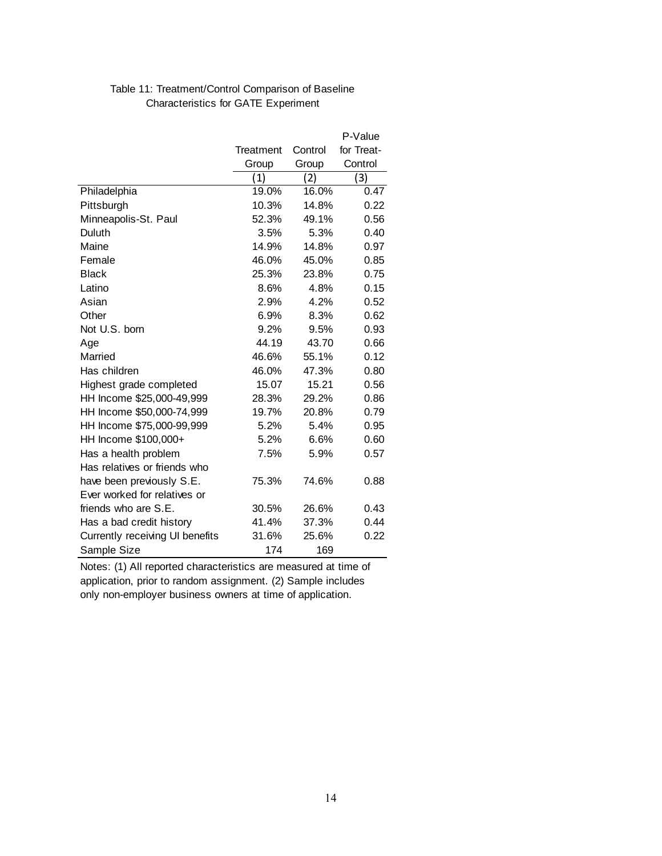# Table 11: Treatment/Control Comparison of Baseline Characteristics for GATE Experiment

|                                 |                              |         | P-Value    |
|---------------------------------|------------------------------|---------|------------|
|                                 | Treatment                    | Control | for Treat- |
|                                 | Group                        | Group   | Control    |
|                                 | $\left( \frac{1}{2} \right)$ | (2)     | (3)        |
| Philadelphia                    | 19.0%                        | 16.0%   | 0.47       |
| Pittsburgh                      | 10.3%                        | 14.8%   | 0.22       |
| Minneapolis-St. Paul            | 52.3%                        | 49.1%   | 0.56       |
| Duluth                          | 3.5%                         | 5.3%    | 0.40       |
| Maine                           | 14.9%                        | 14.8%   | 0.97       |
| Female                          | 46.0%                        | 45.0%   | 0.85       |
| <b>Black</b>                    | 25.3%                        | 23.8%   | 0.75       |
| Latino                          | 8.6%                         | 4.8%    | 0.15       |
| Asian                           | 2.9%                         | 4.2%    | 0.52       |
| Other                           | 6.9%                         | 8.3%    | 0.62       |
| Not U.S. born                   | 9.2%                         | 9.5%    | 0.93       |
| Age                             | 44.19                        | 43.70   | 0.66       |
| Married                         | 46.6%                        | 55.1%   | 0.12       |
| Has children                    | 46.0%                        | 47.3%   | 0.80       |
| Highest grade completed         | 15.07                        | 15.21   | 0.56       |
| HH Income \$25,000-49,999       | 28.3%                        | 29.2%   | 0.86       |
| HH Income \$50,000-74,999       | 19.7%                        | 20.8%   | 0.79       |
| HH Income \$75,000-99,999       | 5.2%                         | 5.4%    | 0.95       |
| HH Income \$100,000+            | 5.2%                         | 6.6%    | 0.60       |
| Has a health problem            | 7.5%                         | 5.9%    | 0.57       |
| Has relatives or friends who    |                              |         |            |
| have been previously S.E.       | 75.3%                        | 74.6%   | 0.88       |
| Ever worked for relatives or    |                              |         |            |
| friends who are S.E.            | 30.5%                        | 26.6%   | 0.43       |
| Has a bad credit history        | 41.4%                        | 37.3%   | 0.44       |
| Currently receiving UI benefits | 31.6%                        | 25.6%   | 0.22       |
| Sample Size                     | 174                          | 169     |            |

Notes: (1) All reported characteristics are measured at time of application, prior to random assignment. (2) Sample includes only non-employer business owners at time of application.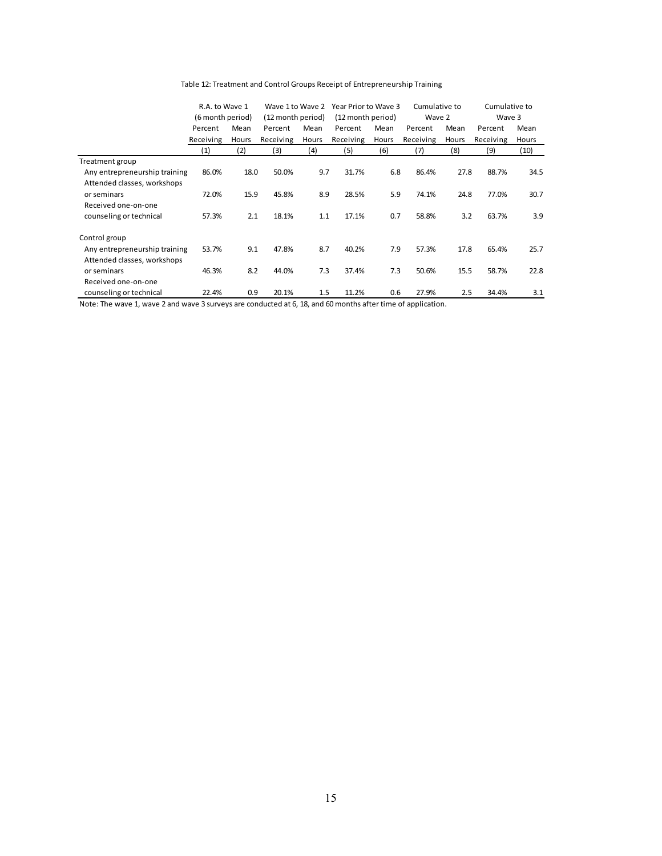#### Table 12: Treatment and Control Groups Receipt of Entrepreneurship Training

|                               | R.A. to Wave 1   |       |                   |       | Wave 1 to Wave 2 Year Prior to Wave 3 |       | Cumulative to |       | Cumulative to |       |
|-------------------------------|------------------|-------|-------------------|-------|---------------------------------------|-------|---------------|-------|---------------|-------|
|                               | (6 month period) |       | (12 month period) |       | (12 month period)                     |       | Wave 2        |       | Wave 3        |       |
|                               | Percent          | Mean  | Percent           | Mean  | Percent                               | Mean  | Percent       | Mean  | Percent       | Mean  |
|                               | Receiving        | Hours | Receiving         | Hours | Receiving                             | Hours | Receiving     | Hours | Receiving     | Hours |
|                               | (1)              | (2)   | (3)               | (4)   | (5)                                   | (6)   | (7)           | (8)   | (9)           | (10)  |
| Treatment group               |                  |       |                   |       |                                       |       |               |       |               |       |
| Any entrepreneurship training | 86.0%            | 18.0  | 50.0%             | 9.7   | 31.7%                                 | 6.8   | 86.4%         | 27.8  | 88.7%         | 34.5  |
| Attended classes, workshops   |                  |       |                   |       |                                       |       |               |       |               |       |
| or seminars                   | 72.0%            | 15.9  | 45.8%             | 8.9   | 28.5%                                 | 5.9   | 74.1%         | 24.8  | 77.0%         | 30.7  |
| Received one-on-one           |                  |       |                   |       |                                       |       |               |       |               |       |
| counseling or technical       | 57.3%            | 2.1   | 18.1%             | 1.1   | 17.1%                                 | 0.7   | 58.8%         | 3.2   | 63.7%         | 3.9   |
| Control group                 |                  |       |                   |       |                                       |       |               |       |               |       |
| Any entrepreneurship training | 53.7%            | 9.1   | 47.8%             | 8.7   | 40.2%                                 | 7.9   | 57.3%         | 17.8  | 65.4%         | 25.7  |
| Attended classes, workshops   |                  |       |                   |       |                                       |       |               |       |               |       |
| or seminars                   | 46.3%            | 8.2   | 44.0%             | 7.3   | 37.4%                                 | 7.3   | 50.6%         | 15.5  | 58.7%         | 22.8  |
| Received one-on-one           |                  |       |                   |       |                                       |       |               |       |               |       |
| counseling or technical       | 22.4%            | 0.9   | 20.1%             | 1.5   | 11.2%                                 | 0.6   | 27.9%         | 2.5   | 34.4%         | 3.1   |

Note: The wave 1, wave 2 and wave 3 surveys are conducted at 6, 18, and 60 months after time of application.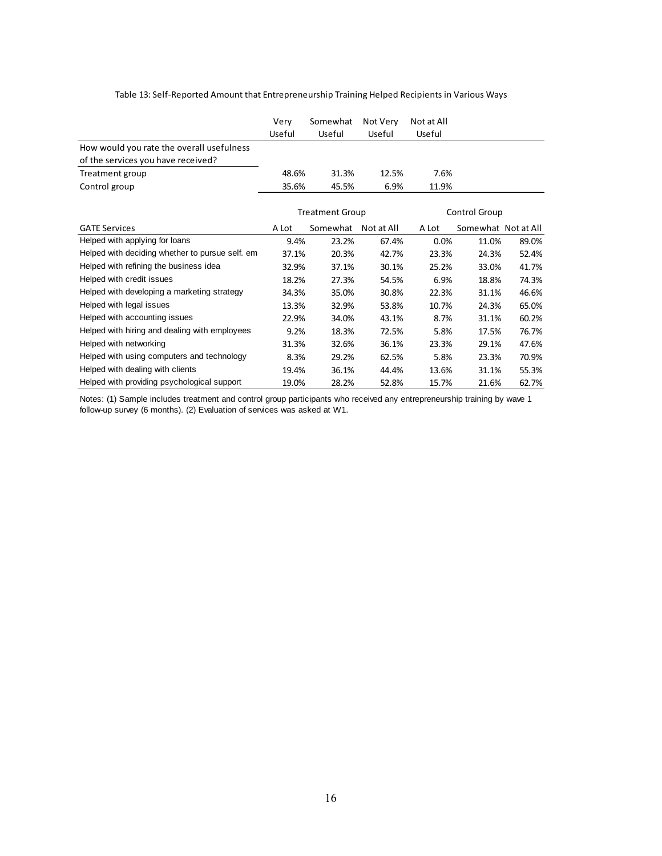#### Table 13: Self‐Reported Amount that Entrepreneurship Training Helped Recipients in Various Ways

|                                                 | Very   | Somewhat               | Not Very   | Not at All |                     |       |
|-------------------------------------------------|--------|------------------------|------------|------------|---------------------|-------|
|                                                 | Useful | Useful                 | Useful     | Useful     |                     |       |
| How would you rate the overall usefulness       |        |                        |            |            |                     |       |
| of the services you have received?              |        |                        |            |            |                     |       |
| Treatment group                                 | 48.6%  | 31.3%                  | 12.5%      | 7.6%       |                     |       |
| Control group                                   | 35.6%  | 45.5%                  | 6.9%       | 11.9%      |                     |       |
|                                                 |        | <b>Treatment Group</b> |            |            | Control Group       |       |
| <b>GATE Services</b>                            | A Lot  | Somewhat               | Not at All | A Lot      | Somewhat Not at All |       |
| Helped with applying for loans                  | 9.4%   | 23.2%                  | 67.4%      | 0.0%       | 11.0%               | 89.0% |
| Helped with deciding whether to pursue self. em | 37.1%  | 20.3%                  | 42.7%      | 23.3%      | 24.3%               | 52.4% |
| Helped with refining the business idea          | 32.9%  | 37.1%                  | 30.1%      | 25.2%      | 33.0%               | 41.7% |
| Helped with credit issues                       | 18.2%  | 27.3%                  | 54.5%      | 6.9%       | 18.8%               | 74.3% |
| Helped with developing a marketing strategy     | 34.3%  | 35.0%                  | 30.8%      | 22.3%      | 31.1%               | 46.6% |
| Helped with legal issues                        | 13.3%  | 32.9%                  | 53.8%      | 10.7%      | 24.3%               | 65.0% |
| Helped with accounting issues                   | 22.9%  | 34.0%                  | 43.1%      | 8.7%       | 31.1%               | 60.2% |
| Helped with hiring and dealing with employees   | 9.2%   | 18.3%                  | 72.5%      | 5.8%       | 17.5%               | 76.7% |
| Helped with networking                          | 31.3%  | 32.6%                  | 36.1%      | 23.3%      | 29.1%               | 47.6% |
| Helped with using computers and technology      | 8.3%   | 29.2%                  | 62.5%      | 5.8%       | 23.3%               | 70.9% |
| Helped with dealing with clients                | 19.4%  | 36.1%                  | 44.4%      | 13.6%      | 31.1%               | 55.3% |
| Helped with providing psychological support     | 19.0%  | 28.2%                  | 52.8%      | 15.7%      | 21.6%               | 62.7% |

Notes: (1) Sample includes treatment and control group participants who received any entrepreneurship training by wave 1 follow-up survey (6 months). (2) Evaluation of services was asked at W1.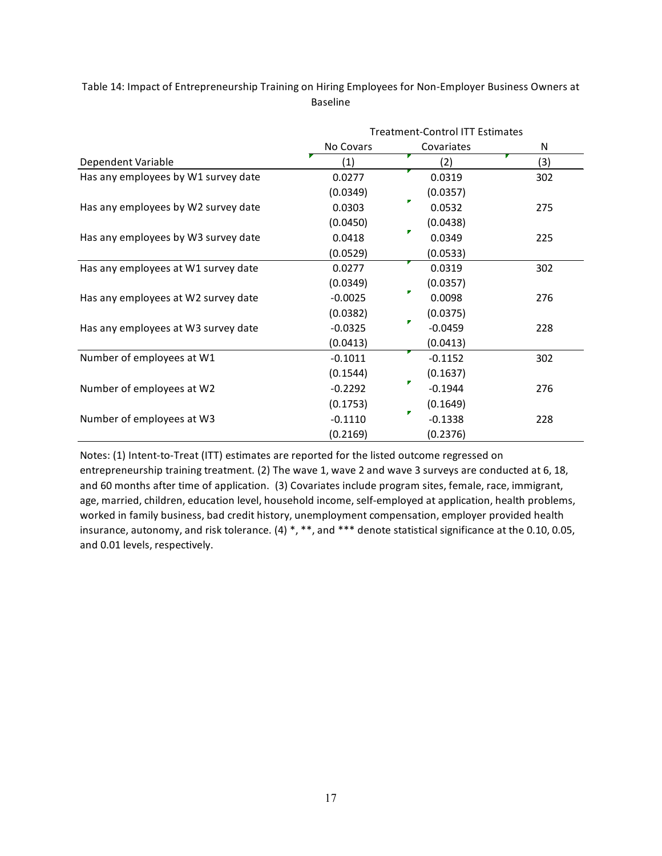Table 14: Impact of Entrepreneurship Training on Hiring Employees for Non‐Employer Business Owners at Baseline

|                                     | <b>Treatment-Control ITT Estimates</b> |   |            |     |  |  |  |
|-------------------------------------|----------------------------------------|---|------------|-----|--|--|--|
|                                     | No Covars                              |   | Covariates | N   |  |  |  |
| Dependent Variable                  | (1)                                    |   | (2)        | (3) |  |  |  |
| Has any employees by W1 survey date | 0.0277                                 |   | 0.0319     | 302 |  |  |  |
|                                     | (0.0349)                               |   | (0.0357)   |     |  |  |  |
| Has any employees by W2 survey date | 0.0303                                 | Г | 0.0532     | 275 |  |  |  |
|                                     | (0.0450)                               |   | (0.0438)   |     |  |  |  |
| Has any employees by W3 survey date | 0.0418                                 | Г | 0.0349     | 225 |  |  |  |
|                                     | (0.0529)                               |   | (0.0533)   |     |  |  |  |
| Has any employees at W1 survey date | 0.0277                                 |   | 0.0319     | 302 |  |  |  |
|                                     | (0.0349)                               |   | (0.0357)   |     |  |  |  |
| Has any employees at W2 survey date | $-0.0025$                              |   | 0.0098     | 276 |  |  |  |
|                                     | (0.0382)                               |   | (0.0375)   |     |  |  |  |
| Has any employees at W3 survey date | $-0.0325$                              | Г | $-0.0459$  | 228 |  |  |  |
|                                     | (0.0413)                               |   | (0.0413)   |     |  |  |  |
| Number of employees at W1           | $-0.1011$                              |   | $-0.1152$  | 302 |  |  |  |
|                                     | (0.1544)                               |   | (0.1637)   |     |  |  |  |
| Number of employees at W2           | $-0.2292$                              |   | $-0.1944$  | 276 |  |  |  |
|                                     | (0.1753)                               |   | (0.1649)   |     |  |  |  |
| Number of employees at W3           | $-0.1110$                              | Г | $-0.1338$  | 228 |  |  |  |
|                                     | (0.2169)                               |   | (0.2376)   |     |  |  |  |

Notes: (1) Intent-to-Treat (ITT) estimates are reported for the listed outcome regressed on entrepreneurship training treatment. (2) The wave 1, wave 2 and wave 3 surveys are conducted at 6, 18, and 60 months after time of application. (3) Covariates include program sites, female, race, immigrant, age, married, children, education level, household income, self‐employed at application, health problems, worked in family business, bad credit history, unemployment compensation, employer provided health insurance, autonomy, and risk tolerance. (4) \*, \*\*, and \*\*\* denote statistical significance at the 0.10, 0.05, and 0.01 levels, respectively.